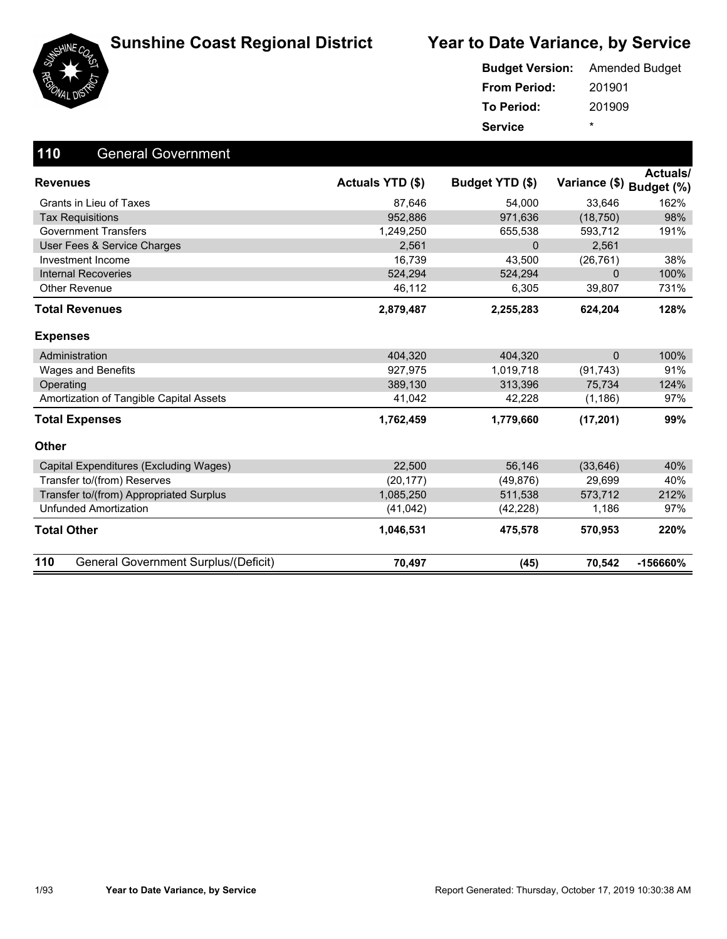





#### 201901 201909 **From Period: To Period: Service** \* **Budget Version:** Amended Budget

| 110<br><b>General Government</b>            |                  |                 |                          |          |
|---------------------------------------------|------------------|-----------------|--------------------------|----------|
| <b>Revenues</b>                             | Actuals YTD (\$) | Budget YTD (\$) | Variance (\$) Budget (%) | Actuals/ |
| Grants in Lieu of Taxes                     | 87,646           | 54,000          | 33,646                   | 162%     |
| <b>Tax Requisitions</b>                     | 952.886          | 971,636         | (18, 750)                | 98%      |
| <b>Government Transfers</b>                 | 1,249,250        | 655,538         | 593,712                  | 191%     |
| User Fees & Service Charges                 | 2,561            | $\Omega$        | 2,561                    |          |
| Investment Income                           | 16,739           | 43,500          | (26, 761)                | 38%      |
| <b>Internal Recoveries</b>                  | 524.294          | 524,294         | $\mathbf 0$              | 100%     |
| <b>Other Revenue</b>                        | 46,112           | 6,305           | 39,807                   | 731%     |
| <b>Total Revenues</b>                       | 2,879,487        | 2,255,283       | 624,204                  | 128%     |
| <b>Expenses</b>                             |                  |                 |                          |          |
| Administration                              | 404,320          | 404,320         | $\mathbf{0}$             | 100%     |
| <b>Wages and Benefits</b>                   | 927,975          | 1,019,718       | (91, 743)                | 91%      |
| Operating                                   | 389,130          | 313,396         | 75,734                   | 124%     |
| Amortization of Tangible Capital Assets     | 41,042           | 42,228          | (1, 186)                 | 97%      |
| <b>Total Expenses</b>                       | 1,762,459        | 1,779,660       | (17, 201)                | 99%      |
| Other                                       |                  |                 |                          |          |
| Capital Expenditures (Excluding Wages)      | 22,500           | 56,146          | (33, 646)                | 40%      |
| Transfer to/(from) Reserves                 | (20, 177)        | (49, 876)       | 29,699                   | 40%      |
| Transfer to/(from) Appropriated Surplus     | 1,085,250        | 511,538         | 573,712                  | 212%     |
| <b>Unfunded Amortization</b>                | (41, 042)        | (42, 228)       | 1,186                    | 97%      |
| <b>Total Other</b>                          | 1,046,531        | 475,578         | 570,953                  | 220%     |
| 110<br>General Government Surplus/(Deficit) | 70,497           | (45)            | 70,542                   | -156660% |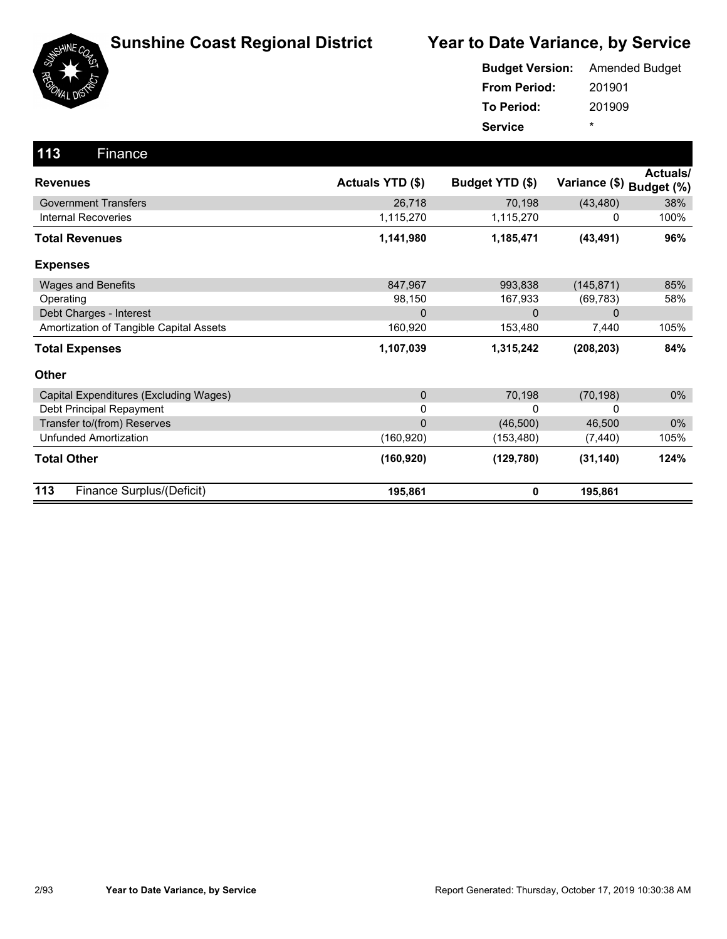

|                     | <b>Budget Version:</b> Amended Budget |
|---------------------|---------------------------------------|
| <b>From Period:</b> | 201901                                |
| <b>To Period:</b>   | 201909                                |
| <b>Service</b>      | ÷                                     |

| 113<br>Finance                          |                  |                 |                          |                 |
|-----------------------------------------|------------------|-----------------|--------------------------|-----------------|
| <b>Revenues</b>                         | Actuals YTD (\$) | Budget YTD (\$) | Variance (\$) Budget (%) | <b>Actuals/</b> |
| <b>Government Transfers</b>             | 26,718           | 70,198          | (43, 480)                | 38%             |
| <b>Internal Recoveries</b>              | 1,115,270        | 1,115,270       | 0                        | 100%            |
| <b>Total Revenues</b>                   | 1,141,980        | 1,185,471       | (43, 491)                | 96%             |
| <b>Expenses</b>                         |                  |                 |                          |                 |
| <b>Wages and Benefits</b>               | 847,967          | 993,838         | (145, 871)               | 85%             |
| Operating                               | 98,150           | 167,933         | (69, 783)                | 58%             |
| Debt Charges - Interest                 | $\mathbf 0$      | $\Omega$        | 0                        |                 |
| Amortization of Tangible Capital Assets | 160,920          | 153,480         | 7,440                    | 105%            |
| <b>Total Expenses</b>                   | 1,107,039        | 1,315,242       | (208, 203)               | 84%             |
| Other                                   |                  |                 |                          |                 |
| Capital Expenditures (Excluding Wages)  | $\mathbf 0$      | 70,198          | (70, 198)                | $0\%$           |
| Debt Principal Repayment                | 0                | 0               | 0                        |                 |
| Transfer to/(from) Reserves             | $\Omega$         | (46, 500)       | 46,500                   | $0\%$           |
| <b>Unfunded Amortization</b>            | (160, 920)       | (153, 480)      | (7, 440)                 | 105%            |
| <b>Total Other</b>                      | (160, 920)       | (129, 780)      | (31, 140)                | 124%            |
| 113<br>Finance Surplus/(Deficit)        | 195,861          | 0               | 195,861                  |                 |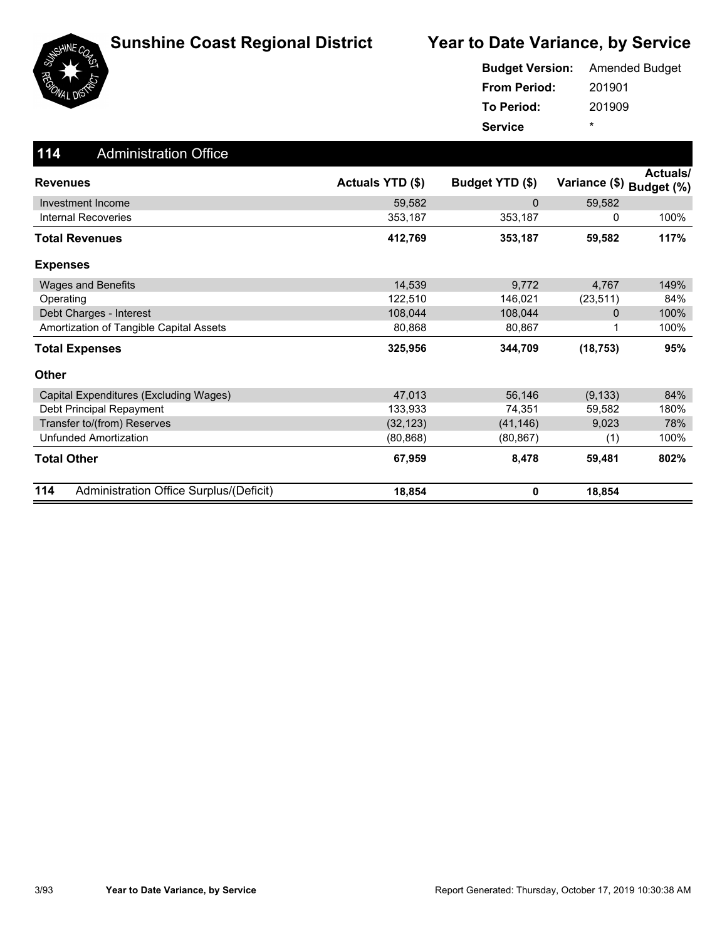

|                     | <b>Budget Version:</b> Amended Budget |
|---------------------|---------------------------------------|
| <b>From Period:</b> | 201901                                |
| To Period:          | 201909                                |
| <b>Service</b>      | ÷                                     |

| 114<br><b>Administration Office</b>            |                  |                 |                          |          |
|------------------------------------------------|------------------|-----------------|--------------------------|----------|
| <b>Revenues</b>                                | Actuals YTD (\$) | Budget YTD (\$) | Variance (\$) Budget (%) | Actuals/ |
| Investment Income                              | 59,582           | $\mathbf{0}$    | 59,582                   |          |
| Internal Recoveries                            | 353,187          | 353,187         | 0                        | 100%     |
| <b>Total Revenues</b>                          | 412,769          | 353,187         | 59,582                   | 117%     |
| <b>Expenses</b>                                |                  |                 |                          |          |
| <b>Wages and Benefits</b>                      | 14,539           | 9,772           | 4,767                    | 149%     |
| Operating                                      | 122,510          | 146,021         | (23, 511)                | 84%      |
| Debt Charges - Interest                        | 108,044          | 108,044         | 0                        | 100%     |
| Amortization of Tangible Capital Assets        | 80.868           | 80,867          |                          | 100%     |
| <b>Total Expenses</b>                          | 325,956          | 344,709         | (18, 753)                | 95%      |
| <b>Other</b>                                   |                  |                 |                          |          |
| Capital Expenditures (Excluding Wages)         | 47,013           | 56,146          | (9, 133)                 | 84%      |
| Debt Principal Repayment                       | 133,933          | 74,351          | 59,582                   | 180%     |
| Transfer to/(from) Reserves                    | (32, 123)        | (41, 146)       | 9,023                    | 78%      |
| <b>Unfunded Amortization</b>                   | (80, 868)        | (80, 867)       | (1)                      | 100%     |
| <b>Total Other</b>                             | 67,959           | 8,478           | 59,481                   | 802%     |
| 114<br>Administration Office Surplus/(Deficit) | 18,854           | 0               | 18,854                   |          |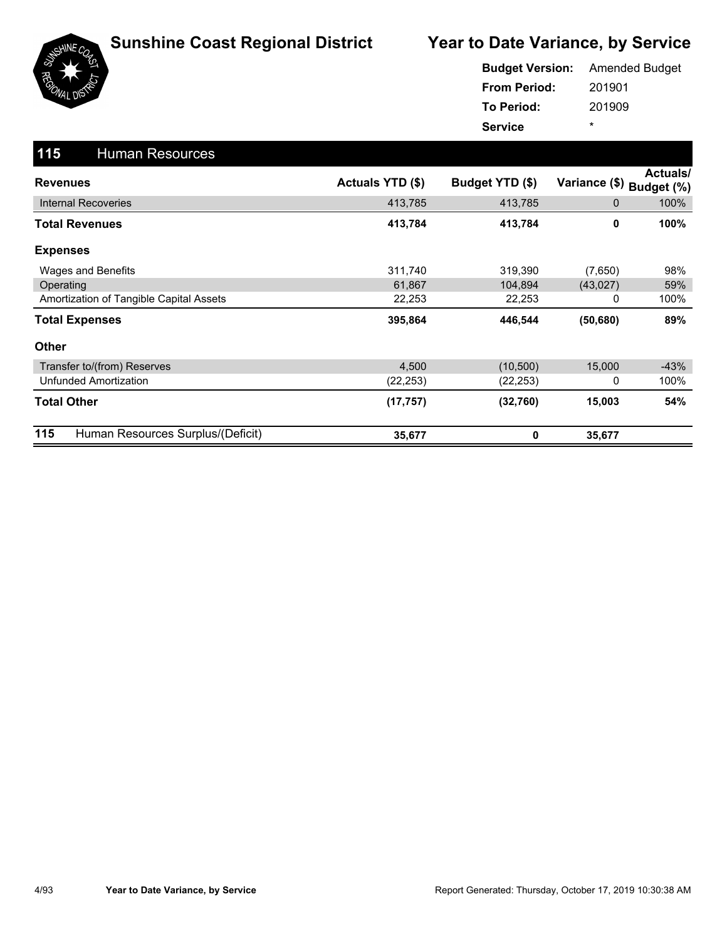

|                     | <b>Budget Version:</b> Amended Budget |
|---------------------|---------------------------------------|
| <b>From Period:</b> | 201901                                |
| <b>To Period:</b>   | 201909                                |
| <b>Service</b>      | ÷                                     |

| 115<br><b>Human Resources</b>            |                  |                 |               |                               |
|------------------------------------------|------------------|-----------------|---------------|-------------------------------|
| <b>Revenues</b>                          | Actuals YTD (\$) | Budget YTD (\$) | Variance (\$) | <b>Actuals/</b><br>Budget (%) |
| <b>Internal Recoveries</b>               | 413,785          | 413,785         | 0             | 100%                          |
| <b>Total Revenues</b>                    | 413,784          | 413,784         | 0             | 100%                          |
| <b>Expenses</b>                          |                  |                 |               |                               |
| Wages and Benefits                       | 311,740          | 319,390         | (7,650)       | 98%                           |
| Operating                                | 61,867           | 104,894         | (43, 027)     | 59%                           |
| Amortization of Tangible Capital Assets  | 22,253           | 22,253          | 0             | 100%                          |
| <b>Total Expenses</b>                    | 395,864          | 446,544         | (50, 680)     | 89%                           |
| <b>Other</b>                             |                  |                 |               |                               |
| Transfer to/(from) Reserves              | 4,500            | (10, 500)       | 15,000        | $-43%$                        |
| Unfunded Amortization                    | (22, 253)        | (22, 253)       | 0             | 100%                          |
| <b>Total Other</b>                       | (17, 757)        | (32,760)        | 15,003        | 54%                           |
| 115<br>Human Resources Surplus/(Deficit) | 35,677           | 0               | 35,677        |                               |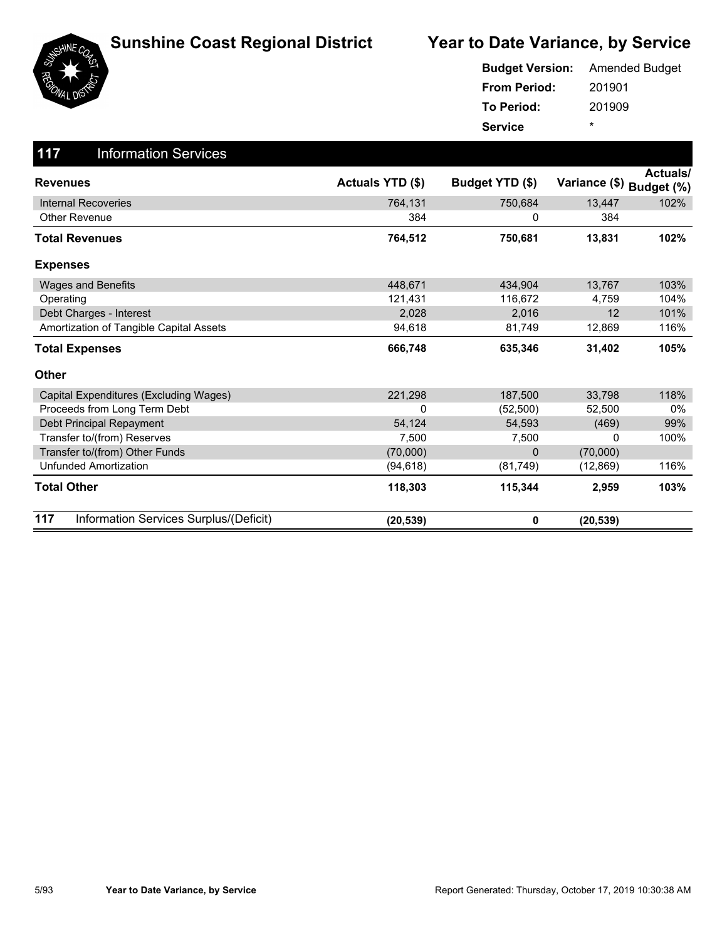

|                     | <b>Budget Version:</b> Amended Budget |
|---------------------|---------------------------------------|
| <b>From Period:</b> | 201901                                |
| To Period:          | 201909                                |
| <b>Service</b>      | ÷                                     |

| 117<br><b>Information Services</b>            |                  |                 |                          |          |
|-----------------------------------------------|------------------|-----------------|--------------------------|----------|
| <b>Revenues</b>                               | Actuals YTD (\$) | Budget YTD (\$) | Variance (\$) Budget (%) | Actuals/ |
| <b>Internal Recoveries</b>                    | 764,131          | 750,684         | 13,447                   | 102%     |
| <b>Other Revenue</b>                          | 384              | 0               | 384                      |          |
| <b>Total Revenues</b>                         | 764,512          | 750,681         | 13,831                   | 102%     |
| <b>Expenses</b>                               |                  |                 |                          |          |
| <b>Wages and Benefits</b>                     | 448,671          | 434,904         | 13,767                   | 103%     |
| Operating                                     | 121,431          | 116,672         | 4,759                    | 104%     |
| Debt Charges - Interest                       | 2,028            | 2,016           | 12                       | 101%     |
| Amortization of Tangible Capital Assets       | 94,618           | 81,749          | 12,869                   | 116%     |
| <b>Total Expenses</b>                         | 666,748          | 635,346         | 31,402                   | 105%     |
| <b>Other</b>                                  |                  |                 |                          |          |
| Capital Expenditures (Excluding Wages)        | 221,298          | 187.500         | 33,798                   | 118%     |
| Proceeds from Long Term Debt                  | 0                | (52, 500)       | 52,500                   | $0\%$    |
| Debt Principal Repayment                      | 54,124           | 54,593          | (469)                    | 99%      |
| Transfer to/(from) Reserves                   | 7,500            | 7,500           | 0                        | 100%     |
| Transfer to/(from) Other Funds                | (70,000)         | $\Omega$        | (70,000)                 |          |
| <b>Unfunded Amortization</b>                  | (94, 618)        | (81, 749)       | (12, 869)                | 116%     |
| <b>Total Other</b>                            | 118,303          | 115,344         | 2,959                    | 103%     |
| 117<br>Information Services Surplus/(Deficit) | (20, 539)        | 0               | (20, 539)                |          |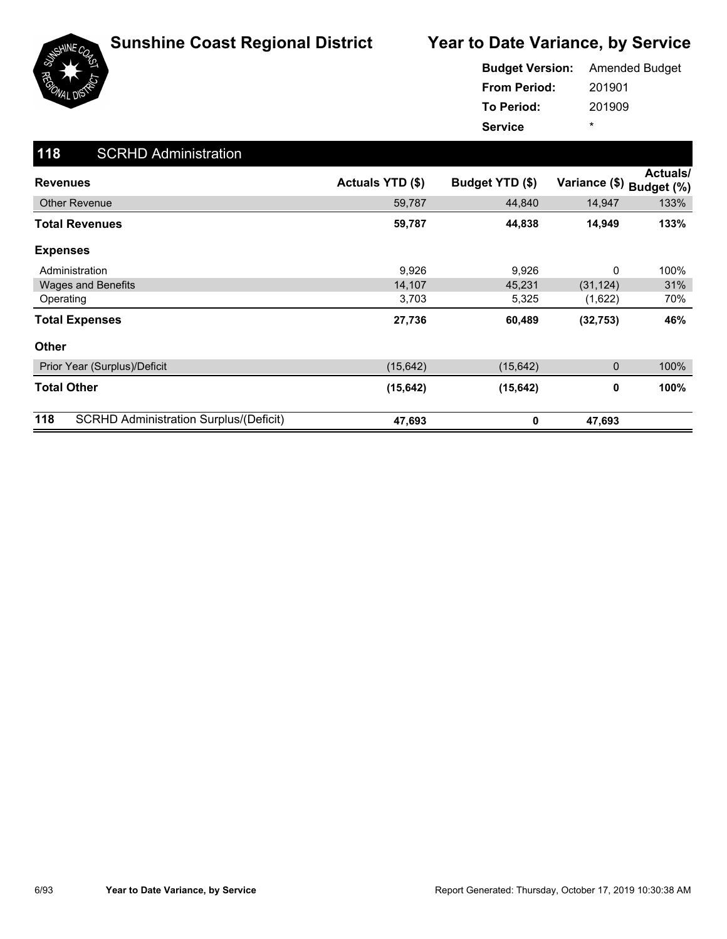

|                     | <b>Budget Version:</b> Amended Budget |
|---------------------|---------------------------------------|
| <b>From Period:</b> | 201901                                |
| <b>To Period:</b>   | 201909                                |
| <b>Service</b>      | ÷                                     |

| 118<br><b>SCRHD Administration</b>                   |                  |                 |               |                               |
|------------------------------------------------------|------------------|-----------------|---------------|-------------------------------|
| <b>Revenues</b>                                      | Actuals YTD (\$) | Budget YTD (\$) | Variance (\$) | <b>Actuals/</b><br>Budget (%) |
| <b>Other Revenue</b>                                 | 59,787           | 44,840          | 14,947        | 133%                          |
| <b>Total Revenues</b>                                | 59,787           | 44,838          | 14,949        | 133%                          |
| <b>Expenses</b>                                      |                  |                 |               |                               |
| Administration                                       | 9,926            | 9,926           | 0             | 100%                          |
| <b>Wages and Benefits</b>                            | 14,107           | 45,231          | (31, 124)     | 31%                           |
| Operating                                            | 3,703            | 5,325           | (1,622)       | 70%                           |
| <b>Total Expenses</b>                                | 27,736           | 60,489          | (32, 753)     | 46%                           |
| <b>Other</b>                                         |                  |                 |               |                               |
| Prior Year (Surplus)/Deficit                         | (15, 642)        | (15, 642)       | 0             | 100%                          |
| <b>Total Other</b>                                   | (15, 642)        | (15, 642)       | 0             | 100%                          |
| 118<br><b>SCRHD Administration Surplus/(Deficit)</b> | 47,693           | 0               | 47,693        |                               |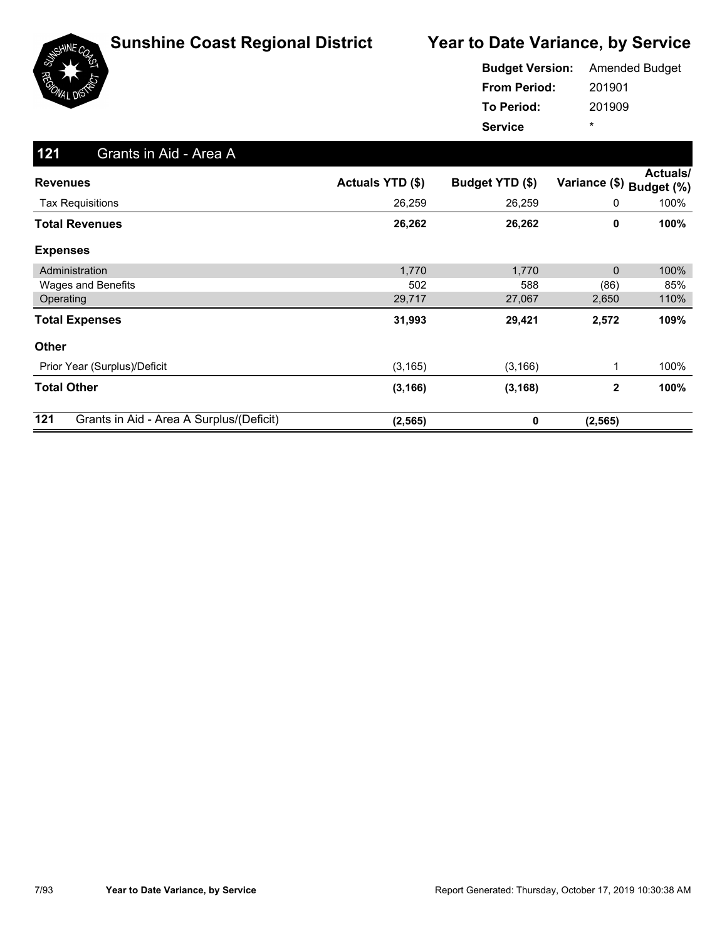

|                     | <b>Budget Version:</b> Amended Budget |
|---------------------|---------------------------------------|
| <b>From Period:</b> | 201901                                |
| To Period:          | 201909                                |
| <b>Service</b>      | ÷                                     |

| 121<br>Grants in Aid - Area A                   |                  |                 |               |                        |
|-------------------------------------------------|------------------|-----------------|---------------|------------------------|
| <b>Revenues</b>                                 | Actuals YTD (\$) | Budget YTD (\$) | Variance (\$) | Actuals/<br>Budget (%) |
| <b>Tax Requisitions</b>                         | 26,259           | 26,259          | 0             | 100%                   |
| <b>Total Revenues</b>                           | 26,262           | 26,262          | 0             | 100%                   |
| <b>Expenses</b>                                 |                  |                 |               |                        |
| Administration                                  | 1,770            | 1,770           | 0             | 100%                   |
| Wages and Benefits                              | 502              | 588             | (86)          | 85%                    |
| Operating                                       | 29,717           | 27,067          | 2,650         | 110%                   |
| <b>Total Expenses</b>                           | 31,993           | 29,421          | 2,572         | 109%                   |
| Other                                           |                  |                 |               |                        |
| Prior Year (Surplus)/Deficit                    | (3, 165)         | (3, 166)        | 1             | 100%                   |
| <b>Total Other</b>                              | (3, 166)         | (3, 168)        | 2             | 100%                   |
| 121<br>Grants in Aid - Area A Surplus/(Deficit) | (2, 565)         | 0               | (2, 565)      |                        |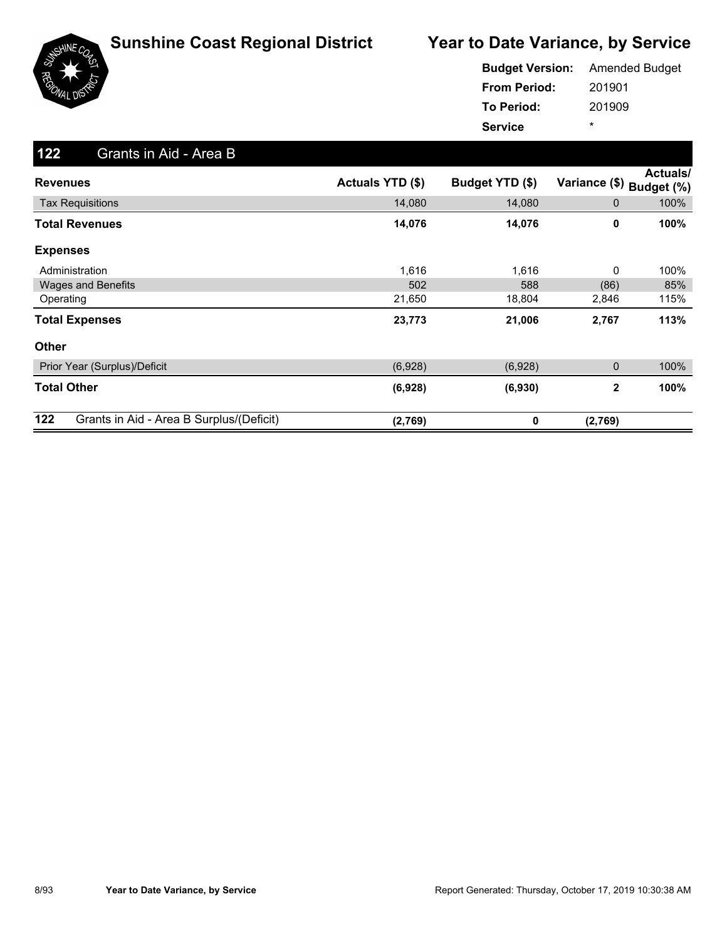

|                     | <b>Budget Version:</b> Amended Budget |
|---------------------|---------------------------------------|
| <b>From Period:</b> | 201901                                |
| <b>To Period:</b>   | 201909                                |
| <b>Service</b>      | ÷                                     |

| 122<br>Grants in Aid - Area B                   |                  |                 |                |                        |
|-------------------------------------------------|------------------|-----------------|----------------|------------------------|
| <b>Revenues</b>                                 | Actuals YTD (\$) | Budget YTD (\$) | Variance (\$)  | Actuals/<br>Budget (%) |
| <b>Tax Requisitions</b>                         | 14,080           | 14,080          | $\mathbf 0$    | 100%                   |
| <b>Total Revenues</b>                           | 14,076           | 14,076          | 0              | 100%                   |
| <b>Expenses</b>                                 |                  |                 |                |                        |
| Administration                                  | 1,616            | 1,616           | 0              | 100%                   |
| <b>Wages and Benefits</b>                       | 502              | 588             | (86)           | 85%                    |
| Operating                                       | 21,650           | 18,804          | 2,846          | 115%                   |
| <b>Total Expenses</b>                           | 23,773           | 21,006          | 2,767          | 113%                   |
| <b>Other</b>                                    |                  |                 |                |                        |
| Prior Year (Surplus)/Deficit                    | (6,928)          | (6,928)         | 0              | 100%                   |
| <b>Total Other</b>                              | (6,928)          | (6,930)         | $\overline{2}$ | 100%                   |
| 122<br>Grants in Aid - Area B Surplus/(Deficit) | (2,769)          | 0               | (2,769)        |                        |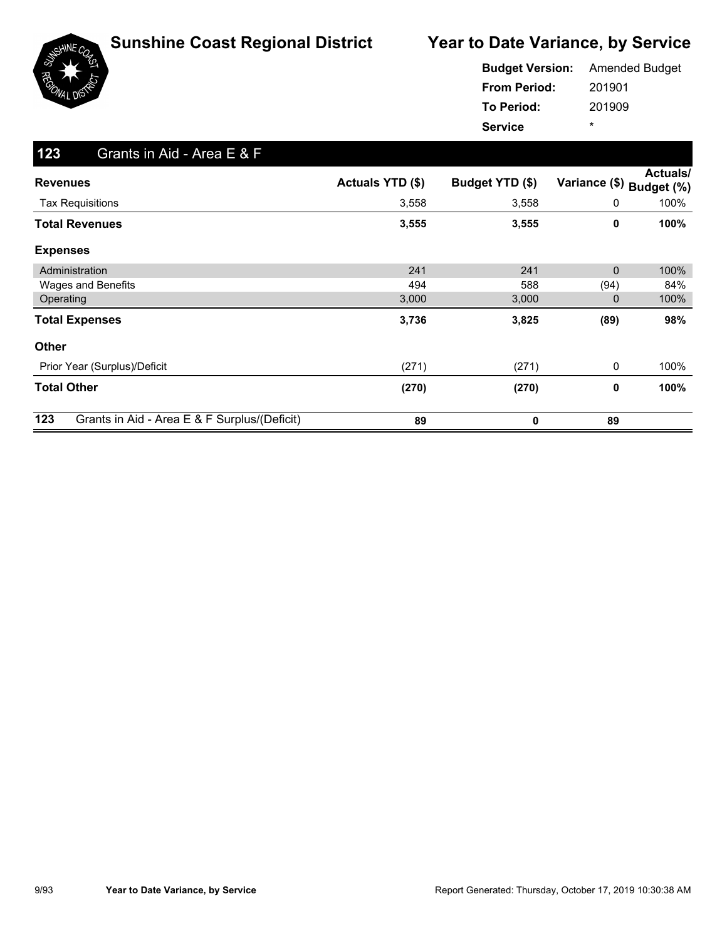

|                     | <b>Budget Version:</b> Amended Budget |
|---------------------|---------------------------------------|
| <b>From Period:</b> | 201901                                |
| <b>To Period:</b>   | 201909                                |
| <b>Service</b>      | ÷                                     |

| 123<br>Grants in Aid - Area E & F                   |                         |                 |               |                               |
|-----------------------------------------------------|-------------------------|-----------------|---------------|-------------------------------|
| <b>Revenues</b>                                     | <b>Actuals YTD (\$)</b> | Budget YTD (\$) | Variance (\$) | <b>Actuals/</b><br>Budget (%) |
| <b>Tax Requisitions</b>                             | 3,558                   | 3,558           | 0             | 100%                          |
| <b>Total Revenues</b>                               | 3,555                   | 3,555           | 0             | 100%                          |
| <b>Expenses</b>                                     |                         |                 |               |                               |
| Administration                                      | 241                     | 241             | 0             | 100%                          |
| Wages and Benefits                                  | 494                     | 588             | (94)          | 84%                           |
| Operating                                           | 3,000                   | 3,000           | 0             | 100%                          |
| <b>Total Expenses</b>                               | 3,736                   | 3,825           | (89)          | 98%                           |
| Other                                               |                         |                 |               |                               |
| Prior Year (Surplus)/Deficit                        | (271)                   | (271)           | 0             | 100%                          |
| <b>Total Other</b>                                  | (270)                   | (270)           | 0             | 100%                          |
| 123<br>Grants in Aid - Area E & F Surplus/(Deficit) | 89                      | 0               | 89            |                               |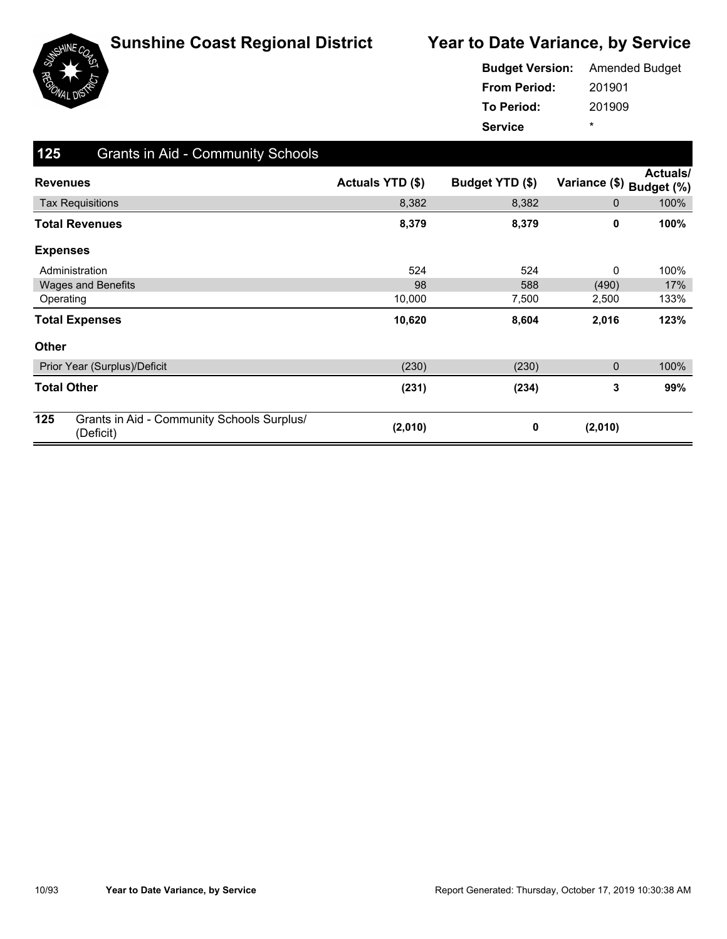

|                     | <b>Budget Version:</b> Amended Budget |
|---------------------|---------------------------------------|
| <b>From Period:</b> | 201901                                |
| <b>To Period:</b>   | 201909                                |
| <b>Service</b>      | ÷                                     |

| 125             | <b>Grants in Aid - Community Schools</b>                |                  |                 |               |                        |
|-----------------|---------------------------------------------------------|------------------|-----------------|---------------|------------------------|
| <b>Revenues</b> |                                                         | Actuals YTD (\$) | Budget YTD (\$) | Variance (\$) | Actuals/<br>Budget (%) |
|                 | <b>Tax Requisitions</b>                                 | 8,382            | 8,382           | 0             | 100%                   |
|                 | Total Revenues                                          | 8,379            | 8,379           | 0             | 100%                   |
| <b>Expenses</b> |                                                         |                  |                 |               |                        |
|                 | Administration                                          | 524              | 524             | 0             | 100%                   |
|                 | <b>Wages and Benefits</b>                               | 98               | 588             | (490)         | 17%                    |
| Operating       |                                                         | 10,000           | 7,500           | 2,500         | 133%                   |
|                 | <b>Total Expenses</b>                                   | 10,620           | 8,604           | 2,016         | 123%                   |
| <b>Other</b>    |                                                         |                  |                 |               |                        |
|                 | Prior Year (Surplus)/Deficit                            | (230)            | (230)           | $\mathbf 0$   | 100%                   |
|                 | <b>Total Other</b>                                      | (231)            | (234)           | 3             | 99%                    |
| 125             | Grants in Aid - Community Schools Surplus/<br>(Deficit) | (2,010)          | 0               | (2,010)       |                        |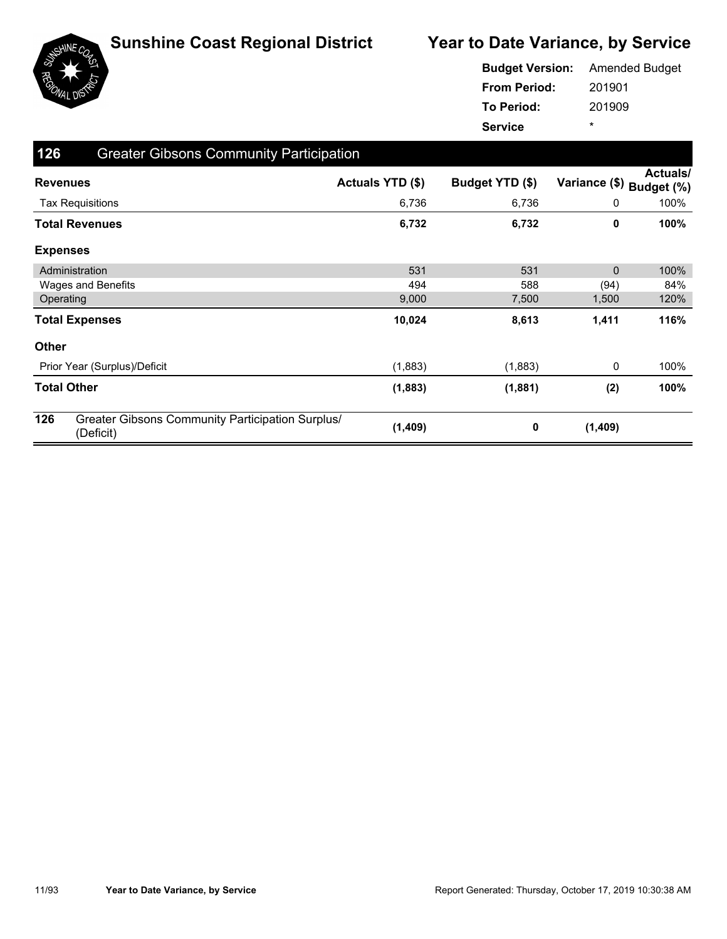

|                     | <b>Budget Version:</b> Amended Budget |
|---------------------|---------------------------------------|
| <b>From Period:</b> | 201901                                |
| <b>To Period:</b>   | 201909                                |
| <b>Service</b>      | ÷                                     |

| 126             | <b>Greater Gibsons Community Participation</b>                |                  |                 |                          |                 |
|-----------------|---------------------------------------------------------------|------------------|-----------------|--------------------------|-----------------|
|                 | <b>Revenues</b>                                               | Actuals YTD (\$) | Budget YTD (\$) | Variance (\$) Budget (%) | <b>Actuals/</b> |
|                 | <b>Tax Requisitions</b>                                       | 6,736            | 6,736           | 0                        | 100%            |
|                 | <b>Total Revenues</b>                                         | 6,732            | 6,732           | 0                        | 100%            |
| <b>Expenses</b> |                                                               |                  |                 |                          |                 |
|                 | Administration                                                | 531              | 531             | $\mathbf{0}$             | 100%            |
|                 | Wages and Benefits                                            | 494              | 588             | (94)                     | 84%             |
|                 | Operating                                                     | 9,000            | 7,500           | 1,500                    | 120%            |
|                 | <b>Total Expenses</b>                                         | 10,024           | 8,613           | 1,411                    | 116%            |
| <b>Other</b>    |                                                               |                  |                 |                          |                 |
|                 | Prior Year (Surplus)/Deficit                                  | (1,883)          | (1,883)         | 0                        | 100%            |
|                 | <b>Total Other</b>                                            | (1,883)          | (1,881)         | (2)                      | 100%            |
| 126             | Greater Gibsons Community Participation Surplus/<br>(Deficit) | (1, 409)         | 0               | (1,409)                  |                 |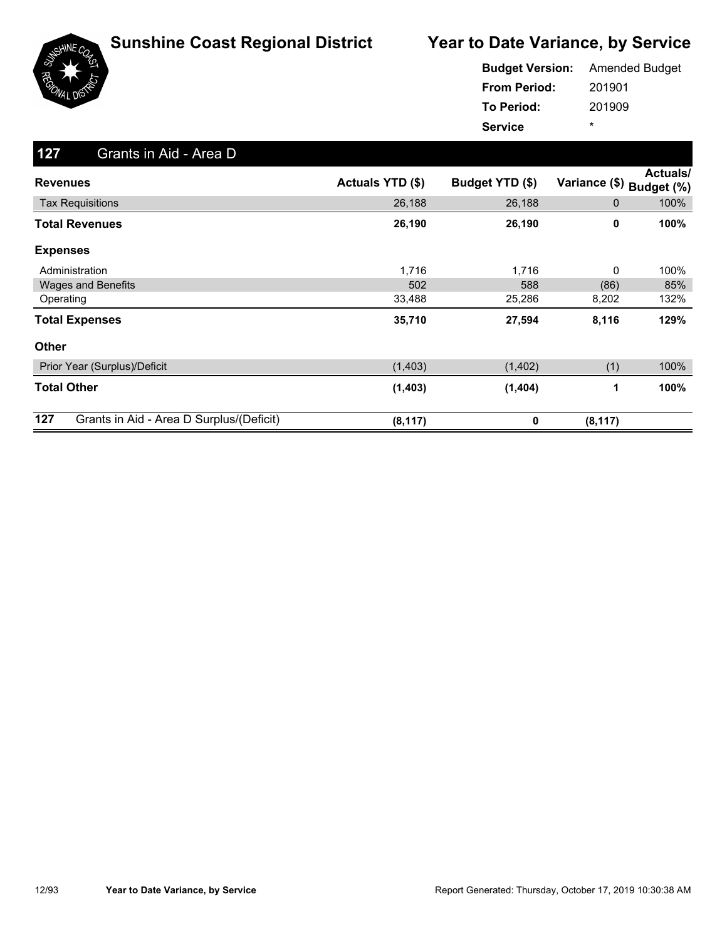

|                     | <b>Budget Version:</b> Amended Budget |
|---------------------|---------------------------------------|
| <b>From Period:</b> | 201901                                |
| <b>To Period:</b>   | 201909                                |
| <b>Service</b>      | ÷                                     |

| 127<br>Grants in Aid - Area D                   |                  |                 |                          |          |
|-------------------------------------------------|------------------|-----------------|--------------------------|----------|
| <b>Revenues</b>                                 | Actuals YTD (\$) | Budget YTD (\$) | Variance (\$) Budget (%) | Actuals/ |
| <b>Tax Requisitions</b>                         | 26,188           | 26,188          | $\mathbf 0$              | 100%     |
| <b>Total Revenues</b>                           | 26,190           | 26,190          | 0                        | 100%     |
| <b>Expenses</b>                                 |                  |                 |                          |          |
| Administration                                  | 1,716            | 1,716           | 0                        | 100%     |
| <b>Wages and Benefits</b>                       | 502              | 588             | (86)                     | 85%      |
| Operating                                       | 33,488           | 25,286          | 8,202                    | 132%     |
| <b>Total Expenses</b>                           | 35,710           | 27,594          | 8,116                    | 129%     |
| <b>Other</b>                                    |                  |                 |                          |          |
| Prior Year (Surplus)/Deficit                    | (1,403)          | (1,402)         | (1)                      | 100%     |
| <b>Total Other</b>                              | (1, 403)         | (1,404)         | 1                        | 100%     |
| 127<br>Grants in Aid - Area D Surplus/(Deficit) | (8, 117)         | 0               | (8, 117)                 |          |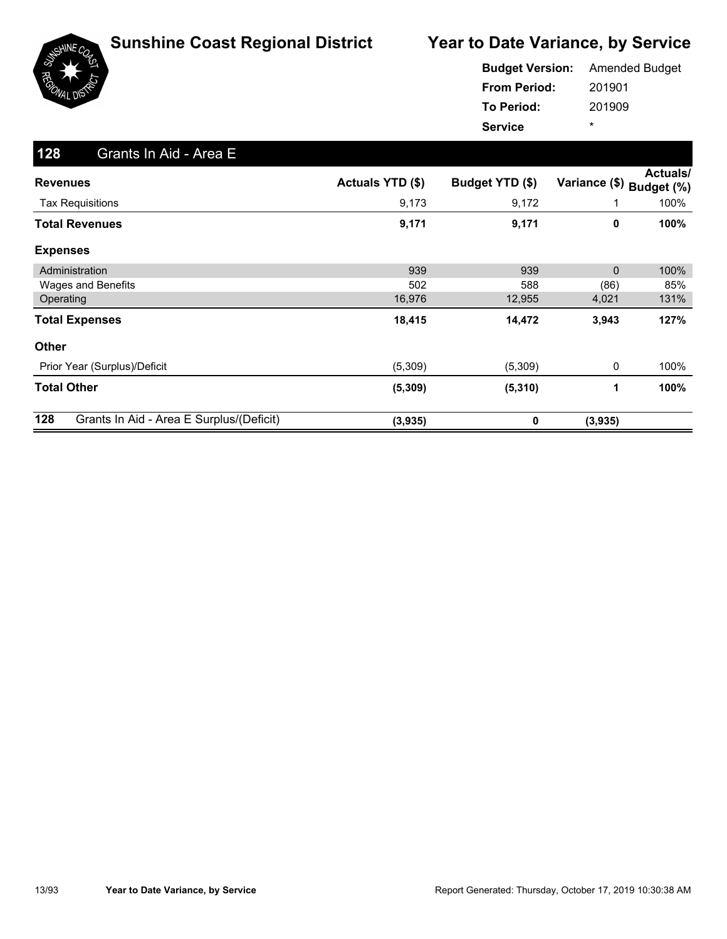

|                     | <b>Budget Version:</b> Amended Budget |
|---------------------|---------------------------------------|
| <b>From Period:</b> | 201901                                |
| To Period:          | 201909                                |
| <b>Service</b>      | ×                                     |

| 128<br>Grants In Aid - Area E                   |                  |                 |               |                        |
|-------------------------------------------------|------------------|-----------------|---------------|------------------------|
| <b>Revenues</b>                                 | Actuals YTD (\$) | Budget YTD (\$) | Variance (\$) | Actuals/<br>Budget (%) |
| <b>Tax Requisitions</b>                         | 9,173            | 9,172           |               | 100%                   |
| <b>Total Revenues</b>                           | 9,171            | 9,171           | 0             | 100%                   |
| <b>Expenses</b>                                 |                  |                 |               |                        |
| Administration                                  | 939              | 939             | 0             | 100%                   |
| Wages and Benefits                              | 502              | 588             | (86)          | 85%                    |
| Operating                                       | 16,976           | 12,955          | 4,021         | 131%                   |
| <b>Total Expenses</b>                           | 18,415           | 14,472          | 3,943         | 127%                   |
| <b>Other</b>                                    |                  |                 |               |                        |
| Prior Year (Surplus)/Deficit                    | (5,309)          | (5,309)         | 0             | 100%                   |
| <b>Total Other</b>                              | (5, 309)         | (5, 310)        | 1             | 100%                   |
| 128<br>Grants In Aid - Area E Surplus/(Deficit) | (3,935)          | 0               | (3,935)       |                        |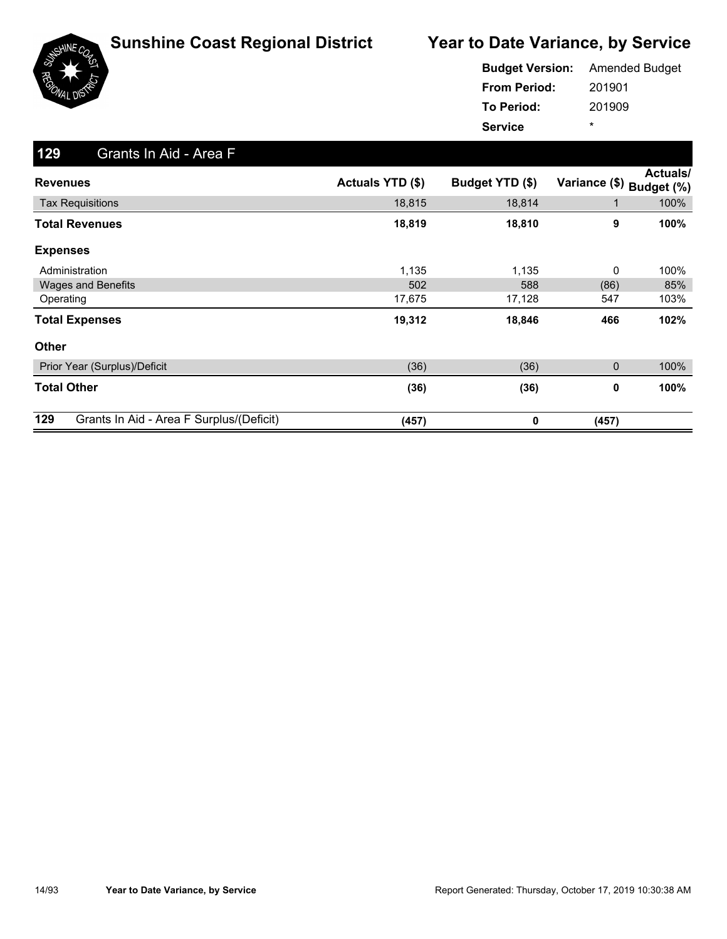

|                     | <b>Budget Version:</b> Amended Budget |
|---------------------|---------------------------------------|
| <b>From Period:</b> | 201901                                |
| <b>To Period:</b>   | 201909                                |
| <b>Service</b>      | ÷                                     |

| 129<br>Grants In Aid - Area F                   |                  |                 |               |                               |
|-------------------------------------------------|------------------|-----------------|---------------|-------------------------------|
| <b>Revenues</b>                                 | Actuals YTD (\$) | Budget YTD (\$) | Variance (\$) | <b>Actuals/</b><br>Budget (%) |
| <b>Tax Requisitions</b>                         | 18,815           | 18,814          | $\mathbf 1$   | 100%                          |
| <b>Total Revenues</b>                           | 18,819           | 18,810          | 9             | 100%                          |
| <b>Expenses</b>                                 |                  |                 |               |                               |
| Administration                                  | 1,135            | 1,135           | 0             | 100%                          |
| <b>Wages and Benefits</b>                       | 502              | 588             | (86)          | 85%                           |
| Operating                                       | 17,675           | 17,128          | 547           | 103%                          |
| <b>Total Expenses</b>                           | 19,312           | 18,846          | 466           | 102%                          |
| <b>Other</b>                                    |                  |                 |               |                               |
| Prior Year (Surplus)/Deficit                    | (36)             | (36)            | 0             | 100%                          |
| <b>Total Other</b>                              | (36)             | (36)            | 0             | 100%                          |
| 129<br>Grants In Aid - Area F Surplus/(Deficit) | (457)            | 0               | (457)         |                               |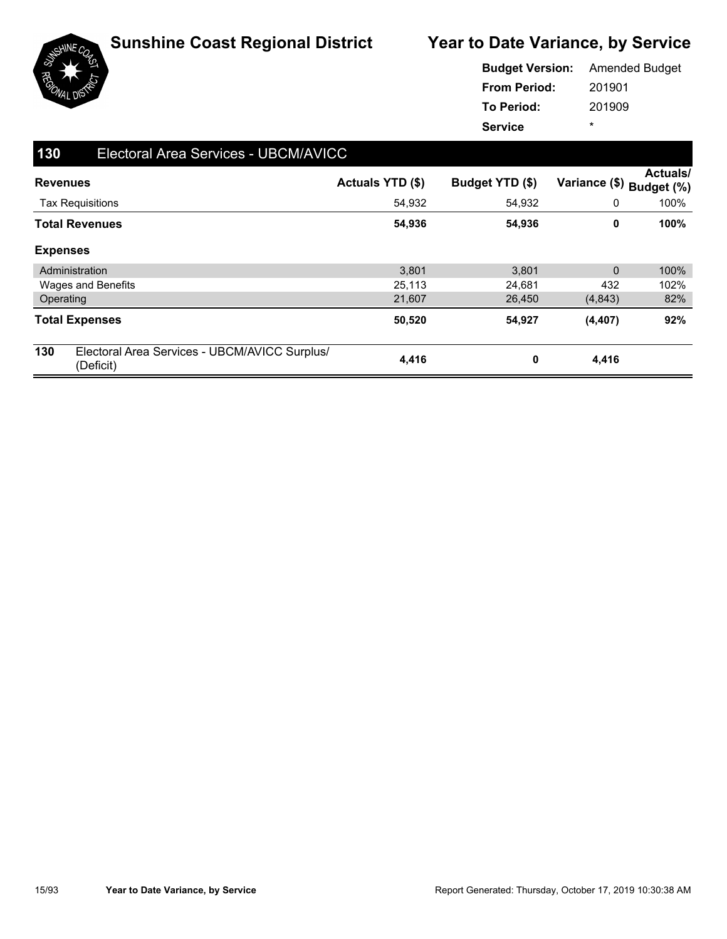

|                     | <b>Budget Version:</b> Amended Budget |
|---------------------|---------------------------------------|
| <b>From Period:</b> | 201901                                |
| <b>To Period:</b>   | 201909                                |
| <b>Service</b>      | ÷                                     |

| 130             | Electoral Area Services - UBCM/AVICC                       |                  |                 |                          |                 |
|-----------------|------------------------------------------------------------|------------------|-----------------|--------------------------|-----------------|
| <b>Revenues</b> |                                                            | Actuals YTD (\$) | Budget YTD (\$) | Variance (\$) Budget (%) | <b>Actuals/</b> |
|                 | <b>Tax Requisitions</b>                                    | 54,932           | 54,932          | 0                        | 100%            |
|                 | <b>Total Revenues</b>                                      | 54,936           | 54,936          | 0                        | 100%            |
| <b>Expenses</b> |                                                            |                  |                 |                          |                 |
|                 | Administration                                             | 3,801            | 3,801           | $\Omega$                 | 100%            |
|                 | Wages and Benefits                                         | 25,113           | 24,681          | 432                      | 102%            |
| Operating       |                                                            | 21,607           | 26,450          | (4,843)                  | 82%             |
|                 | <b>Total Expenses</b>                                      | 50,520           | 54,927          | (4, 407)                 | 92%             |
| 130             | Electoral Area Services - UBCM/AVICC Surplus/<br>(Deficit) | 4,416            | 0               | 4,416                    |                 |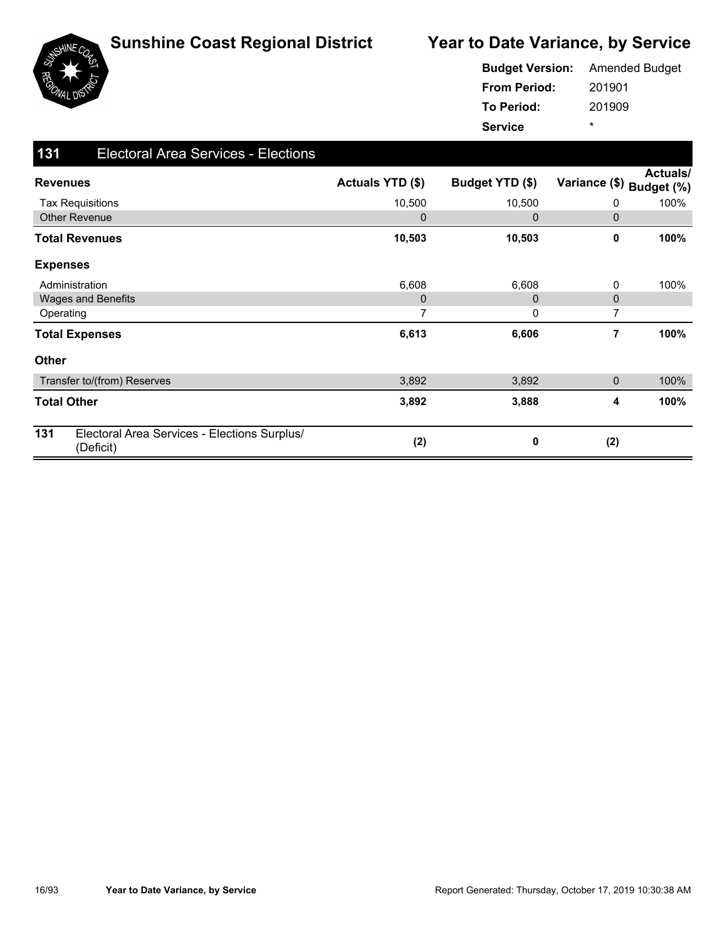

| <b>Budget Version:</b> | <b>Amended Budget</b> |
|------------------------|-----------------------|
| <b>From Period:</b>    | 201901                |
| To Period:             | 201909                |
| <b>Service</b>         | ÷                     |

| 131             | <b>Electoral Area Services - Elections</b>                |                  |                 |               |                        |
|-----------------|-----------------------------------------------------------|------------------|-----------------|---------------|------------------------|
| <b>Revenues</b> |                                                           | Actuals YTD (\$) | Budget YTD (\$) | Variance (\$) | Actuals/<br>Budget (%) |
|                 | <b>Tax Requisitions</b>                                   | 10,500           | 10,500          | 0             | 100%                   |
|                 | <b>Other Revenue</b>                                      | $\mathbf 0$      | $\mathbf 0$     | 0             |                        |
|                 | <b>Total Revenues</b>                                     | 10,503           | 10,503          | 0             | 100%                   |
| <b>Expenses</b> |                                                           |                  |                 |               |                        |
|                 | Administration                                            | 6,608            | 6,608           | 0             | 100%                   |
|                 | <b>Wages and Benefits</b>                                 | $\mathbf 0$      | $\Omega$        | 0             |                        |
| Operating       |                                                           | 7                | 0               | 7             |                        |
|                 | <b>Total Expenses</b>                                     | 6,613            | 6,606           | 7             | 100%                   |
| <b>Other</b>    |                                                           |                  |                 |               |                        |
|                 | Transfer to/(from) Reserves                               | 3,892            | 3,892           | 0             | 100%                   |
|                 | <b>Total Other</b>                                        | 3,892            | 3,888           | 4             | 100%                   |
| 131             | Electoral Area Services - Elections Surplus/<br>(Deficit) | (2)              | 0               | (2)           |                        |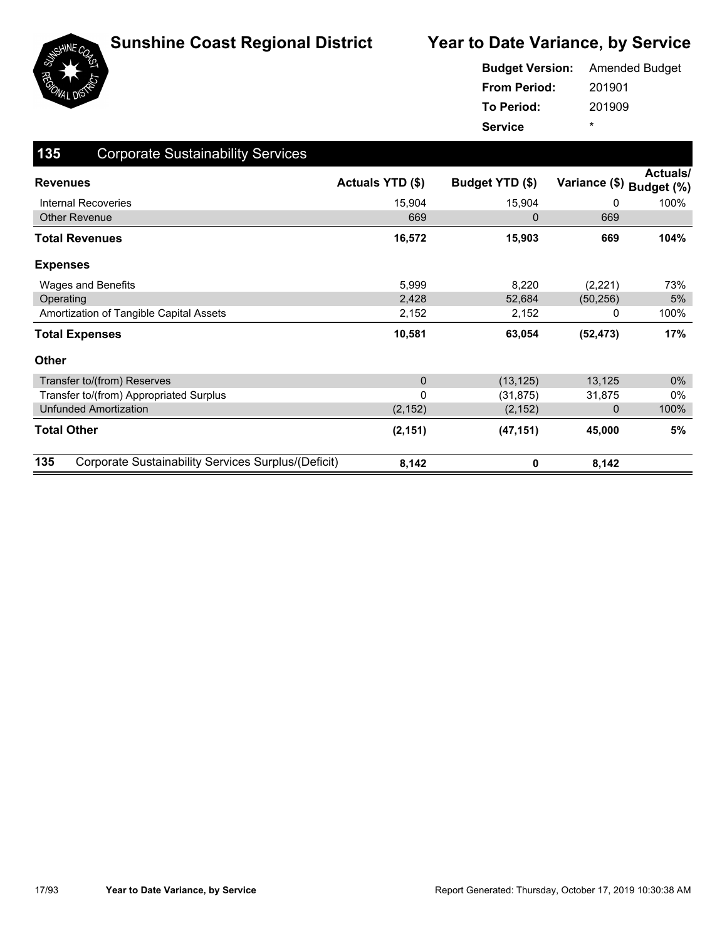

|                     | <b>Budget Version:</b> Amended Budget |
|---------------------|---------------------------------------|
| <b>From Period:</b> | 201901                                |
| To Period:          | 201909                                |
| <b>Service</b>      | *                                     |

| 135<br><b>Corporate Sustainability Services</b>            |                  |                 |               |                               |
|------------------------------------------------------------|------------------|-----------------|---------------|-------------------------------|
| <b>Revenues</b>                                            | Actuals YTD (\$) | Budget YTD (\$) | Variance (\$) | <b>Actuals/</b><br>Budget (%) |
| <b>Internal Recoveries</b>                                 | 15,904           | 15,904          | 0             | 100%                          |
| <b>Other Revenue</b>                                       | 669              | 0               | 669           |                               |
| Total Revenues                                             | 16,572           | 15,903          | 669           | 104%                          |
| <b>Expenses</b>                                            |                  |                 |               |                               |
| Wages and Benefits                                         | 5,999            | 8,220           | (2,221)       | 73%                           |
| Operating                                                  | 2,428            | 52,684          | (50, 256)     | 5%                            |
| Amortization of Tangible Capital Assets                    | 2,152            | 2,152           | 0             | 100%                          |
| <b>Total Expenses</b>                                      | 10,581           | 63,054          | (52, 473)     | 17%                           |
| <b>Other</b>                                               |                  |                 |               |                               |
| Transfer to/(from) Reserves                                | $\mathbf 0$      | (13, 125)       | 13,125        | $0\%$                         |
| Transfer to/(from) Appropriated Surplus                    | $\mathbf 0$      | (31, 875)       | 31,875        | 0%                            |
| <b>Unfunded Amortization</b>                               | (2, 152)         | (2, 152)        | 0             | 100%                          |
| <b>Total Other</b>                                         | (2, 151)         | (47, 151)       | 45,000        | 5%                            |
| 135<br>Corporate Sustainability Services Surplus/(Deficit) | 8,142            | 0               | 8,142         |                               |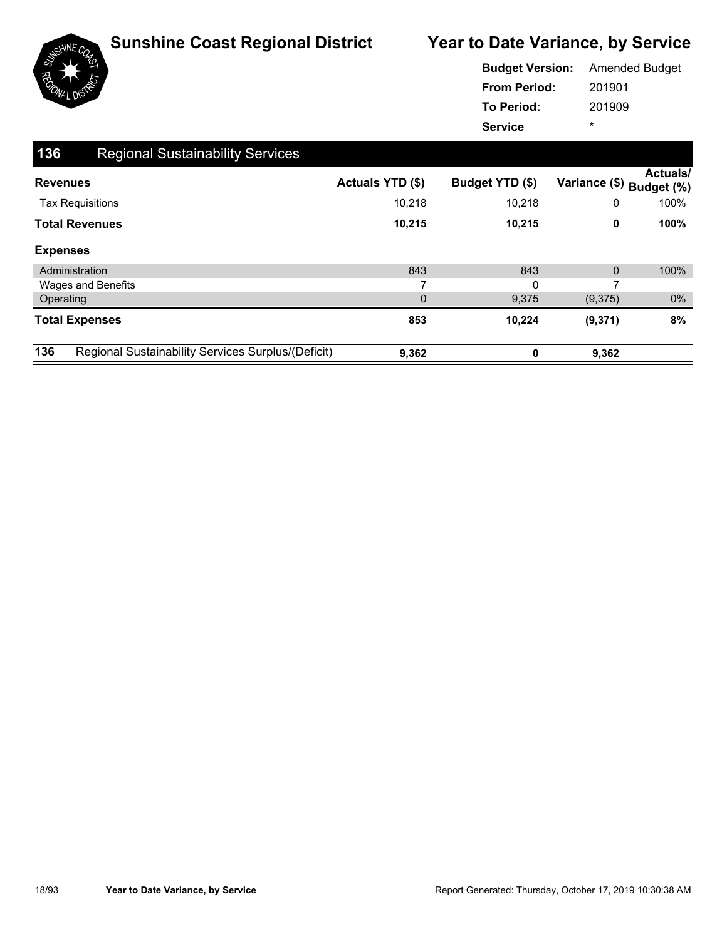

|                     | <b>Budget Version:</b> Amended Budget |
|---------------------|---------------------------------------|
| <b>From Period:</b> | 201901                                |
| To Period:          | 201909                                |
| <b>Service</b>      | ÷                                     |

| 136 | <b>Regional Sustainability Services</b>            |                  |                 |                          |                 |
|-----|----------------------------------------------------|------------------|-----------------|--------------------------|-----------------|
|     | <b>Revenues</b>                                    | Actuals YTD (\$) | Budget YTD (\$) | Variance (\$) Budget (%) | <b>Actuals/</b> |
|     | <b>Tax Requisitions</b>                            | 10,218           | 10,218          | 0                        | 100%            |
|     | <b>Total Revenues</b>                              | 10,215           | 10,215          | 0                        | 100%            |
|     | <b>Expenses</b>                                    |                  |                 |                          |                 |
|     | Administration                                     | 843              | 843             | $\mathbf{0}$             | 100%            |
|     | <b>Wages and Benefits</b>                          | 7                | $\Omega$        | 7                        |                 |
|     | Operating                                          | $\mathbf 0$      | 9,375           | (9,375)                  | $0\%$           |
|     | <b>Total Expenses</b>                              | 853              | 10,224          | (9,371)                  | 8%              |
| 136 | Regional Sustainability Services Surplus/(Deficit) | 9,362            | ŋ               | 9,362                    |                 |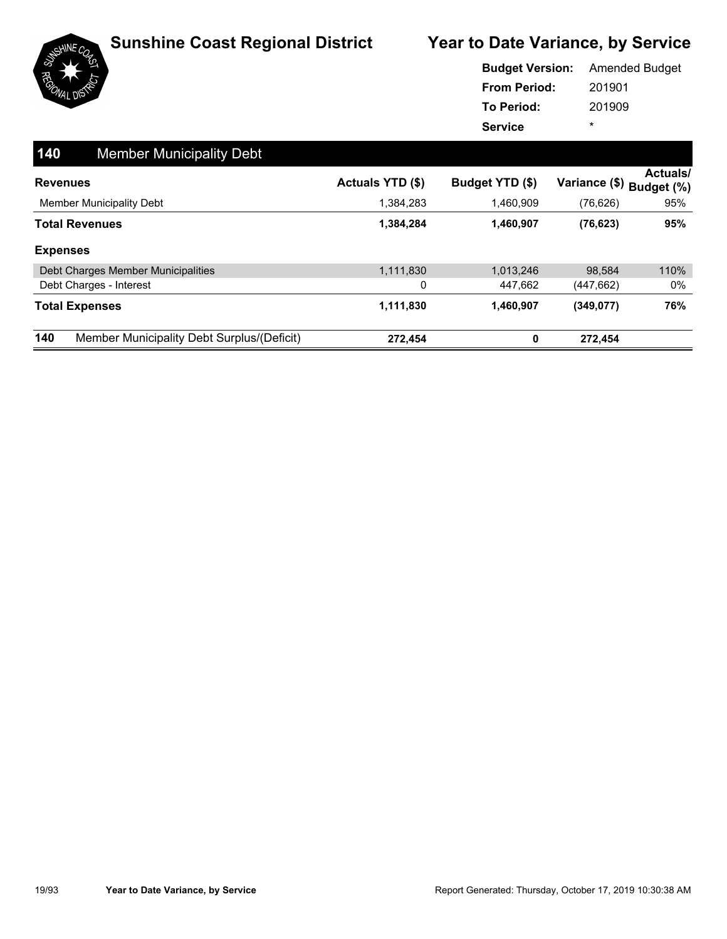

|                     | <b>Budget Version:</b> Amended Budget |
|---------------------|---------------------------------------|
| <b>From Period:</b> | 201901                                |
| To Period:          | 201909                                |
| <b>Service</b>      | ÷                                     |

| 140 | <b>Member Municipality Debt</b>            |                         |                 |                          |          |
|-----|--------------------------------------------|-------------------------|-----------------|--------------------------|----------|
|     | <b>Revenues</b>                            | <b>Actuals YTD (\$)</b> | Budget YTD (\$) | Variance (\$) Budget (%) | Actuals/ |
|     | <b>Member Municipality Debt</b>            | 1,384,283               | 1,460,909       | (76, 626)                | 95%      |
|     | <b>Total Revenues</b>                      | 1,384,284               | 1,460,907       | (76, 623)                | 95%      |
|     | <b>Expenses</b>                            |                         |                 |                          |          |
|     | Debt Charges Member Municipalities         | 1,111,830               | 1,013,246       | 98.584                   | 110%     |
|     | Debt Charges - Interest                    | 0                       | 447.662         | (447, 662)               | 0%       |
|     | <b>Total Expenses</b>                      | 1,111,830               | 1,460,907       | (349, 077)               | 76%      |
| 140 | Member Municipality Debt Surplus/(Deficit) | 272,454                 | 0               | 272,454                  |          |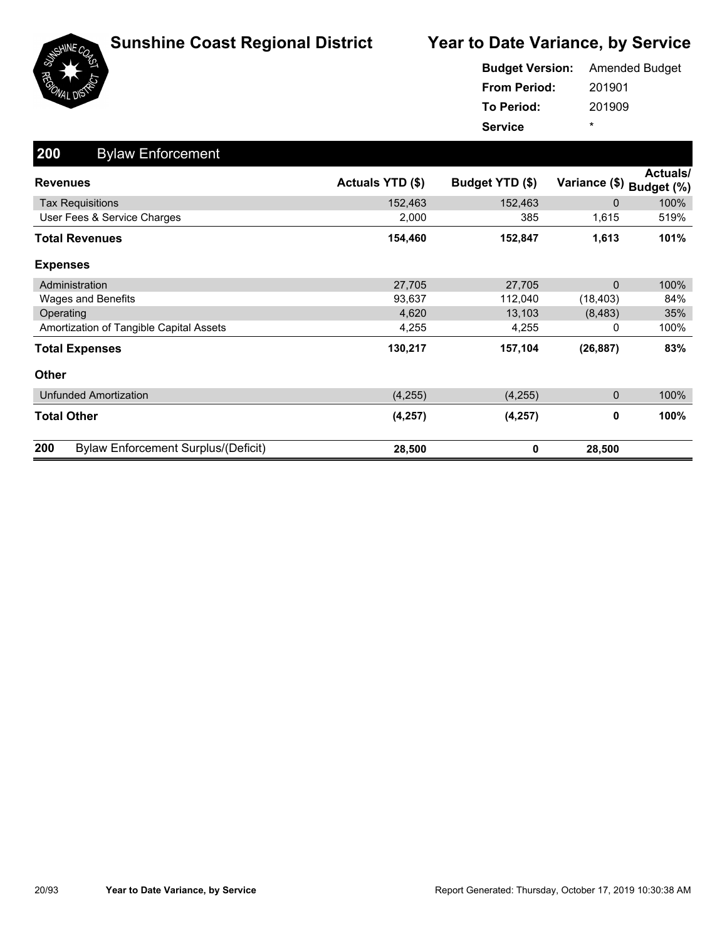

|                     | <b>Budget Version:</b> Amended Budget |
|---------------------|---------------------------------------|
| <b>From Period:</b> | 201901                                |
| To Period:          | 201909                                |
| <b>Service</b>      | $\star$                               |

| 200<br><b>Bylaw Enforcement</b>                   |                  |                 |               |                        |
|---------------------------------------------------|------------------|-----------------|---------------|------------------------|
| <b>Revenues</b>                                   | Actuals YTD (\$) | Budget YTD (\$) | Variance (\$) | Actuals/<br>Budget (%) |
| <b>Tax Requisitions</b>                           | 152,463          | 152,463         | 0             | 100%                   |
| User Fees & Service Charges                       | 2,000            | 385             | 1,615         | 519%                   |
| <b>Total Revenues</b>                             | 154,460          | 152,847         | 1,613         | 101%                   |
| <b>Expenses</b>                                   |                  |                 |               |                        |
| Administration                                    | 27,705           | 27,705          | $\mathbf{0}$  | 100%                   |
| Wages and Benefits                                | 93,637           | 112,040         | (18, 403)     | 84%                    |
| Operating                                         | 4,620            | 13,103          | (8, 483)      | 35%                    |
| Amortization of Tangible Capital Assets           | 4,255            | 4,255           | 0             | 100%                   |
| <b>Total Expenses</b>                             | 130,217          | 157,104         | (26, 887)     | 83%                    |
| <b>Other</b>                                      |                  |                 |               |                        |
| <b>Unfunded Amortization</b>                      | (4, 255)         | (4,255)         | 0             | 100%                   |
| <b>Total Other</b>                                | (4, 257)         | (4, 257)        | 0             | 100%                   |
| 200<br><b>Bylaw Enforcement Surplus/(Deficit)</b> | 28,500           | 0               | 28,500        |                        |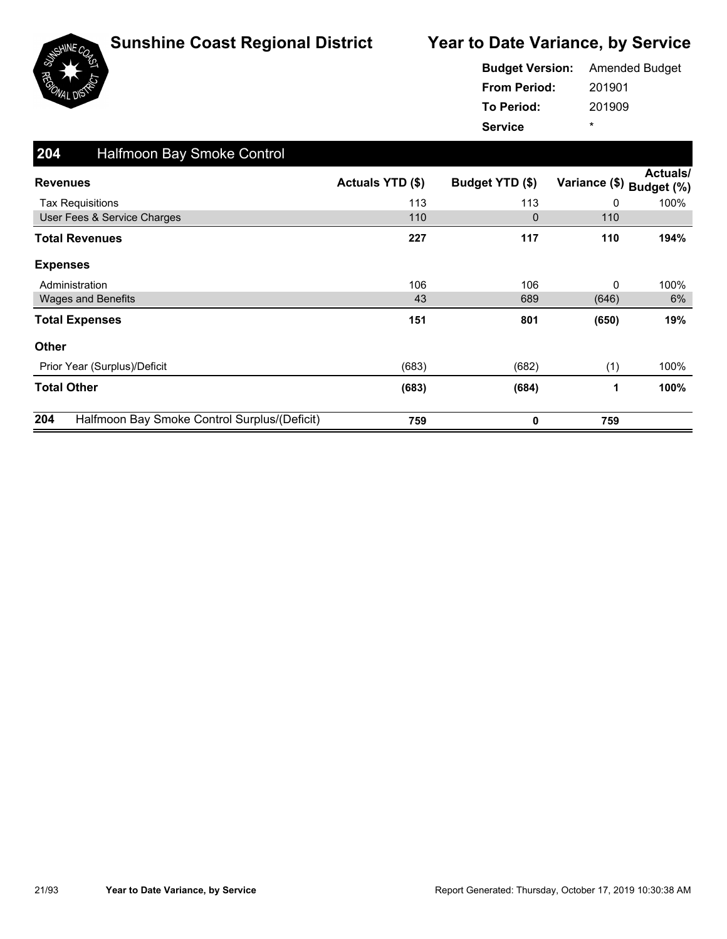



| <b>Budget Version:</b> Amended Budget |        |
|---------------------------------------|--------|
| <b>From Period:</b>                   | 201901 |
| To Period:                            | 201909 |
| <b>Service</b>                        | ÷      |

| 204<br><b>Halfmoon Bay Smoke Control</b>            |                  |                 |               |                               |
|-----------------------------------------------------|------------------|-----------------|---------------|-------------------------------|
| <b>Revenues</b>                                     | Actuals YTD (\$) | Budget YTD (\$) | Variance (\$) | <b>Actuals/</b><br>Budget (%) |
| <b>Tax Requisitions</b>                             | 113              | 113             | 0             | 100%                          |
| User Fees & Service Charges                         | 110              | 0               | 110           |                               |
| <b>Total Revenues</b>                               | 227              | 117             | 110           | 194%                          |
| <b>Expenses</b>                                     |                  |                 |               |                               |
| Administration                                      | 106              | 106             | 0             | 100%                          |
| <b>Wages and Benefits</b>                           | 43               | 689             | (646)         | 6%                            |
| <b>Total Expenses</b>                               | 151              | 801             | (650)         | 19%                           |
| <b>Other</b>                                        |                  |                 |               |                               |
| Prior Year (Surplus)/Deficit                        | (683)            | (682)           | (1)           | 100%                          |
| <b>Total Other</b>                                  | (683)            | (684)           | 1             | 100%                          |
| 204<br>Halfmoon Bay Smoke Control Surplus/(Deficit) | 759              | 0               | 759           |                               |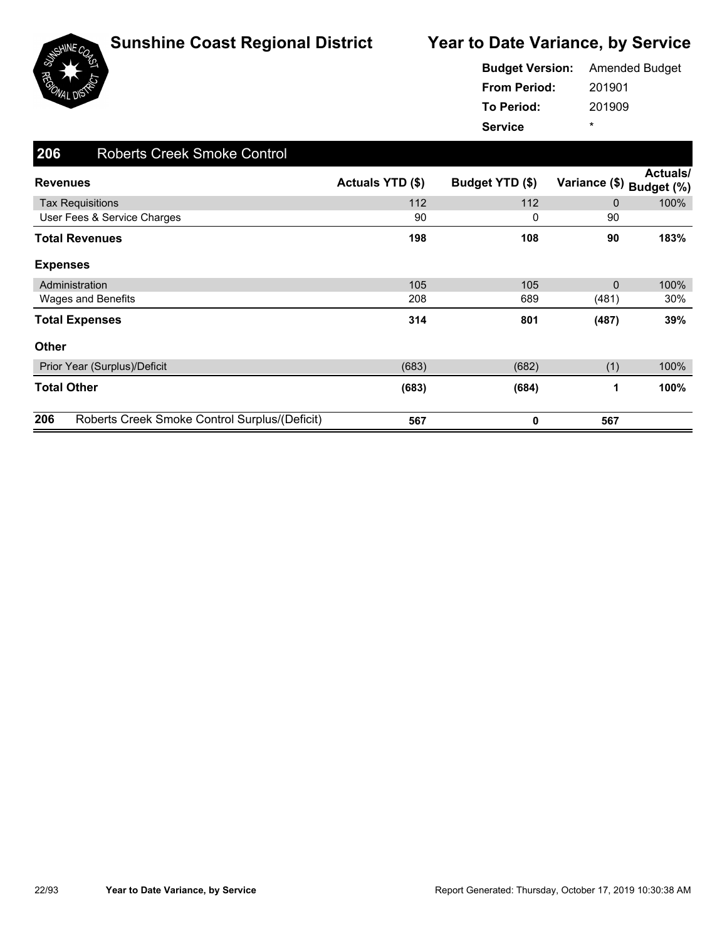



201901 201909 **From Period: To Period: Service** \* **Budget Version:** Amended Budget

| 206<br><b>Roberts Creek Smoke Control</b>            |                  |                 |               |                        |
|------------------------------------------------------|------------------|-----------------|---------------|------------------------|
| <b>Revenues</b>                                      | Actuals YTD (\$) | Budget YTD (\$) | Variance (\$) | Actuals/<br>Budget (%) |
| <b>Tax Requisitions</b>                              | 112              | 112             | $\mathbf{0}$  | 100%                   |
| User Fees & Service Charges                          | 90               | 0               | 90            |                        |
| <b>Total Revenues</b>                                | 198              | 108             | 90            | 183%                   |
| <b>Expenses</b>                                      |                  |                 |               |                        |
| Administration                                       | 105              | 105             | $\mathbf{0}$  | 100%                   |
| Wages and Benefits                                   | 208              | 689             | (481)         | 30%                    |
| <b>Total Expenses</b>                                | 314              | 801             | (487)         | 39%                    |
| <b>Other</b>                                         |                  |                 |               |                        |
| Prior Year (Surplus)/Deficit                         | (683)            | (682)           | (1)           | 100%                   |
| <b>Total Other</b>                                   | (683)            | (684)           | 1             | 100%                   |
| 206<br>Roberts Creek Smoke Control Surplus/(Deficit) | 567              | 0               | 567           |                        |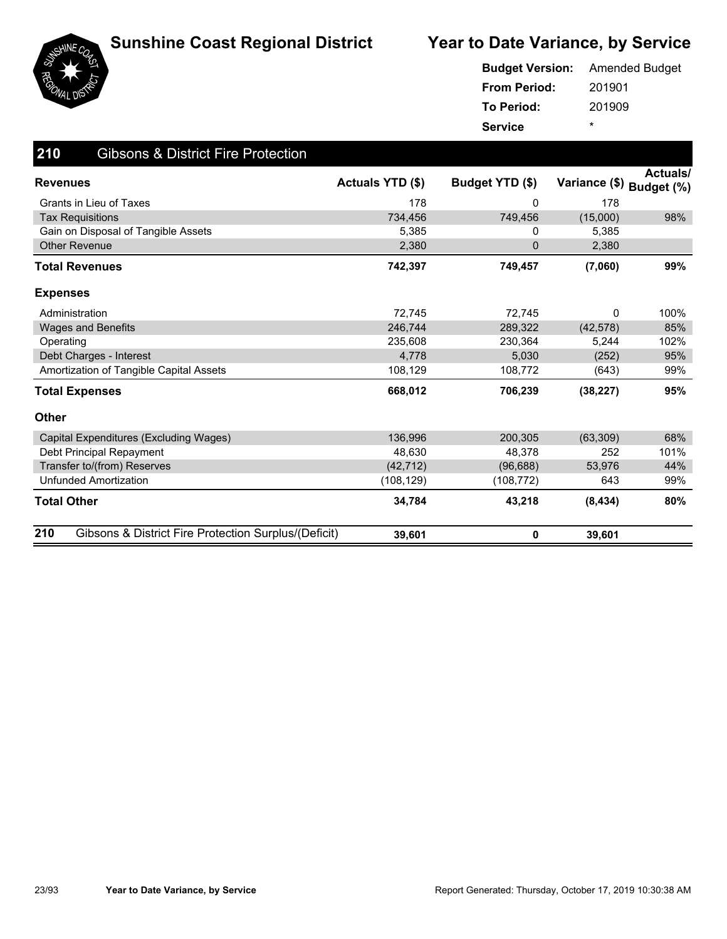



| <b>Budget Version:</b> | <b>Amended Budget</b> |
|------------------------|-----------------------|
| <b>From Period:</b>    | 201901                |
| To Period:             | 201909                |
| <b>Service</b>         | ÷                     |

| 210<br><b>Gibsons &amp; District Fire Protection</b>        |                         |                 |               |                               |
|-------------------------------------------------------------|-------------------------|-----------------|---------------|-------------------------------|
| <b>Revenues</b>                                             | <b>Actuals YTD (\$)</b> | Budget YTD (\$) | Variance (\$) | <b>Actuals/</b><br>Budget (%) |
| Grants in Lieu of Taxes                                     | 178                     | 0               | 178           |                               |
| <b>Tax Requisitions</b>                                     | 734,456                 | 749,456         | (15,000)      | 98%                           |
| Gain on Disposal of Tangible Assets                         | 5,385                   | 0               | 5,385         |                               |
| Other Revenue                                               | 2,380                   | 0               | 2,380         |                               |
| Total Revenues                                              | 742,397                 | 749,457         | (7,060)       | 99%                           |
| <b>Expenses</b>                                             |                         |                 |               |                               |
| Administration                                              | 72,745                  | 72,745          | 0             | 100%                          |
| <b>Wages and Benefits</b>                                   | 246.744                 | 289,322         | (42, 578)     | 85%                           |
| Operating                                                   | 235.608                 | 230.364         | 5.244         | 102%                          |
| Debt Charges - Interest                                     | 4,778                   | 5,030           | (252)         | 95%                           |
| Amortization of Tangible Capital Assets                     | 108,129                 | 108,772         | (643)         | 99%                           |
| <b>Total Expenses</b>                                       | 668,012                 | 706,239         | (38, 227)     | 95%                           |
| <b>Other</b>                                                |                         |                 |               |                               |
| Capital Expenditures (Excluding Wages)                      | 136,996                 | 200,305         | (63, 309)     | 68%                           |
| Debt Principal Repayment                                    | 48.630                  | 48,378          | 252           | 101%                          |
| Transfer to/(from) Reserves                                 | (42, 712)               | (96, 688)       | 53,976        | 44%                           |
| <b>Unfunded Amortization</b>                                | (108, 129)              | (108, 772)      | 643           | 99%                           |
| <b>Total Other</b>                                          | 34,784                  | 43,218          | (8, 434)      | 80%                           |
| 210<br>Gibsons & District Fire Protection Surplus/(Deficit) | 39,601                  | 0               | 39,601        |                               |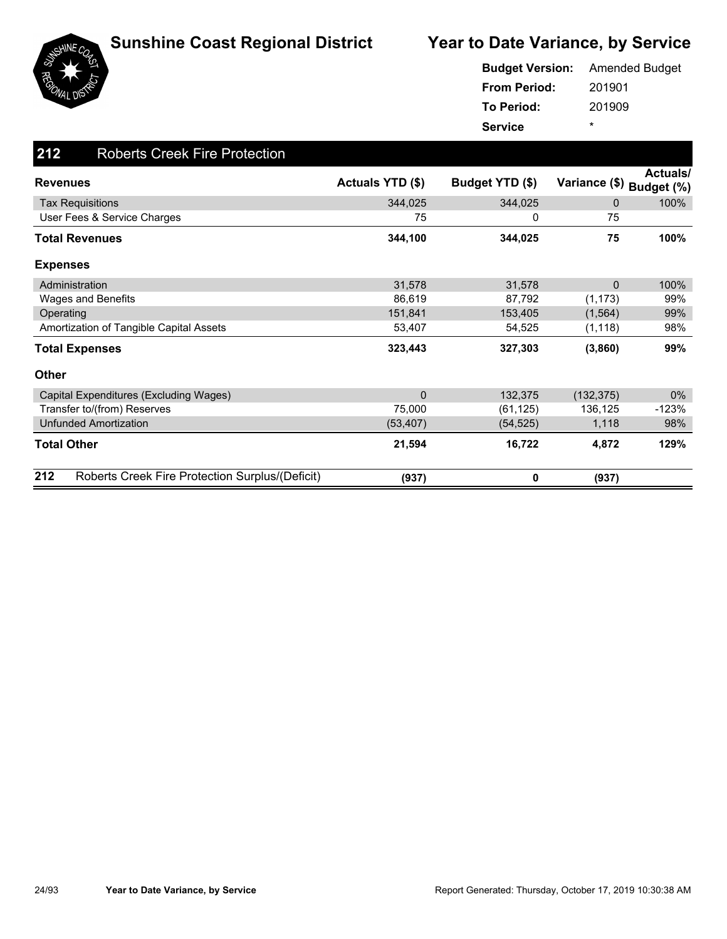

|                     | <b>Budget Version:</b> Amended Budget |
|---------------------|---------------------------------------|
| <b>From Period:</b> | 201901                                |
| To Period:          | 201909                                |
| <b>Service</b>      | ÷                                     |

| 212<br><b>Roberts Creek Fire Protection</b>            |                         |                 |                          |          |
|--------------------------------------------------------|-------------------------|-----------------|--------------------------|----------|
| <b>Revenues</b>                                        | <b>Actuals YTD (\$)</b> | Budget YTD (\$) | Variance (\$) Budget (%) | Actuals/ |
| <b>Tax Requisitions</b>                                | 344,025                 | 344,025         | $\Omega$                 | 100%     |
| User Fees & Service Charges                            | 75                      | 0               | 75                       |          |
| <b>Total Revenues</b>                                  | 344,100                 | 344,025         | 75                       | 100%     |
| <b>Expenses</b>                                        |                         |                 |                          |          |
| Administration                                         | 31,578                  | 31,578          | $\Omega$                 | 100%     |
| Wages and Benefits                                     | 86,619                  | 87,792          | (1, 173)                 | 99%      |
| Operating                                              | 151,841                 | 153,405         | (1, 564)                 | 99%      |
| Amortization of Tangible Capital Assets                | 53,407                  | 54,525          | (1, 118)                 | 98%      |
| <b>Total Expenses</b>                                  | 323,443                 | 327,303         | (3,860)                  | 99%      |
| <b>Other</b>                                           |                         |                 |                          |          |
| Capital Expenditures (Excluding Wages)                 | $\mathbf{0}$            | 132,375         | (132, 375)               | 0%       |
| Transfer to/(from) Reserves                            | 75,000                  | (61, 125)       | 136,125                  | $-123%$  |
| <b>Unfunded Amortization</b>                           | (53, 407)               | (54, 525)       | 1,118                    | 98%      |
| <b>Total Other</b>                                     | 21,594                  | 16,722          | 4,872                    | 129%     |
| 212<br>Roberts Creek Fire Protection Surplus/(Deficit) | (937)                   | 0               | (937)                    |          |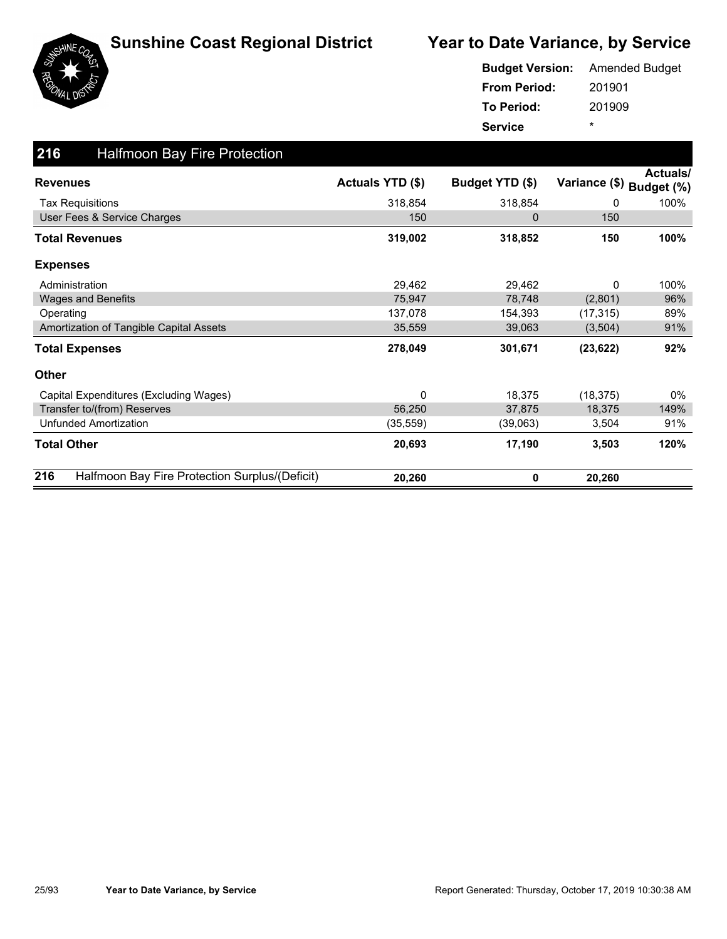

|                     | <b>Budget Version:</b> Amended Budget |
|---------------------|---------------------------------------|
| <b>From Period:</b> | 201901                                |
| To Period:          | 201909                                |
| <b>Service</b>      | ÷                                     |

| 216<br><b>Halfmoon Bay Fire Protection</b>            |                  |                 |               |                               |
|-------------------------------------------------------|------------------|-----------------|---------------|-------------------------------|
| <b>Revenues</b>                                       | Actuals YTD (\$) | Budget YTD (\$) | Variance (\$) | <b>Actuals/</b><br>Budget (%) |
| <b>Tax Requisitions</b>                               | 318,854          | 318,854         | 0             | 100%                          |
| User Fees & Service Charges                           | 150              | 0               | 150           |                               |
| <b>Total Revenues</b>                                 | 319,002          | 318,852         | 150           | 100%                          |
| <b>Expenses</b>                                       |                  |                 |               |                               |
| Administration                                        | 29,462           | 29,462          | 0             | 100%                          |
| Wages and Benefits                                    | 75,947           | 78,748          | (2,801)       | 96%                           |
| Operating                                             | 137,078          | 154,393         | (17, 315)     | 89%                           |
| Amortization of Tangible Capital Assets               | 35,559           | 39,063          | (3,504)       | 91%                           |
| <b>Total Expenses</b>                                 | 278,049          | 301,671         | (23, 622)     | 92%                           |
| <b>Other</b>                                          |                  |                 |               |                               |
| Capital Expenditures (Excluding Wages)                | $\Omega$         | 18,375          | (18, 375)     | $0\%$                         |
| Transfer to/(from) Reserves                           | 56,250           | 37,875          | 18,375        | 149%                          |
| <b>Unfunded Amortization</b>                          | (35, 559)        | (39,063)        | 3,504         | 91%                           |
| <b>Total Other</b>                                    | 20,693           | 17,190          | 3,503         | 120%                          |
| 216<br>Halfmoon Bay Fire Protection Surplus/(Deficit) | 20,260           | 0               | 20,260        |                               |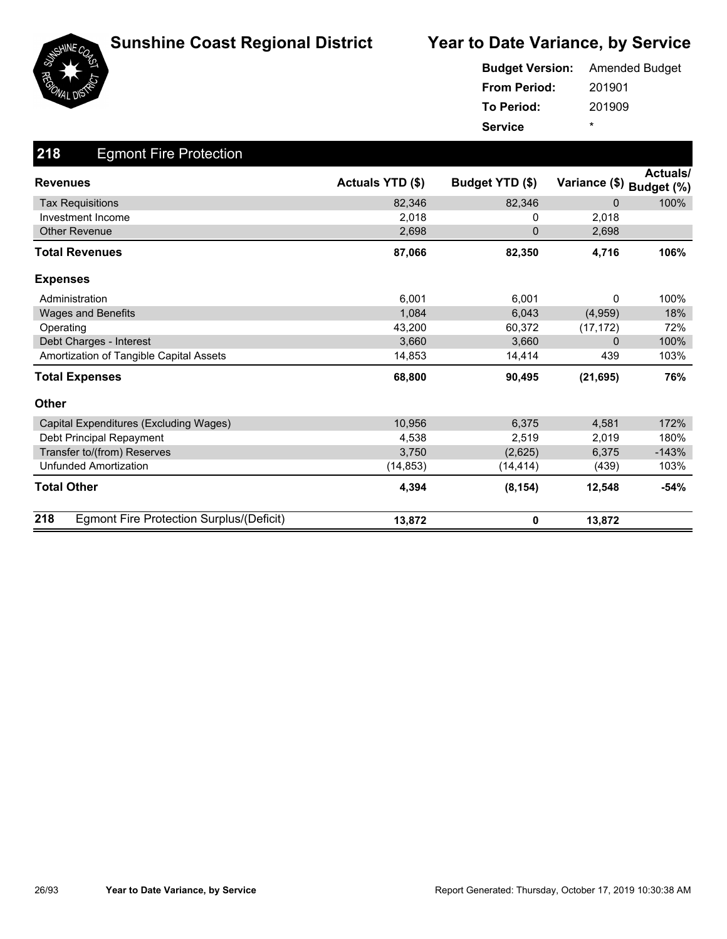





|                     | <b>Budget Version:</b> Amended Budget |
|---------------------|---------------------------------------|
| <b>From Period:</b> | 201901                                |
| <b>To Period:</b>   | 201909                                |
| <b>Service</b>      | ÷                                     |

| 218<br><b>Egmont Fire Protection</b>            |                  |                 |              |                                      |
|-------------------------------------------------|------------------|-----------------|--------------|--------------------------------------|
| <b>Revenues</b>                                 | Actuals YTD (\$) | Budget YTD (\$) |              | Actuals/<br>Variance (\$) Budget (%) |
| <b>Tax Requisitions</b>                         | 82,346           | 82,346          | $\mathbf{0}$ | 100%                                 |
| Investment Income                               | 2,018            | 0               | 2,018        |                                      |
| <b>Other Revenue</b>                            | 2,698            | $\Omega$        | 2,698        |                                      |
| <b>Total Revenues</b>                           | 87,066           | 82,350          | 4,716        | 106%                                 |
| <b>Expenses</b>                                 |                  |                 |              |                                      |
| Administration                                  | 6,001            | 6,001           | 0            | 100%                                 |
| <b>Wages and Benefits</b>                       | 1,084            | 6,043           | (4,959)      | 18%                                  |
| Operating                                       | 43,200           | 60,372          | (17, 172)    | 72%                                  |
| Debt Charges - Interest                         | 3,660            | 3,660           | $\Omega$     | 100%                                 |
| Amortization of Tangible Capital Assets         | 14,853           | 14,414          | 439          | 103%                                 |
| <b>Total Expenses</b>                           | 68,800           | 90,495          | (21, 695)    | 76%                                  |
| <b>Other</b>                                    |                  |                 |              |                                      |
| Capital Expenditures (Excluding Wages)          | 10,956           | 6,375           | 4,581        | 172%                                 |
| Debt Principal Repayment                        | 4,538            | 2,519           | 2,019        | 180%                                 |
| Transfer to/(from) Reserves                     | 3,750            | (2,625)         | 6,375        | $-143%$                              |
| <b>Unfunded Amortization</b>                    | (14, 853)        | (14, 414)       | (439)        | 103%                                 |
| <b>Total Other</b>                              | 4,394            | (8, 154)        | 12,548       | $-54%$                               |
| 218<br>Egmont Fire Protection Surplus/(Deficit) | 13,872           | 0               | 13,872       |                                      |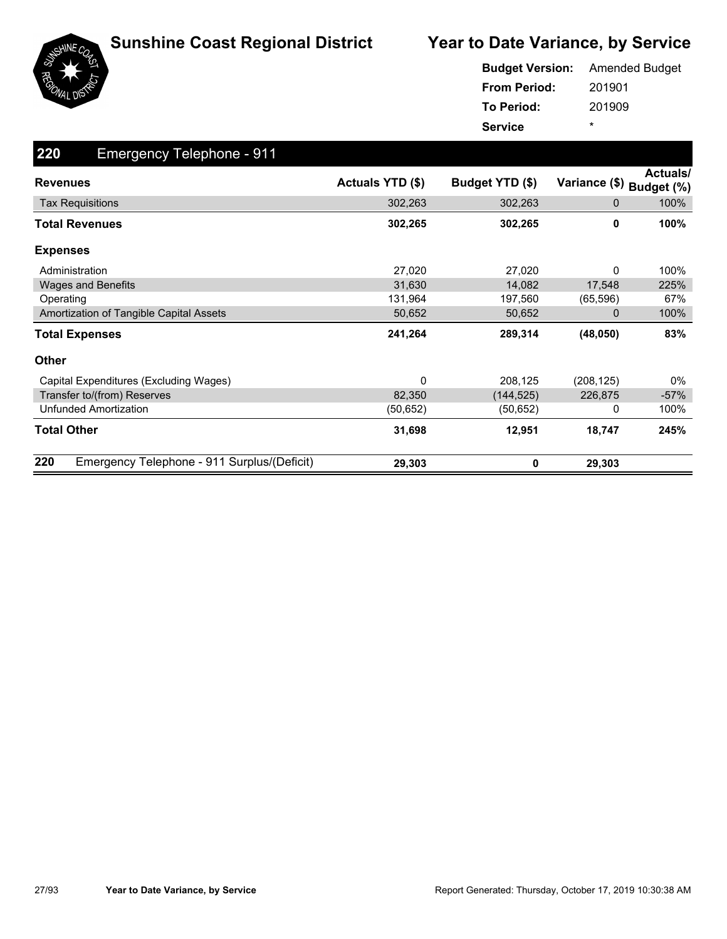

|                     | <b>Budget Version:</b> Amended Budget |
|---------------------|---------------------------------------|
| <b>From Period:</b> | 201901                                |
| To Period:          | 201909                                |
| <b>Service</b>      | ÷                                     |

| 220<br><b>Emergency Telephone - 911</b>            |                  |                 |               |                               |
|----------------------------------------------------|------------------|-----------------|---------------|-------------------------------|
| <b>Revenues</b>                                    | Actuals YTD (\$) | Budget YTD (\$) | Variance (\$) | <b>Actuals/</b><br>Budget (%) |
| <b>Tax Requisitions</b>                            | 302,263          | 302,263         | 0             | 100%                          |
| <b>Total Revenues</b>                              | 302,265          | 302,265         | 0             | 100%                          |
| <b>Expenses</b>                                    |                  |                 |               |                               |
| Administration                                     | 27,020           | 27,020          | 0             | 100%                          |
| <b>Wages and Benefits</b>                          | 31,630           | 14,082          | 17,548        | 225%                          |
| Operating                                          | 131,964          | 197,560         | (65, 596)     | 67%                           |
| Amortization of Tangible Capital Assets            | 50,652           | 50,652          | 0             | 100%                          |
| <b>Total Expenses</b>                              | 241,264          | 289,314         | (48, 050)     | 83%                           |
| Other                                              |                  |                 |               |                               |
| Capital Expenditures (Excluding Wages)             | 0                | 208,125         | (208, 125)    | 0%                            |
| Transfer to/(from) Reserves                        | 82,350           | (144, 525)      | 226,875       | $-57%$                        |
| <b>Unfunded Amortization</b>                       | (50,652)         | (50,652)        | 0             | 100%                          |
| <b>Total Other</b>                                 | 31,698           | 12,951          | 18,747        | 245%                          |
| 220<br>Emergency Telephone - 911 Surplus/(Deficit) | 29,303           | 0               | 29,303        |                               |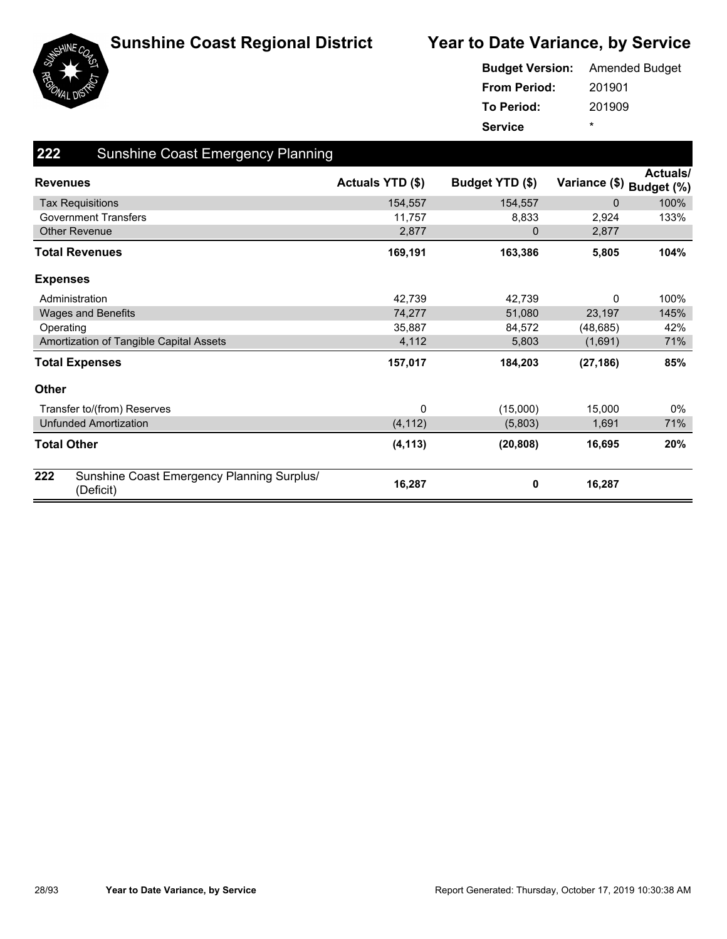



| <b>Budget Version:</b> Amended Budget |         |
|---------------------------------------|---------|
| <b>From Period:</b>                   | 201901  |
| To Period:                            | 201909  |
| <b>Service</b>                        | $\star$ |

| 222             | <b>Sunshine Coast Emergency Planning</b>                |                  |                 |                          |                 |
|-----------------|---------------------------------------------------------|------------------|-----------------|--------------------------|-----------------|
| <b>Revenues</b> |                                                         | Actuals YTD (\$) | Budget YTD (\$) | Variance (\$) Budget (%) | <b>Actuals/</b> |
|                 | <b>Tax Requisitions</b>                                 | 154,557          | 154,557         | $\mathbf 0$              | 100%            |
|                 | <b>Government Transfers</b>                             | 11,757           | 8,833           | 2,924                    | 133%            |
|                 | <b>Other Revenue</b>                                    | 2,877            | 0               | 2,877                    |                 |
|                 | Total Revenues                                          | 169,191          | 163,386         | 5,805                    | 104%            |
| <b>Expenses</b> |                                                         |                  |                 |                          |                 |
|                 | Administration                                          | 42,739           | 42,739          | 0                        | 100%            |
|                 | <b>Wages and Benefits</b>                               | 74,277           | 51,080          | 23,197                   | 145%            |
|                 | Operating                                               | 35,887           | 84,572          | (48, 685)                | 42%             |
|                 | Amortization of Tangible Capital Assets                 | 4,112            | 5,803           | (1,691)                  | 71%             |
|                 | <b>Total Expenses</b>                                   | 157,017          | 184,203         | (27, 186)                | 85%             |
| <b>Other</b>    |                                                         |                  |                 |                          |                 |
|                 | Transfer to/(from) Reserves                             | 0                | (15,000)        | 15,000                   | 0%              |
|                 | <b>Unfunded Amortization</b>                            | (4, 112)         | (5,803)         | 1,691                    | 71%             |
|                 | <b>Total Other</b>                                      | (4, 113)         | (20, 808)       | 16,695                   | 20%             |
| 222             | Sunshine Coast Emergency Planning Surplus/<br>(Deficit) | 16,287           | 0               | 16,287                   |                 |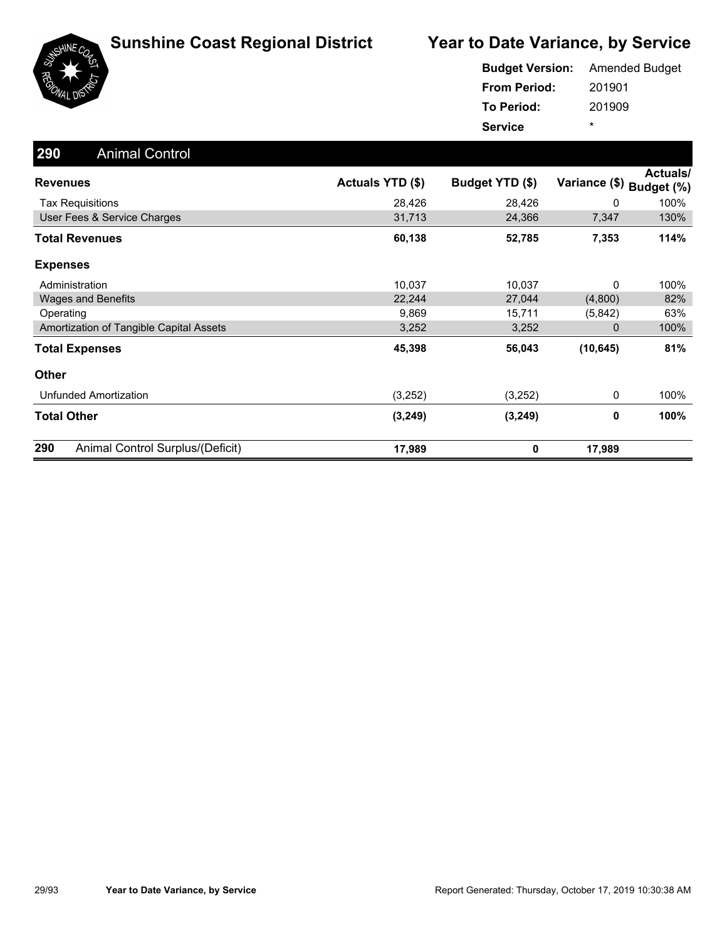

|                     | <b>Budget Version:</b> Amended Budget |
|---------------------|---------------------------------------|
| <b>From Period:</b> | 201901                                |
| To Period:          | 201909                                |
| <b>Service</b>      | ÷                                     |

| 290<br><b>Animal Control</b>            |                  |                 |               |                        |
|-----------------------------------------|------------------|-----------------|---------------|------------------------|
| <b>Revenues</b>                         | Actuals YTD (\$) | Budget YTD (\$) | Variance (\$) | Actuals/<br>Budget (%) |
| <b>Tax Requisitions</b>                 | 28,426           | 28,426          | 0             | 100%                   |
| User Fees & Service Charges             | 31,713           | 24,366          | 7,347         | 130%                   |
| <b>Total Revenues</b>                   | 60,138           | 52,785          | 7,353         | 114%                   |
| <b>Expenses</b>                         |                  |                 |               |                        |
| Administration                          | 10,037           | 10,037          | 0             | 100%                   |
| <b>Wages and Benefits</b>               | 22,244           | 27,044          | (4,800)       | 82%                    |
| Operating                               | 9,869            | 15,711          | (5,842)       | 63%                    |
| Amortization of Tangible Capital Assets | 3,252            | 3,252           | 0             | 100%                   |
| <b>Total Expenses</b>                   | 45,398           | 56,043          | (10, 645)     | 81%                    |
| Other                                   |                  |                 |               |                        |
| Unfunded Amortization                   | (3,252)          | (3,252)         | 0             | 100%                   |
| <b>Total Other</b>                      | (3, 249)         | (3, 249)        | 0             | 100%                   |
| 290<br>Animal Control Surplus/(Deficit) | 17,989           | 0               | 17,989        |                        |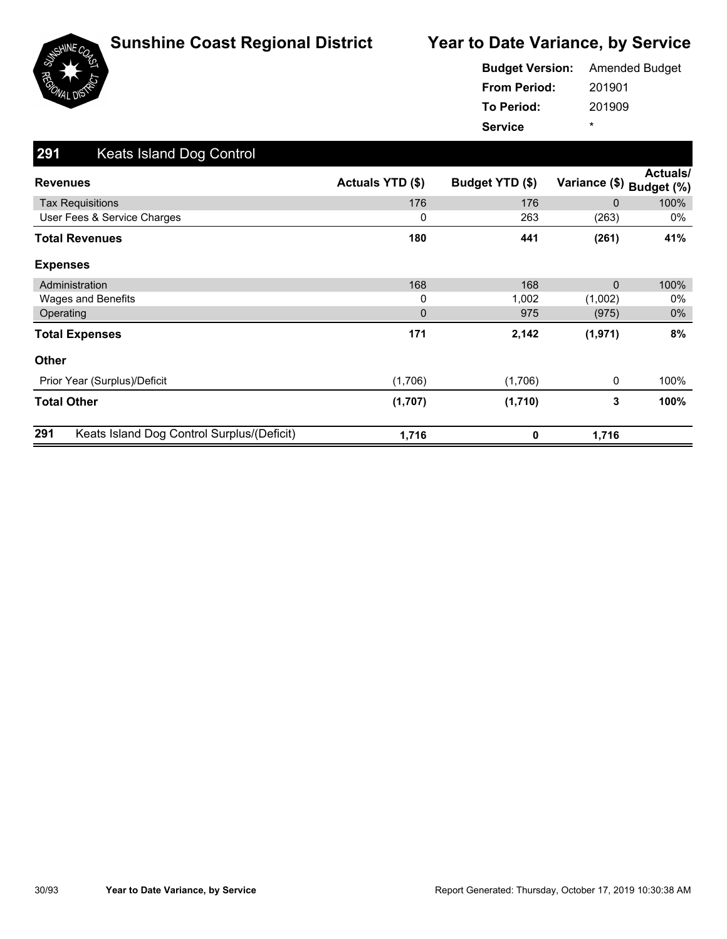





201901 201909 **From Period: To Period: Service** \* **Budget Version:** Amended Budget

| 291<br>Keats Island Dog Control                   |                  |                 |               |                        |
|---------------------------------------------------|------------------|-----------------|---------------|------------------------|
| <b>Revenues</b>                                   | Actuals YTD (\$) | Budget YTD (\$) | Variance (\$) | Actuals/<br>Budget (%) |
| <b>Tax Requisitions</b>                           | 176              | 176             | $\mathbf{0}$  | 100%                   |
| User Fees & Service Charges                       | 0                | 263             | (263)         | 0%                     |
| <b>Total Revenues</b>                             | 180              | 441             | (261)         | 41%                    |
| <b>Expenses</b>                                   |                  |                 |               |                        |
| Administration                                    | 168              | 168             | $\mathbf{0}$  | 100%                   |
| Wages and Benefits                                | 0                | 1,002           | (1,002)       | 0%                     |
| Operating                                         | $\mathbf{0}$     | 975             | (975)         | $0\%$                  |
| <b>Total Expenses</b>                             | 171              | 2,142           | (1, 971)      | 8%                     |
| Other                                             |                  |                 |               |                        |
| Prior Year (Surplus)/Deficit                      | (1,706)          | (1,706)         | 0             | 100%                   |
| <b>Total Other</b>                                | (1,707)          | (1,710)         | 3             | 100%                   |
| Keats Island Dog Control Surplus/(Deficit)<br>291 | 1,716            | 0               | 1,716         |                        |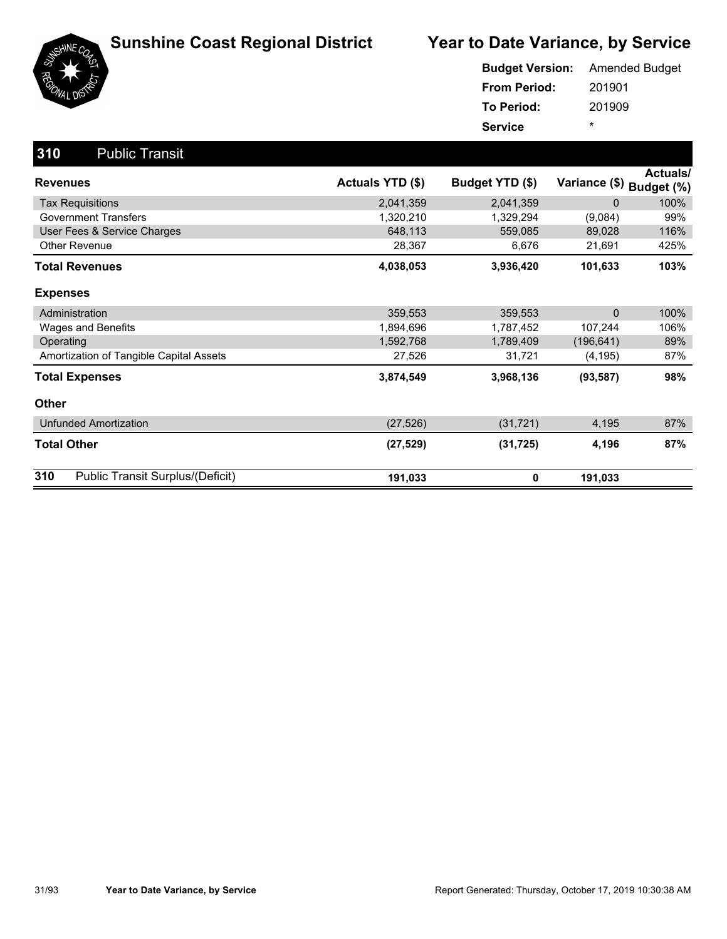

|                     | <b>Budget Version:</b> Amended Budget |
|---------------------|---------------------------------------|
| <b>From Period:</b> | 201901                                |
| <b>To Period:</b>   | 201909                                |
| <b>Service</b>      | ÷                                     |

| 310<br><b>Public Transit</b>            |                  |                 |               |                               |
|-----------------------------------------|------------------|-----------------|---------------|-------------------------------|
| <b>Revenues</b>                         | Actuals YTD (\$) | Budget YTD (\$) | Variance (\$) | <b>Actuals/</b><br>Budget (%) |
| <b>Tax Requisitions</b>                 | 2,041,359        | 2,041,359       | 0             | 100%                          |
| <b>Government Transfers</b>             | 1,320,210        | 1,329,294       | (9,084)       | 99%                           |
| User Fees & Service Charges             | 648,113          | 559,085         | 89,028        | 116%                          |
| Other Revenue                           | 28,367           | 6,676           | 21,691        | 425%                          |
| <b>Total Revenues</b>                   | 4,038,053        | 3,936,420       | 101,633       | 103%                          |
| <b>Expenses</b>                         |                  |                 |               |                               |
| Administration                          | 359,553          | 359,553         | 0             | 100%                          |
| Wages and Benefits                      | 1,894,696        | 1,787,452       | 107,244       | 106%                          |
| Operating                               | 1,592,768        | 1,789,409       | (196, 641)    | 89%                           |
| Amortization of Tangible Capital Assets | 27,526           | 31,721          | (4, 195)      | 87%                           |
| <b>Total Expenses</b>                   | 3,874,549        | 3,968,136       | (93, 587)     | 98%                           |
| <b>Other</b>                            |                  |                 |               |                               |
| <b>Unfunded Amortization</b>            | (27, 526)        | (31, 721)       | 4,195         | 87%                           |
| <b>Total Other</b>                      | (27, 529)        | (31, 725)       | 4,196         | 87%                           |
| 310<br>Public Transit Surplus/(Deficit) | 191,033          | 0               | 191,033       |                               |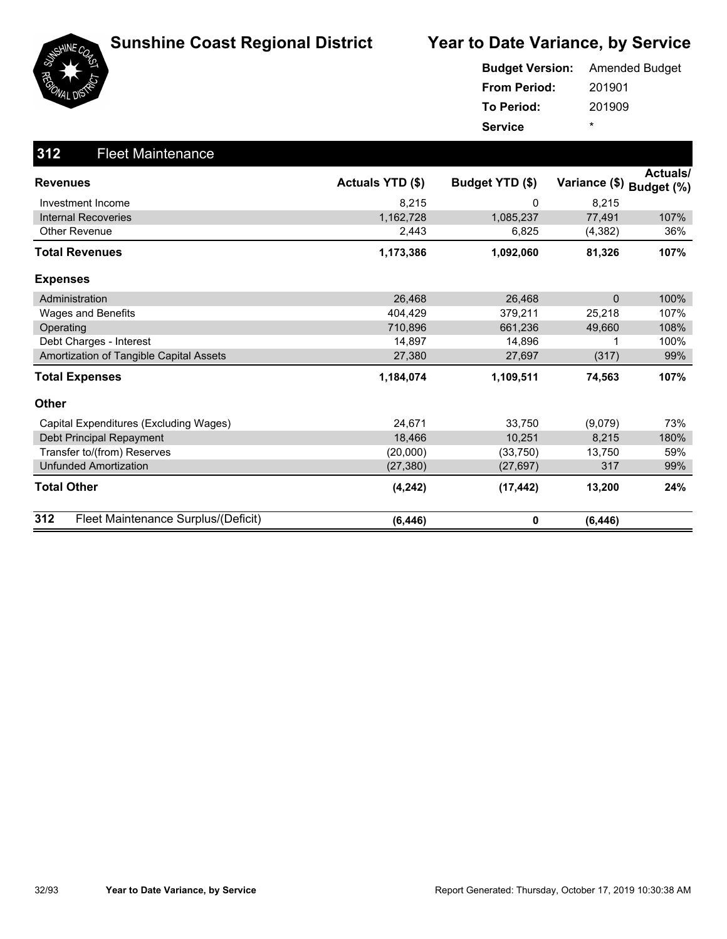

| <b>Budget Version:</b> | <b>Amended Budget</b> |
|------------------------|-----------------------|
| <b>From Period:</b>    | 201901                |
| <b>To Period:</b>      | 201909                |
| <b>Service</b>         | ÷                     |

| 312<br><b>Fleet Maintenance</b>            |                  |                 |               |                               |
|--------------------------------------------|------------------|-----------------|---------------|-------------------------------|
| <b>Revenues</b>                            | Actuals YTD (\$) | Budget YTD (\$) | Variance (\$) | <b>Actuals/</b><br>Budget (%) |
| Investment Income                          | 8,215            | 0               | 8,215         |                               |
| <b>Internal Recoveries</b>                 | 1,162,728        | 1,085,237       | 77,491        | 107%                          |
| <b>Other Revenue</b>                       | 2,443            | 6,825           | (4,382)       | 36%                           |
| <b>Total Revenues</b>                      | 1,173,386        | 1,092,060       | 81,326        | 107%                          |
| <b>Expenses</b>                            |                  |                 |               |                               |
| Administration                             | 26,468           | 26,468          | $\Omega$      | 100%                          |
| Wages and Benefits                         | 404,429          | 379,211         | 25,218        | 107%                          |
| Operating                                  | 710,896          | 661,236         | 49,660        | 108%                          |
| Debt Charges - Interest                    | 14,897           | 14,896          |               | 100%                          |
| Amortization of Tangible Capital Assets    | 27,380           | 27,697          | (317)         | 99%                           |
| <b>Total Expenses</b>                      | 1,184,074        | 1,109,511       | 74,563        | 107%                          |
| Other                                      |                  |                 |               |                               |
| Capital Expenditures (Excluding Wages)     | 24,671           | 33,750          | (9,079)       | 73%                           |
| Debt Principal Repayment                   | 18,466           | 10,251          | 8,215         | 180%                          |
| Transfer to/(from) Reserves                | (20,000)         | (33,750)        | 13,750        | 59%                           |
| <b>Unfunded Amortization</b>               | (27, 380)        | (27, 697)       | 317           | 99%                           |
| <b>Total Other</b>                         | (4, 242)         | (17, 442)       | 13,200        | 24%                           |
| 312<br>Fleet Maintenance Surplus/(Deficit) | (6, 446)         | 0               | (6, 446)      |                               |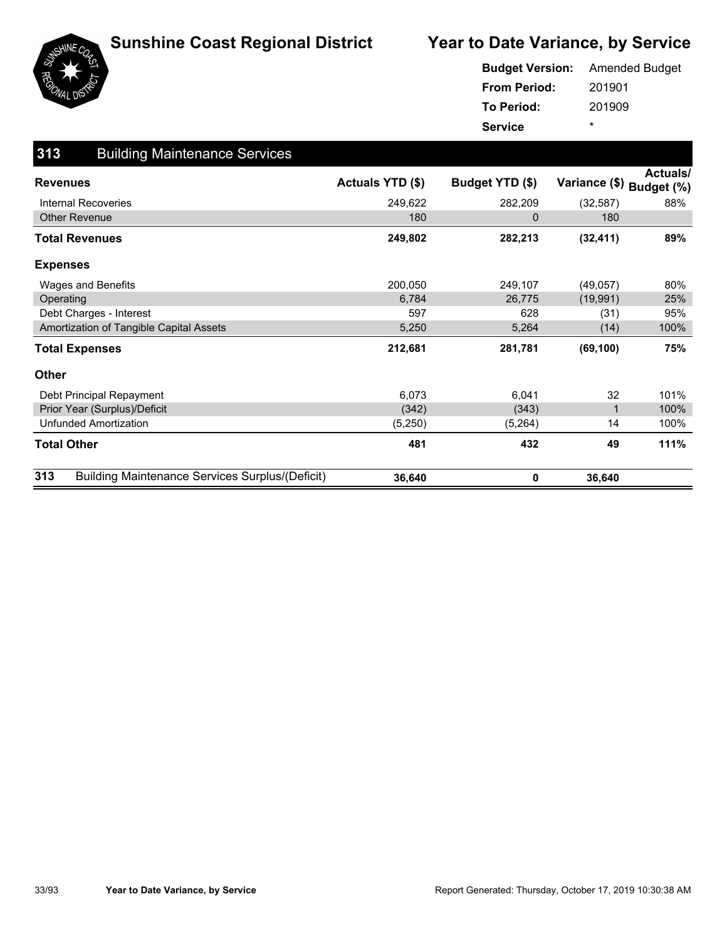

|                     | <b>Budget Version:</b> Amended Budget |
|---------------------|---------------------------------------|
| <b>From Period:</b> | 201901                                |
| To Period:          | 201909                                |
| <b>Service</b>      | *                                     |

| 313<br><b>Building Maintenance Services</b>                   |                         |                 |               |                        |
|---------------------------------------------------------------|-------------------------|-----------------|---------------|------------------------|
| <b>Revenues</b>                                               | <b>Actuals YTD (\$)</b> | Budget YTD (\$) | Variance (\$) | Actuals/<br>Budget (%) |
| Internal Recoveries                                           | 249,622                 | 282,209         | (32, 587)     | 88%                    |
| <b>Other Revenue</b>                                          | 180                     | 0               | 180           |                        |
| <b>Total Revenues</b>                                         | 249,802                 | 282,213         | (32, 411)     | 89%                    |
| <b>Expenses</b>                                               |                         |                 |               |                        |
| Wages and Benefits                                            | 200,050                 | 249,107         | (49,057)      | 80%                    |
| Operating                                                     | 6,784                   | 26,775          | (19, 991)     | 25%                    |
| Debt Charges - Interest                                       | 597                     | 628             | (31)          | 95%                    |
| Amortization of Tangible Capital Assets                       | 5,250                   | 5,264           | (14)          | 100%                   |
| <b>Total Expenses</b>                                         | 212,681                 | 281,781         | (69, 100)     | 75%                    |
| <b>Other</b>                                                  |                         |                 |               |                        |
| Debt Principal Repayment                                      | 6,073                   | 6,041           | 32            | 101%                   |
| Prior Year (Surplus)/Deficit                                  | (342)                   | (343)           | 1             | 100%                   |
| <b>Unfunded Amortization</b>                                  | (5,250)                 | (5,264)         | 14            | 100%                   |
| <b>Total Other</b>                                            | 481                     | 432             | 49            | 111%                   |
| 313<br><b>Building Maintenance Services Surplus/(Deficit)</b> | 36,640                  | 0               | 36,640        |                        |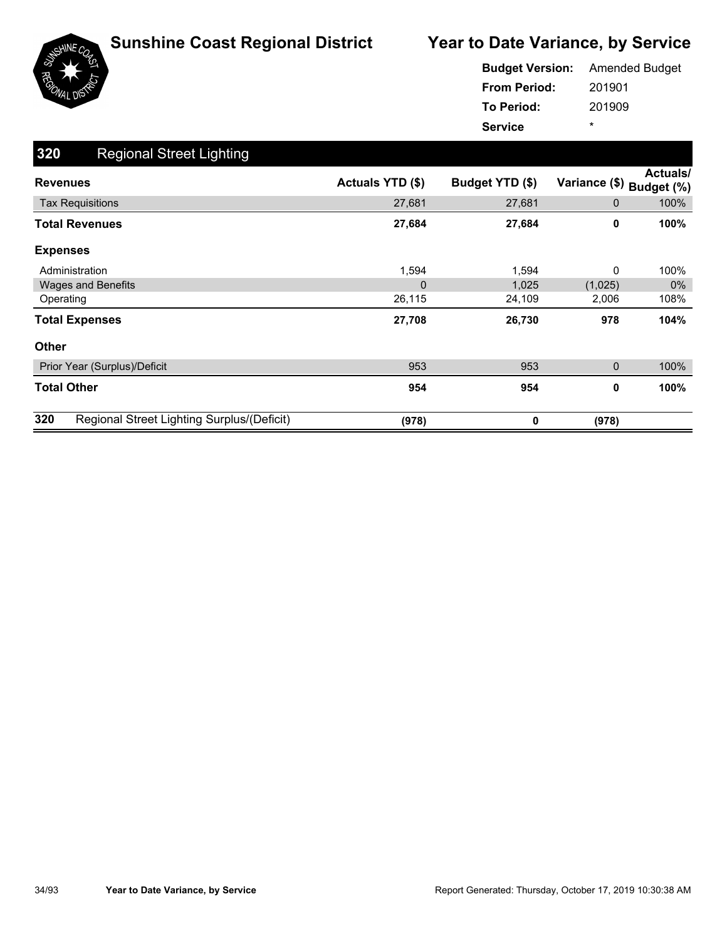

|                     | <b>Budget Version:</b> Amended Budget |
|---------------------|---------------------------------------|
| <b>From Period:</b> | 201901                                |
| <b>To Period:</b>   | 201909                                |
| <b>Service</b>      | ÷                                     |

| 320<br><b>Regional Street Lighting</b>            |                  |                 |               |                        |
|---------------------------------------------------|------------------|-----------------|---------------|------------------------|
| <b>Revenues</b>                                   | Actuals YTD (\$) | Budget YTD (\$) | Variance (\$) | Actuals/<br>Budget (%) |
| <b>Tax Requisitions</b>                           | 27,681           | 27,681          | 0             | 100%                   |
| <b>Total Revenues</b>                             | 27,684           | 27,684          | 0             | 100%                   |
| <b>Expenses</b>                                   |                  |                 |               |                        |
| Administration                                    | 1,594            | 1,594           | 0             | 100%                   |
| <b>Wages and Benefits</b>                         | $\overline{0}$   | 1,025           | (1,025)       | $0\%$                  |
| Operating                                         | 26,115           | 24,109          | 2,006         | 108%                   |
| <b>Total Expenses</b>                             | 27,708           | 26,730          | 978           | 104%                   |
| <b>Other</b>                                      |                  |                 |               |                        |
| Prior Year (Surplus)/Deficit                      | 953              | 953             | 0             | 100%                   |
| <b>Total Other</b>                                | 954              | 954             | 0             | 100%                   |
| 320<br>Regional Street Lighting Surplus/(Deficit) | (978)            | 0               | (978)         |                        |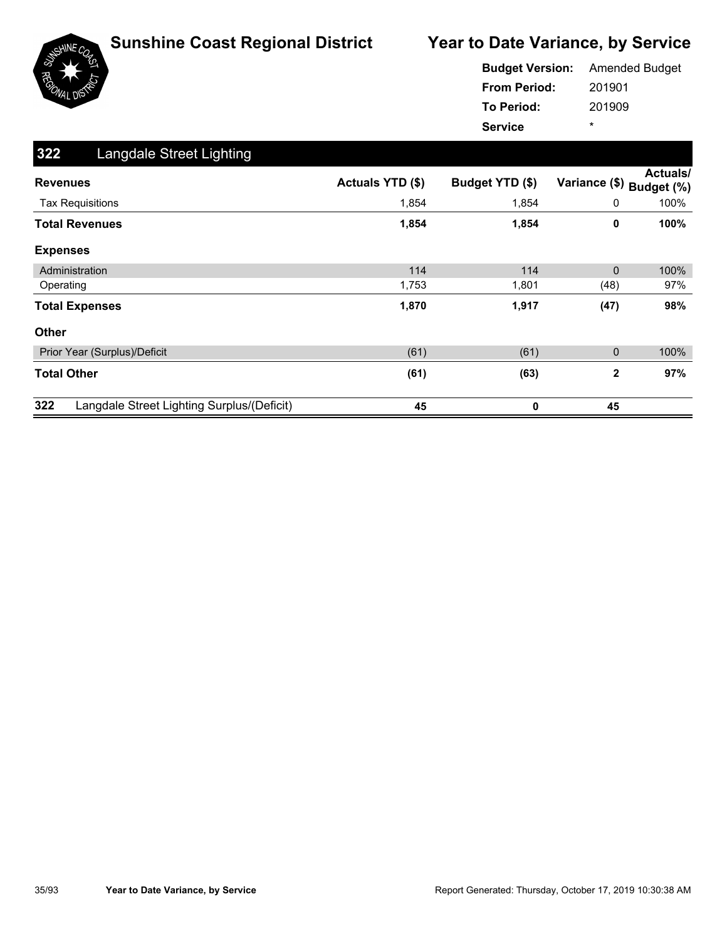

|                     | <b>Budget Version:</b> Amended Budget |
|---------------------|---------------------------------------|
| <b>From Period:</b> | 201901                                |
| <b>To Period:</b>   | 201909                                |
| <b>Service</b>      | ÷                                     |

| 322<br>Langdale Street Lighting                   |                  |                 |               |                               |
|---------------------------------------------------|------------------|-----------------|---------------|-------------------------------|
| <b>Revenues</b>                                   | Actuals YTD (\$) | Budget YTD (\$) | Variance (\$) | <b>Actuals/</b><br>Budget (%) |
| <b>Tax Requisitions</b>                           | 1,854            | 1,854           | 0             | 100%                          |
| <b>Total Revenues</b>                             | 1,854            | 1,854           | 0             | 100%                          |
| <b>Expenses</b>                                   |                  |                 |               |                               |
| Administration                                    | 114              | 114             | $\mathbf{0}$  | 100%                          |
| Operating                                         | 1,753            | 1,801           | (48)          | 97%                           |
| <b>Total Expenses</b>                             | 1,870            | 1,917           | (47)          | 98%                           |
| <b>Other</b>                                      |                  |                 |               |                               |
| Prior Year (Surplus)/Deficit                      | (61)             | (61)            | 0             | 100%                          |
| <b>Total Other</b>                                | (61)             | (63)            | $\mathbf{2}$  | 97%                           |
| 322<br>Langdale Street Lighting Surplus/(Deficit) | 45               | 0               | 45            |                               |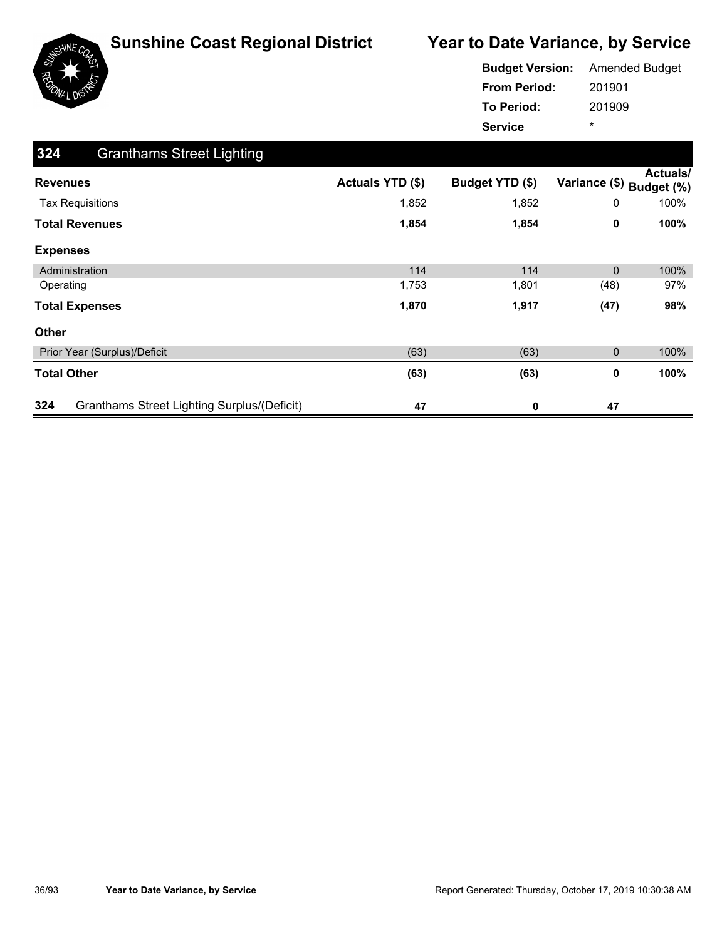

|                     | <b>Budget Version:</b> Amended Budget |
|---------------------|---------------------------------------|
| <b>From Period:</b> | 201901                                |
| <b>To Period:</b>   | 201909                                |
| <b>Service</b>      | ÷                                     |

| 324<br><b>Granthams Street Lighting</b>                   |                  |                 |               |                               |
|-----------------------------------------------------------|------------------|-----------------|---------------|-------------------------------|
| <b>Revenues</b>                                           | Actuals YTD (\$) | Budget YTD (\$) | Variance (\$) | <b>Actuals/</b><br>Budget (%) |
| <b>Tax Requisitions</b>                                   | 1,852            | 1,852           | 0             | 100%                          |
| <b>Total Revenues</b>                                     | 1,854            | 1,854           | 0             | 100%                          |
| <b>Expenses</b>                                           |                  |                 |               |                               |
| Administration                                            | 114              | 114             | $\mathbf{0}$  | 100%                          |
| Operating                                                 | 1,753            | 1,801           | (48)          | 97%                           |
| <b>Total Expenses</b>                                     | 1,870            | 1,917           | (47)          | 98%                           |
| <b>Other</b>                                              |                  |                 |               |                               |
| Prior Year (Surplus)/Deficit                              | (63)             | (63)            | 0             | 100%                          |
| <b>Total Other</b>                                        | (63)             | (63)            | 0             | 100%                          |
| 324<br><b>Granthams Street Lighting Surplus/(Deficit)</b> | 47               | 0               | 47            |                               |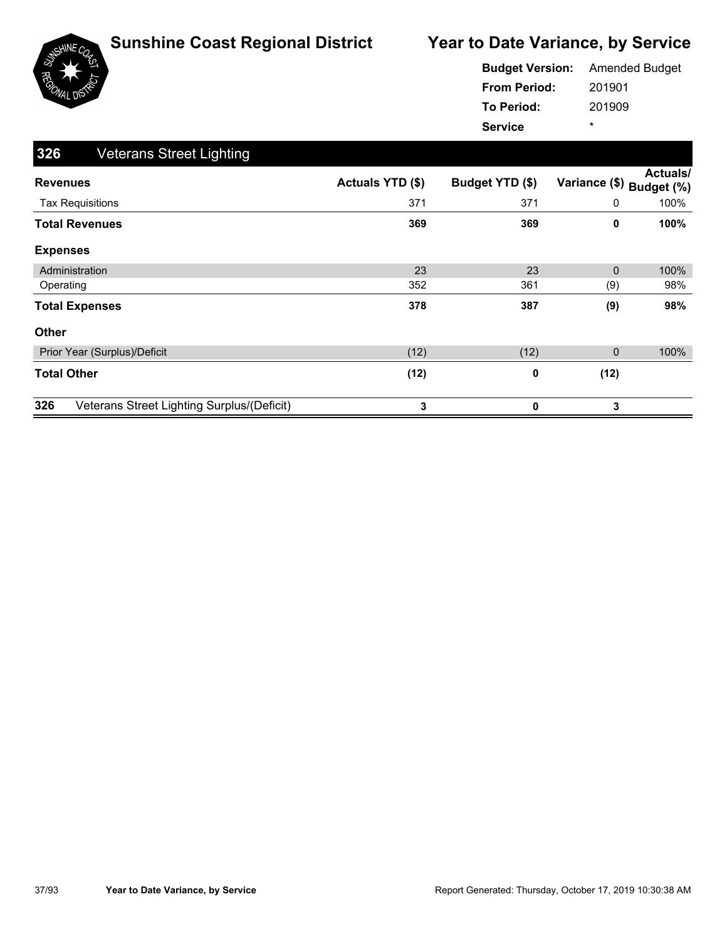

|                     | <b>Budget Version:</b> Amended Budget |
|---------------------|---------------------------------------|
| <b>From Period:</b> | 201901                                |
| <b>To Period:</b>   | 201909                                |
| <b>Service</b>      | ÷                                     |

| 326<br><b>Veterans Street Lighting</b>            |                  |                 |               |                               |
|---------------------------------------------------|------------------|-----------------|---------------|-------------------------------|
| <b>Revenues</b>                                   | Actuals YTD (\$) | Budget YTD (\$) | Variance (\$) | <b>Actuals/</b><br>Budget (%) |
| <b>Tax Requisitions</b>                           | 371              | 371             | 0             | 100%                          |
| <b>Total Revenues</b>                             | 369              | 369             | 0             | 100%                          |
| <b>Expenses</b>                                   |                  |                 |               |                               |
| Administration                                    | 23               | 23              | $\mathbf{0}$  | 100%                          |
| Operating                                         | 352              | 361             | (9)           | 98%                           |
| <b>Total Expenses</b>                             | 378              | 387             | (9)           | 98%                           |
| <b>Other</b>                                      |                  |                 |               |                               |
| Prior Year (Surplus)/Deficit                      | (12)             | (12)            | 0             | 100%                          |
| <b>Total Other</b>                                | (12)             | 0               | (12)          |                               |
| 326<br>Veterans Street Lighting Surplus/(Deficit) | 3                | 0               | 3             |                               |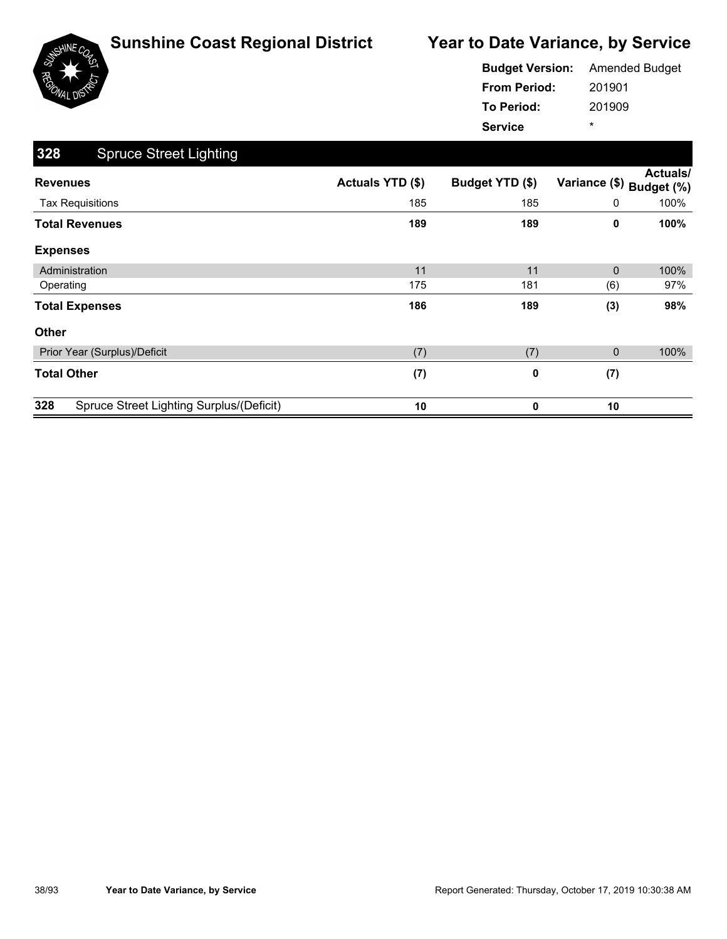

|                     | <b>Budget Version:</b> Amended Budget |
|---------------------|---------------------------------------|
| <b>From Period:</b> | 201901                                |
| To Period:          | 201909                                |
| <b>Service</b>      | ÷                                     |

| 328<br><b>Spruce Street Lighting</b>            |                  |                 |                          |                 |
|-------------------------------------------------|------------------|-----------------|--------------------------|-----------------|
| <b>Revenues</b>                                 | Actuals YTD (\$) | Budget YTD (\$) | Variance (\$) Budget (%) | <b>Actuals/</b> |
| <b>Tax Requisitions</b>                         | 185              | 185             | 0                        | 100%            |
| <b>Total Revenues</b>                           | 189              | 189             | 0                        | 100%            |
| <b>Expenses</b>                                 |                  |                 |                          |                 |
| Administration                                  | 11               | 11              | $\mathbf{0}$             | 100%            |
| Operating                                       | 175              | 181             | (6)                      | 97%             |
| <b>Total Expenses</b>                           | 186              | 189             | (3)                      | 98%             |
| <b>Other</b>                                    |                  |                 |                          |                 |
| Prior Year (Surplus)/Deficit                    | (7)              | (7)             | 0                        | 100%            |
| <b>Total Other</b>                              | (7)              | 0               | (7)                      |                 |
| 328<br>Spruce Street Lighting Surplus/(Deficit) | 10               | 0               | 10                       |                 |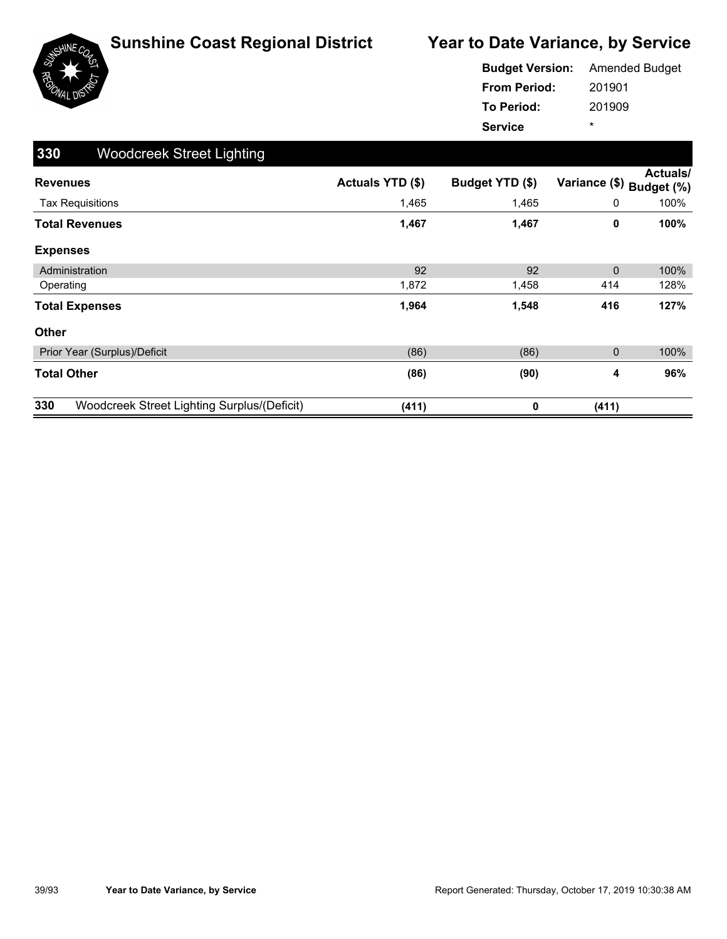

|                     | <b>Budget Version:</b> Amended Budget |
|---------------------|---------------------------------------|
| <b>From Period:</b> | 201901                                |
| To Period:          | 201909                                |
| <b>Service</b>      | ÷                                     |

| 330<br><b>Woodcreek Street Lighting</b>            |                         |                 |               |                               |
|----------------------------------------------------|-------------------------|-----------------|---------------|-------------------------------|
| <b>Revenues</b>                                    | <b>Actuals YTD (\$)</b> | Budget YTD (\$) | Variance (\$) | <b>Actuals/</b><br>Budget (%) |
| <b>Tax Requisitions</b>                            | 1,465                   | 1,465           | 0             | 100%                          |
| <b>Total Revenues</b>                              | 1,467                   | 1,467           | 0             | 100%                          |
| <b>Expenses</b>                                    |                         |                 |               |                               |
| Administration                                     | 92                      | 92              | $\mathbf{0}$  | 100%                          |
| Operating                                          | 1,872                   | 1,458           | 414           | 128%                          |
| <b>Total Expenses</b>                              | 1,964                   | 1,548           | 416           | 127%                          |
| Other                                              |                         |                 |               |                               |
| Prior Year (Surplus)/Deficit                       | (86)                    | (86)            | 0             | 100%                          |
| <b>Total Other</b>                                 | (86)                    | (90)            | 4             | 96%                           |
| 330<br>Woodcreek Street Lighting Surplus/(Deficit) | (411)                   | 0               | (411)         |                               |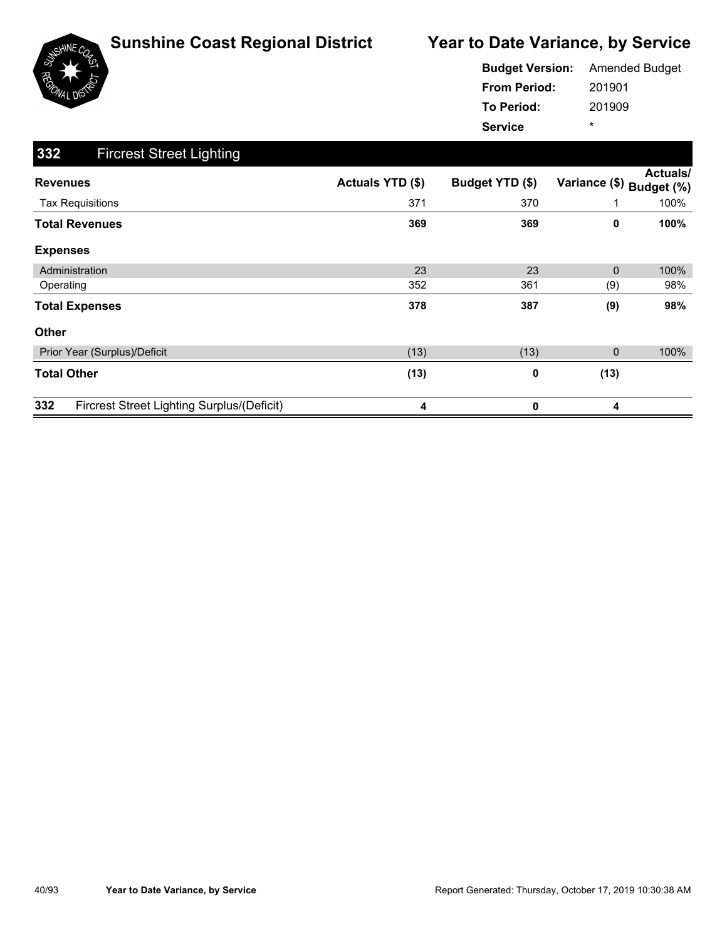

|                     | <b>Budget Version:</b> Amended Budget |
|---------------------|---------------------------------------|
| <b>From Period:</b> | 201901                                |
| To Period:          | 201909                                |
| <b>Service</b>      | ÷                                     |

| 332<br><b>Fircrest Street Lighting</b>            |                  |                 |               |                        |
|---------------------------------------------------|------------------|-----------------|---------------|------------------------|
| <b>Revenues</b>                                   | Actuals YTD (\$) | Budget YTD (\$) | Variance (\$) | Actuals/<br>Budget (%) |
| <b>Tax Requisitions</b>                           | 371              | 370             |               | 100%                   |
| <b>Total Revenues</b>                             | 369              | 369             | 0             | 100%                   |
| <b>Expenses</b>                                   |                  |                 |               |                        |
| Administration                                    | 23               | 23              | $\Omega$      | 100%                   |
| Operating                                         | 352              | 361             | (9)           | 98%                    |
| <b>Total Expenses</b>                             | 378              | 387             | (9)           | 98%                    |
| Other                                             |                  |                 |               |                        |
| Prior Year (Surplus)/Deficit                      | (13)             | (13)            | 0             | 100%                   |
| <b>Total Other</b>                                | (13)             | 0               | (13)          |                        |
| 332<br>Fircrest Street Lighting Surplus/(Deficit) | 4                | 0               | 4             |                        |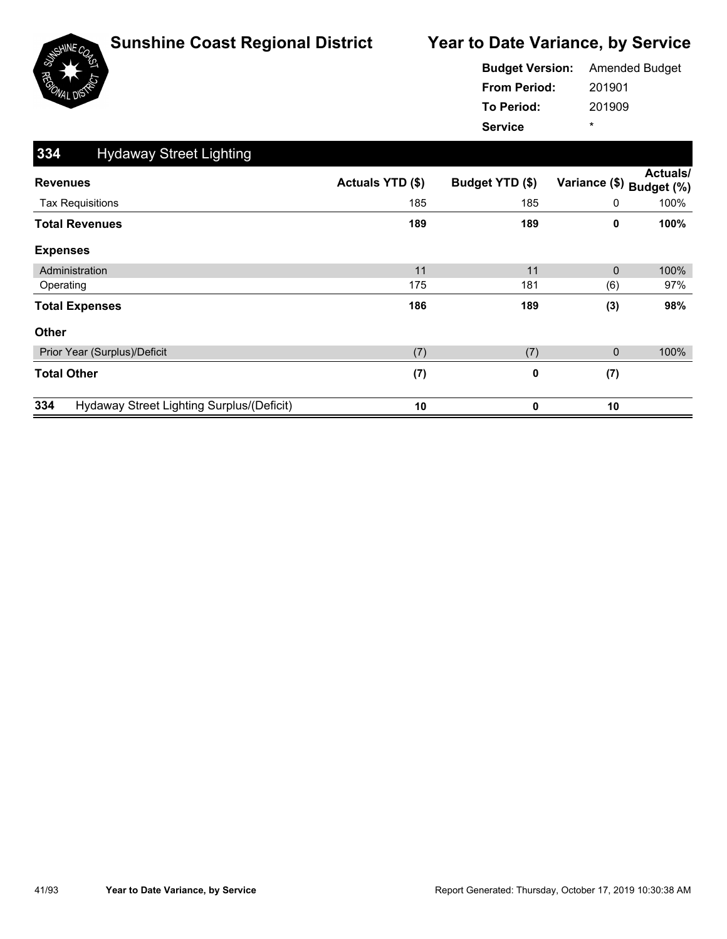

|                     | <b>Budget Version:</b> Amended Budget |
|---------------------|---------------------------------------|
| <b>From Period:</b> | 201901                                |
| <b>To Period:</b>   | 201909                                |
| <b>Service</b>      | ÷                                     |

| 334<br><b>Hydaway Street Lighting</b>            |                  |                 |               |                               |
|--------------------------------------------------|------------------|-----------------|---------------|-------------------------------|
| <b>Revenues</b>                                  | Actuals YTD (\$) | Budget YTD (\$) | Variance (\$) | <b>Actuals/</b><br>Budget (%) |
| <b>Tax Requisitions</b>                          | 185              | 185             | 0             | 100%                          |
| <b>Total Revenues</b>                            | 189              | 189             | 0             | 100%                          |
| <b>Expenses</b>                                  |                  |                 |               |                               |
| Administration                                   | 11               | 11              | $\mathbf{0}$  | 100%                          |
| Operating                                        | 175              | 181             | (6)           | 97%                           |
| <b>Total Expenses</b>                            | 186              | 189             | (3)           | 98%                           |
| Other                                            |                  |                 |               |                               |
| Prior Year (Surplus)/Deficit                     | (7)              | (7)             | 0             | 100%                          |
| <b>Total Other</b>                               | (7)              | 0               | (7)           |                               |
| 334<br>Hydaway Street Lighting Surplus/(Deficit) | 10               | 0               | 10            |                               |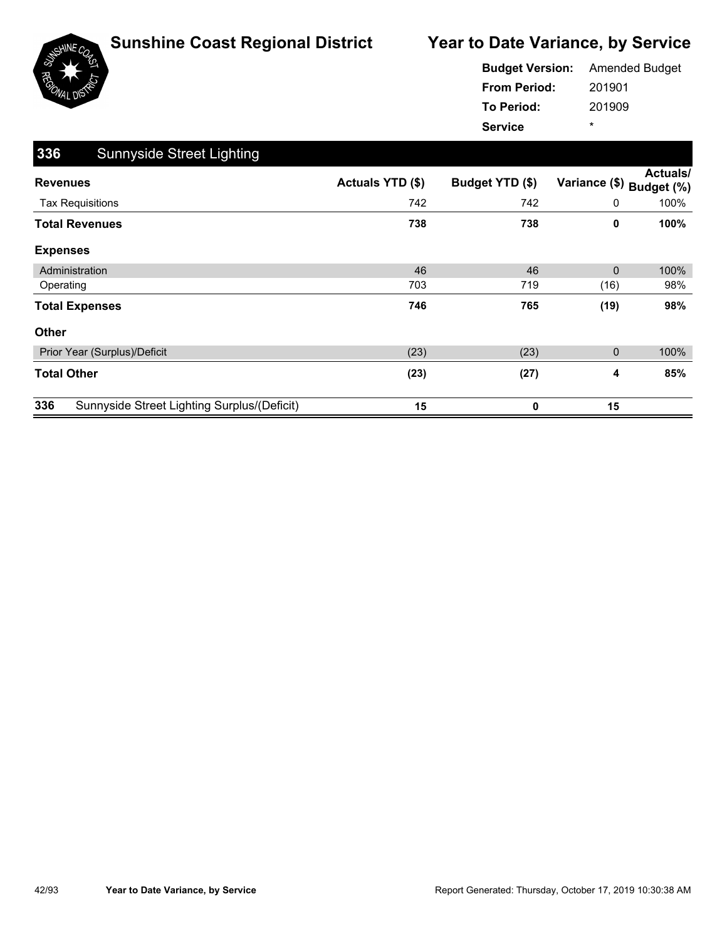

|                     | <b>Budget Version:</b> Amended Budget |
|---------------------|---------------------------------------|
| <b>From Period:</b> | 201901                                |
| To Period:          | 201909                                |
| <b>Service</b>      | ÷                                     |

| 336<br><b>Sunnyside Street Lighting</b>            |                  |                 |               |                               |
|----------------------------------------------------|------------------|-----------------|---------------|-------------------------------|
| <b>Revenues</b>                                    | Actuals YTD (\$) | Budget YTD (\$) | Variance (\$) | <b>Actuals/</b><br>Budget (%) |
| <b>Tax Requisitions</b>                            | 742              | 742             | 0             | 100%                          |
| <b>Total Revenues</b>                              | 738              | 738             | 0             | 100%                          |
| <b>Expenses</b>                                    |                  |                 |               |                               |
| Administration                                     | 46               | 46              | $\mathbf{0}$  | 100%                          |
| Operating                                          | 703              | 719             | (16)          | 98%                           |
| <b>Total Expenses</b>                              | 746              | 765             | (19)          | 98%                           |
| <b>Other</b>                                       |                  |                 |               |                               |
| Prior Year (Surplus)/Deficit                       | (23)             | (23)            | 0             | 100%                          |
| <b>Total Other</b>                                 | (23)             | (27)            | 4             | 85%                           |
| 336<br>Sunnyside Street Lighting Surplus/(Deficit) | 15               | 0               | 15            |                               |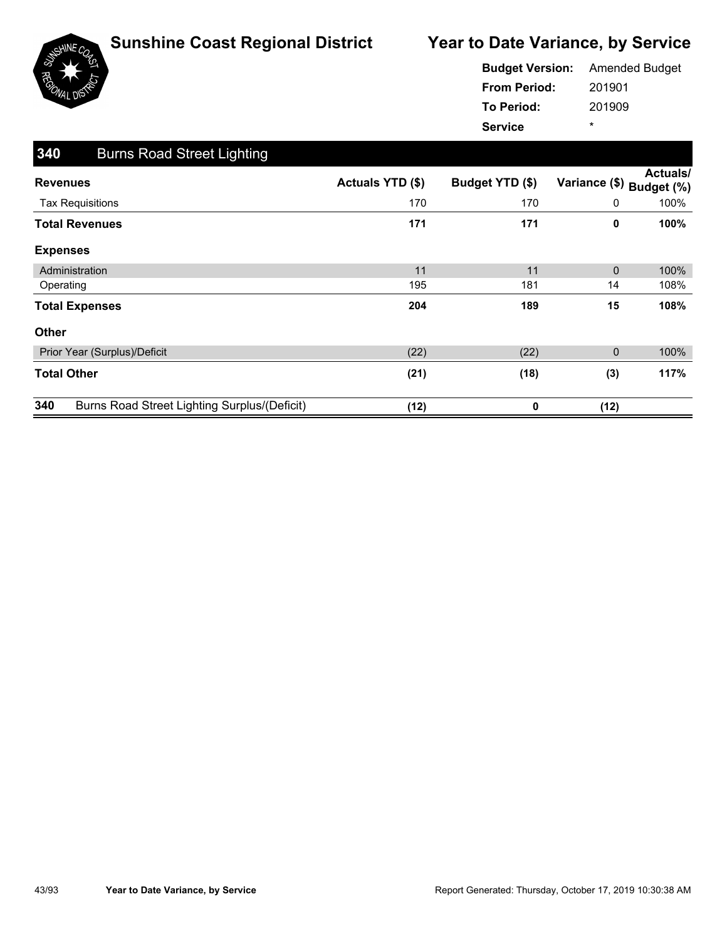

|                     | <b>Budget Version:</b> Amended Budget |
|---------------------|---------------------------------------|
| <b>From Period:</b> | 201901                                |
| <b>To Period:</b>   | 201909                                |
| <b>Service</b>      | ÷                                     |

| 340<br><b>Burns Road Street Lighting</b>                   |                  |                 |               |                               |
|------------------------------------------------------------|------------------|-----------------|---------------|-------------------------------|
| <b>Revenues</b>                                            | Actuals YTD (\$) | Budget YTD (\$) | Variance (\$) | <b>Actuals/</b><br>Budget (%) |
| <b>Tax Requisitions</b>                                    | 170              | 170             | 0             | 100%                          |
| <b>Total Revenues</b>                                      | 171              | 171             | 0             | 100%                          |
| <b>Expenses</b>                                            |                  |                 |               |                               |
| Administration                                             | 11               | 11              | $\mathbf{0}$  | 100%                          |
| Operating                                                  | 195              | 181             | 14            | 108%                          |
| <b>Total Expenses</b>                                      | 204              | 189             | 15            | 108%                          |
| Other                                                      |                  |                 |               |                               |
| Prior Year (Surplus)/Deficit                               | (22)             | (22)            | 0             | 100%                          |
| <b>Total Other</b>                                         | (21)             | (18)            | (3)           | 117%                          |
| 340<br><b>Burns Road Street Lighting Surplus/(Deficit)</b> | (12)             | 0               | (12)          |                               |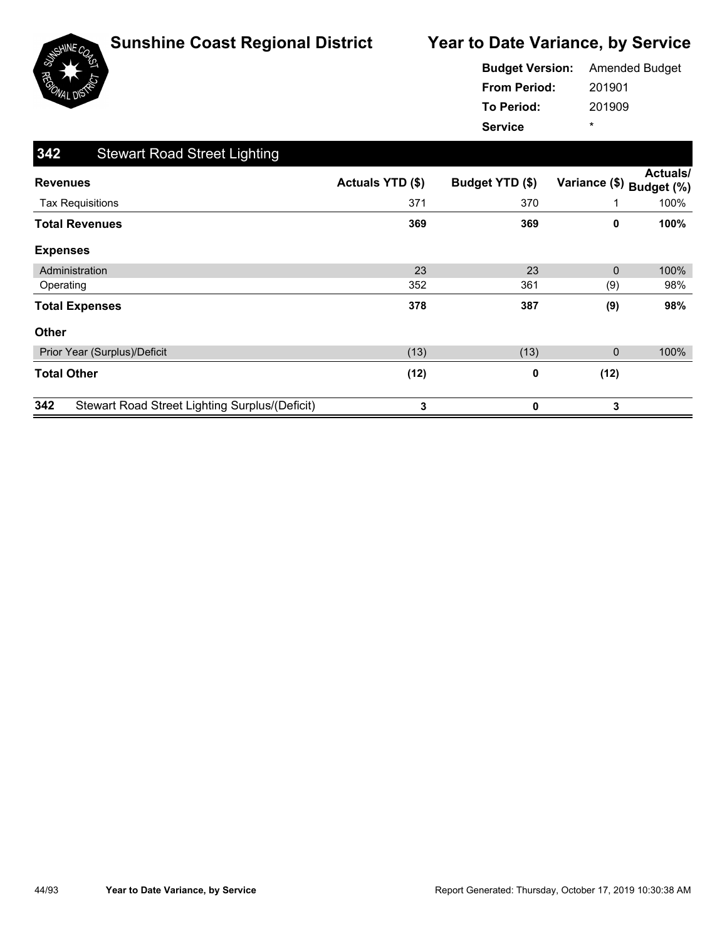

|                     | <b>Budget Version:</b> Amended Budget |
|---------------------|---------------------------------------|
| <b>From Period:</b> | 201901                                |
| <b>To Period:</b>   | 201909                                |
| <b>Service</b>      | ÷                                     |

| 342<br><b>Stewart Road Street Lighting</b>                   |                  |                 |               |                        |
|--------------------------------------------------------------|------------------|-----------------|---------------|------------------------|
| <b>Revenues</b>                                              | Actuals YTD (\$) | Budget YTD (\$) | Variance (\$) | Actuals/<br>Budget (%) |
| <b>Tax Requisitions</b>                                      | 371              | 370             |               | 100%                   |
| <b>Total Revenues</b>                                        | 369              | 369             | 0             | 100%                   |
| <b>Expenses</b>                                              |                  |                 |               |                        |
| Administration                                               | 23               | 23              | $\Omega$      | 100%                   |
| Operating                                                    | 352              | 361             | (9)           | 98%                    |
| <b>Total Expenses</b>                                        | 378              | 387             | (9)           | 98%                    |
| Other                                                        |                  |                 |               |                        |
| Prior Year (Surplus)/Deficit                                 | (13)             | (13)            | 0             | 100%                   |
| <b>Total Other</b>                                           | (12)             | 0               | (12)          |                        |
| 342<br><b>Stewart Road Street Lighting Surplus/(Deficit)</b> | 3                | 0               | 3             |                        |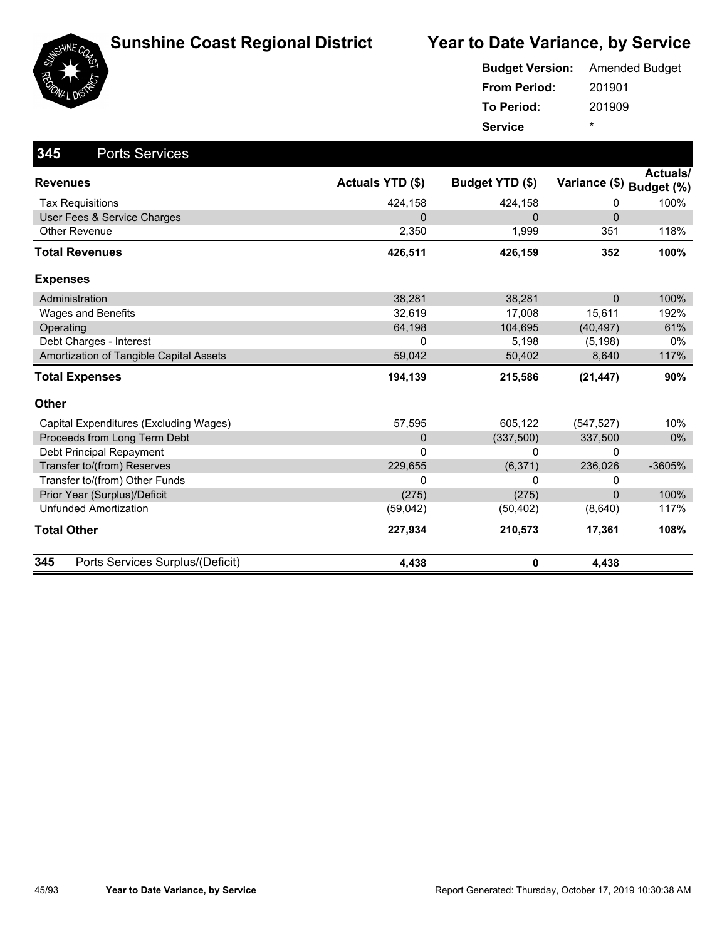

| SHINE <sub>Co</sub> |  |
|---------------------|--|
| ٥                   |  |
|                     |  |
| I.<br>ה ו           |  |

| <b>Budget Version:</b> | <b>Amended Budget</b> |
|------------------------|-----------------------|
| <b>From Period:</b>    | 201901                |
| <b>To Period:</b>      | 201909                |
| <b>Service</b>         | ÷                     |

| 345<br><b>Ports Services</b>            |                  |                 |                          |                 |
|-----------------------------------------|------------------|-----------------|--------------------------|-----------------|
| <b>Revenues</b>                         | Actuals YTD (\$) | Budget YTD (\$) | Variance (\$) Budget (%) | <b>Actuals/</b> |
| <b>Tax Requisitions</b>                 | 424,158          | 424,158         | 0                        | 100%            |
| User Fees & Service Charges             | 0                | 0               | $\pmb{0}$                |                 |
| <b>Other Revenue</b>                    | 2,350            | 1,999           | 351                      | 118%            |
| <b>Total Revenues</b>                   | 426,511          | 426,159         | 352                      | 100%            |
| <b>Expenses</b>                         |                  |                 |                          |                 |
| Administration                          | 38,281           | 38,281          | $\Omega$                 | 100%            |
| <b>Wages and Benefits</b>               | 32,619           | 17,008          | 15,611                   | 192%            |
| Operating                               | 64,198           | 104,695         | (40, 497)                | 61%             |
| Debt Charges - Interest                 | 0                | 5,198           | (5, 198)                 | $0\%$           |
| Amortization of Tangible Capital Assets | 59,042           | 50,402          | 8,640                    | 117%            |
| <b>Total Expenses</b>                   | 194,139          | 215,586         | (21, 447)                | 90%             |
| Other                                   |                  |                 |                          |                 |
| Capital Expenditures (Excluding Wages)  | 57,595           | 605,122         | (547, 527)               | 10%             |
| Proceeds from Long Term Debt            | $\mathbf 0$      | (337, 500)      | 337,500                  | $0\%$           |
| Debt Principal Repayment                | 0                | 0               | 0                        |                 |
| Transfer to/(from) Reserves             | 229,655          | (6, 371)        | 236,026                  | -3605%          |
| Transfer to/(from) Other Funds          | 0                | 0               | 0                        |                 |
| Prior Year (Surplus)/Deficit            | (275)            | (275)           | $\Omega$                 | 100%            |
| <b>Unfunded Amortization</b>            | (59,042)         | (50, 402)       | (8,640)                  | 117%            |
| <b>Total Other</b>                      | 227,934          | 210,573         | 17,361                   | 108%            |
| 345<br>Ports Services Surplus/(Deficit) | 4,438            | 0               | 4,438                    |                 |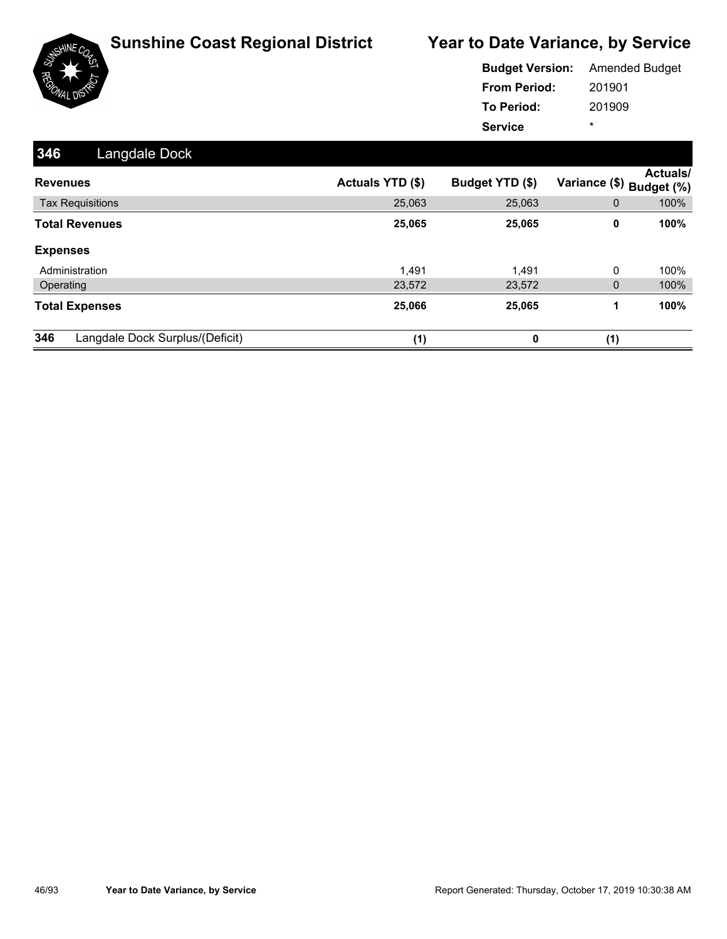

|                     | <b>Budget Version:</b> Amended Budget |
|---------------------|---------------------------------------|
| <b>From Period:</b> | 201901                                |
| <b>To Period:</b>   | 201909                                |
| <b>Service</b>      | ÷                                     |

| 346<br>Langdale Dock                   |                         |                 |                                      |
|----------------------------------------|-------------------------|-----------------|--------------------------------------|
| <b>Revenues</b>                        | <b>Actuals YTD (\$)</b> | Budget YTD (\$) | Actuals/<br>Variance (\$) Budget (%) |
| <b>Tax Requisitions</b>                | 25,063                  | 25,063          | 100%<br>$\mathbf{0}$                 |
| <b>Total Revenues</b>                  | 25,065                  | 25,065          | 100%<br>0                            |
| <b>Expenses</b>                        |                         |                 |                                      |
| Administration                         | 1.491                   | 1,491           | 0<br>100%                            |
| Operating                              | 23,572                  | 23,572          | 100%<br>$\mathbf{0}$                 |
| <b>Total Expenses</b>                  | 25,066                  | 25,065          | 100%<br>1                            |
| 346<br>Langdale Dock Surplus/(Deficit) | (1)                     | 0               | (1)                                  |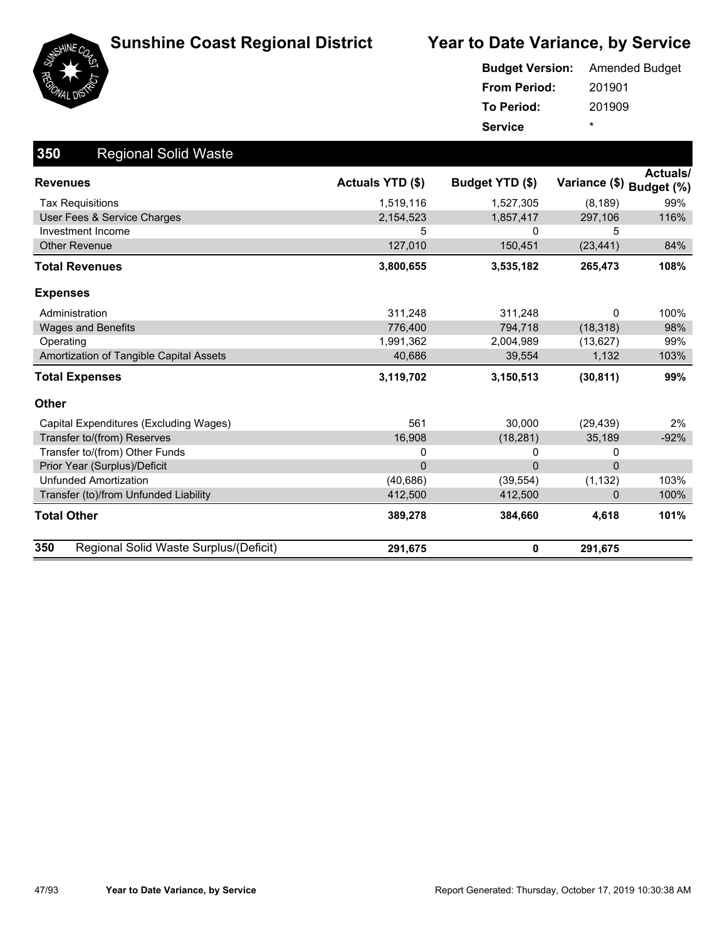



|                     | <b>Budget Version:</b> Amended Budget |
|---------------------|---------------------------------------|
| <b>From Period:</b> | 201901                                |
| To Period:          | 201909                                |
| <b>Service</b>      | ÷                                     |

| 350<br><b>Regional Solid Waste</b>            |                  |                 |                          |          |
|-----------------------------------------------|------------------|-----------------|--------------------------|----------|
| <b>Revenues</b>                               | Actuals YTD (\$) | Budget YTD (\$) | Variance (\$) Budget (%) | Actuals/ |
| <b>Tax Requisitions</b>                       | 1,519,116        | 1,527,305       | (8, 189)                 | 99%      |
| User Fees & Service Charges                   | 2,154,523        | 1,857,417       | 297,106                  | 116%     |
| Investment Income                             | 5                | 0               | 5                        |          |
| <b>Other Revenue</b>                          | 127,010          | 150,451         | (23, 441)                | 84%      |
| <b>Total Revenues</b>                         | 3,800,655        | 3,535,182       | 265,473                  | 108%     |
| <b>Expenses</b>                               |                  |                 |                          |          |
| Administration                                | 311,248          | 311,248         | 0                        | 100%     |
| <b>Wages and Benefits</b>                     | 776,400          | 794,718         | (18, 318)                | 98%      |
| Operating                                     | 1,991,362        | 2,004,989       | (13,627)                 | 99%      |
| Amortization of Tangible Capital Assets       | 40,686           | 39,554          | 1,132                    | 103%     |
| <b>Total Expenses</b>                         | 3,119,702        | 3,150,513       | (30, 811)                | 99%      |
| <b>Other</b>                                  |                  |                 |                          |          |
| Capital Expenditures (Excluding Wages)        | 561              | 30,000          | (29, 439)                | 2%       |
| Transfer to/(from) Reserves                   | 16,908           | (18, 281)       | 35,189                   | $-92%$   |
| Transfer to/(from) Other Funds                | 0                | 0               | 0                        |          |
| Prior Year (Surplus)/Deficit                  | $\overline{0}$   | $\mathbf{0}$    | $\overline{0}$           |          |
| <b>Unfunded Amortization</b>                  | (40, 686)        | (39, 554)       | (1, 132)                 | 103%     |
| Transfer (to)/from Unfunded Liability         | 412,500          | 412,500         | 0                        | 100%     |
| <b>Total Other</b>                            | 389,278          | 384,660         | 4,618                    | 101%     |
| 350<br>Regional Solid Waste Surplus/(Deficit) | 291,675          | 0               | 291,675                  |          |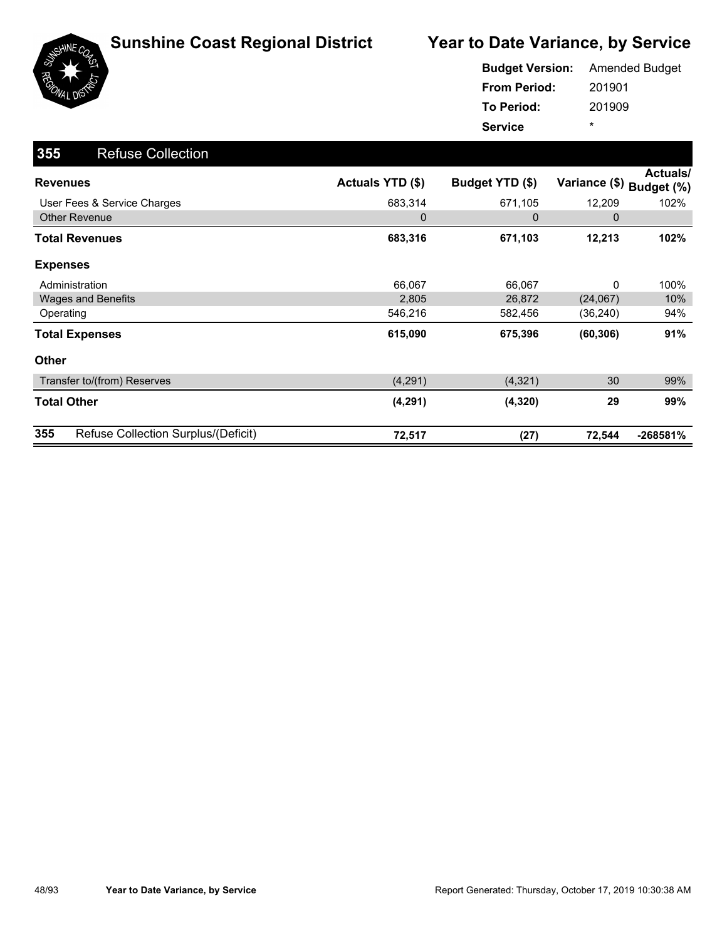

|                     | <b>Budget Version:</b> Amended Budget |
|---------------------|---------------------------------------|
| <b>From Period:</b> | 201901                                |
| To Period:          | 201909                                |
| <b>Service</b>      | ÷                                     |

| 355<br><b>Refuse Collection</b>            |                  |                 |               |                               |
|--------------------------------------------|------------------|-----------------|---------------|-------------------------------|
| <b>Revenues</b>                            | Actuals YTD (\$) | Budget YTD (\$) | Variance (\$) | <b>Actuals/</b><br>Budget (%) |
| User Fees & Service Charges                | 683,314          | 671,105         | 12,209        | 102%                          |
| <b>Other Revenue</b>                       | $\mathbf 0$      | 0               | 0             |                               |
| <b>Total Revenues</b>                      | 683,316          | 671,103         | 12,213        | 102%                          |
| <b>Expenses</b>                            |                  |                 |               |                               |
| Administration                             | 66,067           | 66,067          | 0             | 100%                          |
| <b>Wages and Benefits</b>                  | 2,805            | 26,872          | (24,067)      | 10%                           |
| Operating                                  | 546,216          | 582,456         | (36,240)      | 94%                           |
| <b>Total Expenses</b>                      | 615,090          | 675,396         | (60, 306)     | 91%                           |
| <b>Other</b>                               |                  |                 |               |                               |
| Transfer to/(from) Reserves                | (4,291)          | (4,321)         | 30            | 99%                           |
| <b>Total Other</b>                         | (4, 291)         | (4, 320)        | 29            | 99%                           |
| 355<br>Refuse Collection Surplus/(Deficit) | 72,517           | (27)            | 72,544        | $-268581%$                    |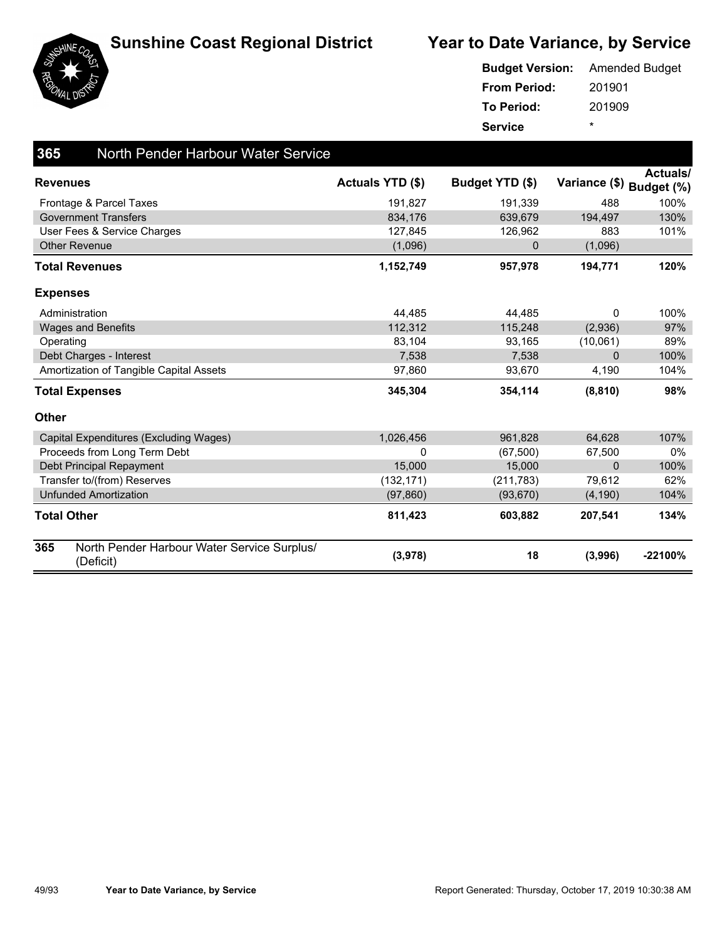





| <b>Budget Version:</b> | <b>Amended Budget</b> |
|------------------------|-----------------------|
| <b>From Period:</b>    | 201901                |
| To Period:             | 201909                |
| <b>Service</b>         | *                     |

| 365             | North Pender Harbour Water Service                       |                         |                 |               |                               |
|-----------------|----------------------------------------------------------|-------------------------|-----------------|---------------|-------------------------------|
| <b>Revenues</b> |                                                          | <b>Actuals YTD (\$)</b> | Budget YTD (\$) | Variance (\$) | <b>Actuals/</b><br>Budget (%) |
|                 | Frontage & Parcel Taxes                                  | 191,827                 | 191,339         | 488           | 100%                          |
|                 | <b>Government Transfers</b>                              | 834,176                 | 639,679         | 194,497       | 130%                          |
|                 | User Fees & Service Charges                              | 127,845                 | 126,962         | 883           | 101%                          |
|                 | <b>Other Revenue</b>                                     | (1,096)                 | 0               | (1,096)       |                               |
|                 | <b>Total Revenues</b>                                    | 1,152,749               | 957,978         | 194,771       | 120%                          |
| <b>Expenses</b> |                                                          |                         |                 |               |                               |
|                 | Administration                                           | 44,485                  | 44,485          | 0             | 100%                          |
|                 | <b>Wages and Benefits</b>                                | 112,312                 | 115,248         | (2,936)       | 97%                           |
| Operating       |                                                          | 83,104                  | 93,165          | (10,061)      | 89%                           |
|                 | Debt Charges - Interest                                  | 7,538                   | 7,538           | $\Omega$      | 100%                          |
|                 | Amortization of Tangible Capital Assets                  | 97,860                  | 93,670          | 4,190         | 104%                          |
|                 | <b>Total Expenses</b>                                    | 345,304                 | 354,114         | (8, 810)      | 98%                           |
| <b>Other</b>    |                                                          |                         |                 |               |                               |
|                 | Capital Expenditures (Excluding Wages)                   | 1,026,456               | 961,828         | 64,628        | 107%                          |
|                 | Proceeds from Long Term Debt                             | 0                       | (67, 500)       | 67,500        | 0%                            |
|                 | Debt Principal Repayment                                 | 15,000                  | 15,000          | $\Omega$      | 100%                          |
|                 | Transfer to/(from) Reserves                              | (132, 171)              | (211, 783)      | 79,612        | 62%                           |
|                 | <b>Unfunded Amortization</b>                             | (97, 860)               | (93, 670)       | (4, 190)      | 104%                          |
|                 | <b>Total Other</b>                                       | 811,423                 | 603,882         | 207,541       | 134%                          |
| 365             | North Pender Harbour Water Service Surplus/<br>(Deficit) | (3,978)                 | 18              | (3,996)       | $-22100%$                     |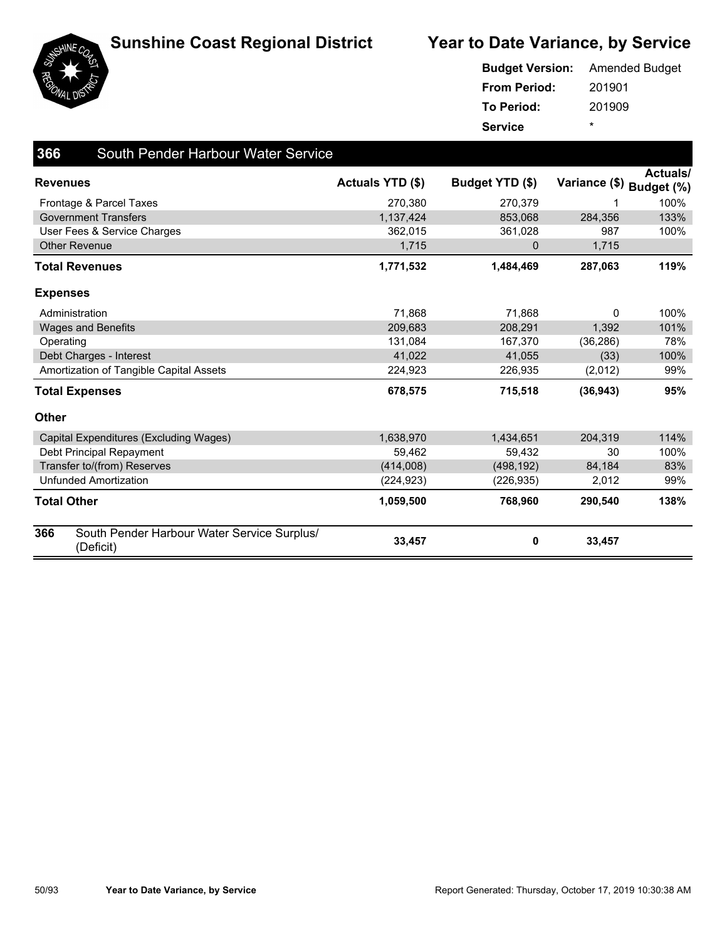



|                     | <b>Budget Version:</b> Amended Budget |
|---------------------|---------------------------------------|
| <b>From Period:</b> | 201901                                |
| <b>To Period:</b>   | 201909                                |
| <b>Service</b>      | ÷                                     |

| 366             | South Pender Harbour Water Service                       |                         |                 |                          |                 |
|-----------------|----------------------------------------------------------|-------------------------|-----------------|--------------------------|-----------------|
| <b>Revenues</b> |                                                          | <b>Actuals YTD (\$)</b> | Budget YTD (\$) | Variance (\$) Budget (%) | <b>Actuals/</b> |
|                 | Frontage & Parcel Taxes                                  | 270,380                 | 270,379         |                          | 100%            |
|                 | <b>Government Transfers</b>                              | 1,137,424               | 853,068         | 284,356                  | 133%            |
|                 | User Fees & Service Charges                              | 362.015                 | 361,028         | 987                      | 100%            |
|                 | <b>Other Revenue</b>                                     | 1,715                   | $\mathbf 0$     | 1,715                    |                 |
|                 | <b>Total Revenues</b>                                    | 1,771,532               | 1,484,469       | 287,063                  | 119%            |
| <b>Expenses</b> |                                                          |                         |                 |                          |                 |
|                 | Administration                                           | 71.868                  | 71.868          | 0                        | 100%            |
|                 | <b>Wages and Benefits</b>                                | 209,683                 | 208,291         | 1,392                    | 101%            |
| Operating       |                                                          | 131.084                 | 167,370         | (36, 286)                | 78%             |
|                 | Debt Charges - Interest                                  | 41,022                  | 41,055          | (33)                     | 100%            |
|                 | Amortization of Tangible Capital Assets                  | 224,923                 | 226,935         | (2,012)                  | 99%             |
|                 | <b>Total Expenses</b>                                    | 678,575                 | 715,518         | (36, 943)                | 95%             |
| <b>Other</b>    |                                                          |                         |                 |                          |                 |
|                 | Capital Expenditures (Excluding Wages)                   | 1,638,970               | 1,434,651       | 204,319                  | 114%            |
|                 | Debt Principal Repayment                                 | 59,462                  | 59,432          | 30                       | 100%            |
|                 | Transfer to/(from) Reserves                              | (414,008)               | (498, 192)      | 84,184                   | 83%             |
|                 | <b>Unfunded Amortization</b>                             | (224, 923)              | (226, 935)      | 2,012                    | 99%             |
| Total Other     |                                                          | 1,059,500               | 768,960         | 290,540                  | 138%            |
| 366             | South Pender Harbour Water Service Surplus/<br>(Deficit) | 33,457                  | 0               | 33,457                   |                 |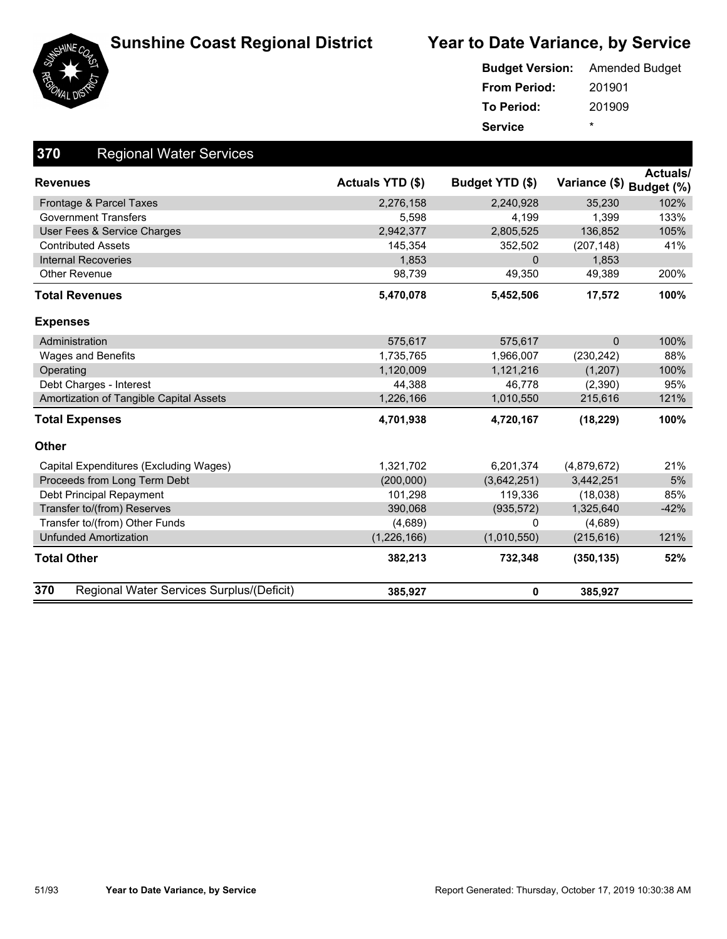





#### 201901 201909 **From Period: To Period: Service** \* **Budget Version:** Amended Budget

| 370<br><b>Regional Water Services</b>            |                  |                 |                          |                 |
|--------------------------------------------------|------------------|-----------------|--------------------------|-----------------|
| <b>Revenues</b>                                  | Actuals YTD (\$) | Budget YTD (\$) | Variance (\$) Budget (%) | <b>Actuals/</b> |
| Frontage & Parcel Taxes                          | 2,276,158        | 2,240,928       | 35,230                   | 102%            |
| <b>Government Transfers</b>                      | 5,598            | 4,199           | 1,399                    | 133%            |
| User Fees & Service Charges                      | 2,942,377        | 2,805,525       | 136,852                  | 105%            |
| <b>Contributed Assets</b>                        | 145,354          | 352,502         | (207, 148)               | 41%             |
| <b>Internal Recoveries</b>                       | 1,853            | $\Omega$        | 1,853                    |                 |
| <b>Other Revenue</b>                             | 98,739           | 49,350          | 49,389                   | 200%            |
| <b>Total Revenues</b>                            | 5,470,078        | 5,452,506       | 17,572                   | 100%            |
| <b>Expenses</b>                                  |                  |                 |                          |                 |
| Administration                                   | 575,617          | 575,617         | $\mathbf 0$              | 100%            |
| <b>Wages and Benefits</b>                        | 1,735,765        | 1,966,007       | (230, 242)               | 88%             |
| Operating                                        | 1,120,009        | 1,121,216       | (1,207)                  | 100%            |
| Debt Charges - Interest                          | 44,388           | 46,778          | (2,390)                  | 95%             |
| Amortization of Tangible Capital Assets          | 1,226,166        | 1,010,550       | 215,616                  | 121%            |
| <b>Total Expenses</b>                            | 4,701,938        | 4,720,167       | (18, 229)                | 100%            |
| <b>Other</b>                                     |                  |                 |                          |                 |
| Capital Expenditures (Excluding Wages)           | 1,321,702        | 6,201,374       | (4,879,672)              | 21%             |
| Proceeds from Long Term Debt                     | (200,000)        | (3,642,251)     | 3,442,251                | 5%              |
| Debt Principal Repayment                         | 101,298          | 119,336         | (18,038)                 | 85%             |
| Transfer to/(from) Reserves                      | 390,068          | (935, 572)      | 1,325,640                | $-42%$          |
| Transfer to/(from) Other Funds                   | (4,689)          | 0               | (4,689)                  |                 |
| <b>Unfunded Amortization</b>                     | (1,226,166)      | (1,010,550)     | (215, 616)               | 121%            |
| <b>Total Other</b>                               | 382,213          | 732,348         | (350, 135)               | 52%             |
| 370<br>Regional Water Services Surplus/(Deficit) | 385,927          | 0               | 385,927                  |                 |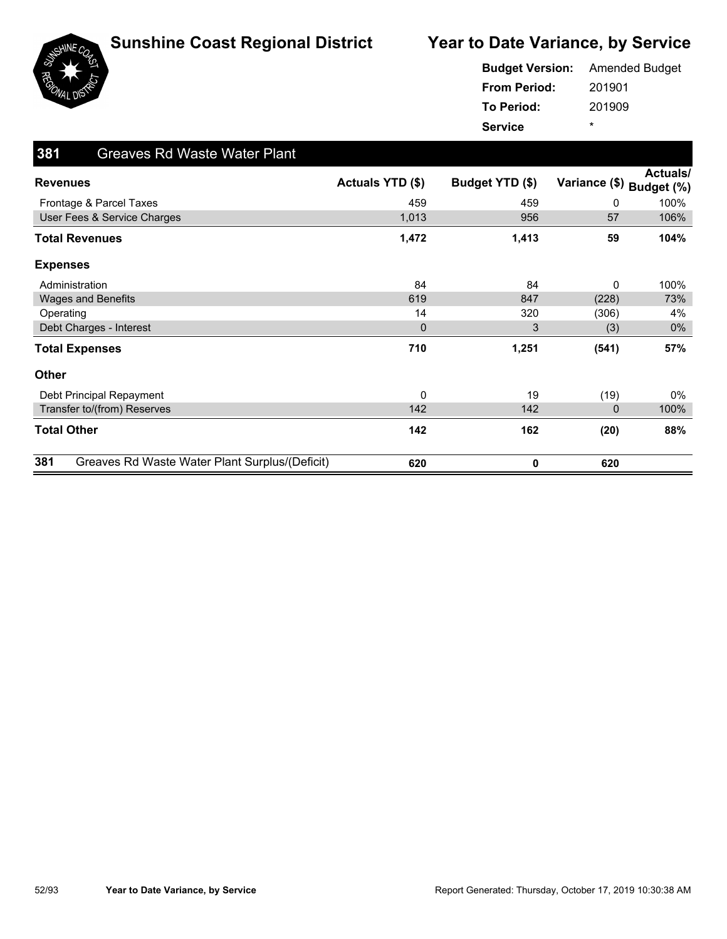



| <b>Budget Version:</b> | <b>Amended Budget</b> |
|------------------------|-----------------------|
| <b>From Period:</b>    | 201901                |
| <b>To Period:</b>      | 201909                |
| <b>Service</b>         | ÷                     |

| 381<br><b>Greaves Rd Waste Water Plant</b>            |                  |                 |               |                               |
|-------------------------------------------------------|------------------|-----------------|---------------|-------------------------------|
| <b>Revenues</b>                                       | Actuals YTD (\$) | Budget YTD (\$) | Variance (\$) | <b>Actuals/</b><br>Budget (%) |
| Frontage & Parcel Taxes                               | 459              | 459             | 0             | 100%                          |
| User Fees & Service Charges                           | 1,013            | 956             | 57            | 106%                          |
| <b>Total Revenues</b>                                 | 1,472            | 1,413           | 59            | 104%                          |
| <b>Expenses</b>                                       |                  |                 |               |                               |
| Administration                                        | 84               | 84              | 0             | 100%                          |
| Wages and Benefits                                    | 619              | 847             | (228)         | 73%                           |
| Operating                                             | 14               | 320             | (306)         | 4%                            |
| Debt Charges - Interest                               | $\mathbf{0}$     | 3               | (3)           | $0\%$                         |
| <b>Total Expenses</b>                                 | 710              | 1,251           | (541)         | 57%                           |
| Other                                                 |                  |                 |               |                               |
| Debt Principal Repayment                              | 0                | 19              | (19)          | $0\%$                         |
| Transfer to/(from) Reserves                           | 142              | 142             | $\mathbf 0$   | 100%                          |
| <b>Total Other</b>                                    | 142              | 162             | (20)          | 88%                           |
| 381<br>Greaves Rd Waste Water Plant Surplus/(Deficit) | 620              | 0               | 620           |                               |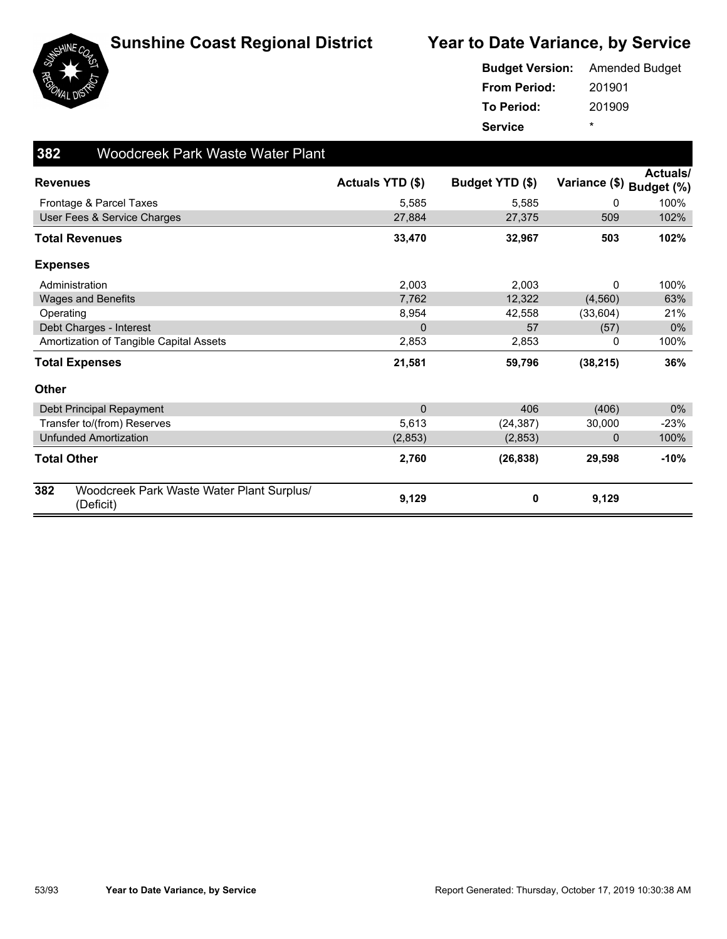



|                     | <b>Budget Version:</b> Amended Budget |
|---------------------|---------------------------------------|
| <b>From Period:</b> | 201901                                |
| <b>To Period:</b>   | 201909                                |
| <b>Service</b>      | ÷                                     |

| 382                | <b>Woodcreek Park Waste Water Plant</b>                |                  |                 |               |                               |
|--------------------|--------------------------------------------------------|------------------|-----------------|---------------|-------------------------------|
| <b>Revenues</b>    |                                                        | Actuals YTD (\$) | Budget YTD (\$) | Variance (\$) | <b>Actuals/</b><br>Budget (%) |
|                    | Frontage & Parcel Taxes                                | 5,585            | 5,585           | 0             | 100%                          |
|                    | User Fees & Service Charges                            | 27,884           | 27,375          | 509           | 102%                          |
|                    | <b>Total Revenues</b>                                  | 33,470           | 32,967          | 503           | 102%                          |
| <b>Expenses</b>    |                                                        |                  |                 |               |                               |
|                    | Administration                                         | 2,003            | 2,003           | 0             | 100%                          |
|                    | Wages and Benefits                                     | 7,762            | 12,322          | (4, 560)      | 63%                           |
| Operating          |                                                        | 8,954            | 42,558          | (33,604)      | 21%                           |
|                    | Debt Charges - Interest                                | $\Omega$         | 57              | (57)          | $0\%$                         |
|                    | Amortization of Tangible Capital Assets                | 2,853            | 2,853           | 0             | 100%                          |
|                    | <b>Total Expenses</b>                                  | 21,581           | 59,796          | (38, 215)     | 36%                           |
| <b>Other</b>       |                                                        |                  |                 |               |                               |
|                    | Debt Principal Repayment                               | $\mathbf{0}$     | 406             | (406)         | $0\%$                         |
|                    | Transfer to/(from) Reserves                            | 5,613            | (24, 387)       | 30,000        | $-23%$                        |
|                    | <b>Unfunded Amortization</b>                           | (2,853)          | (2,853)         | 0             | 100%                          |
| <b>Total Other</b> |                                                        | 2,760            | (26, 838)       | 29,598        | $-10%$                        |
| 382                | Woodcreek Park Waste Water Plant Surplus/<br>(Deficit) | 9,129            | 0               | 9,129         |                               |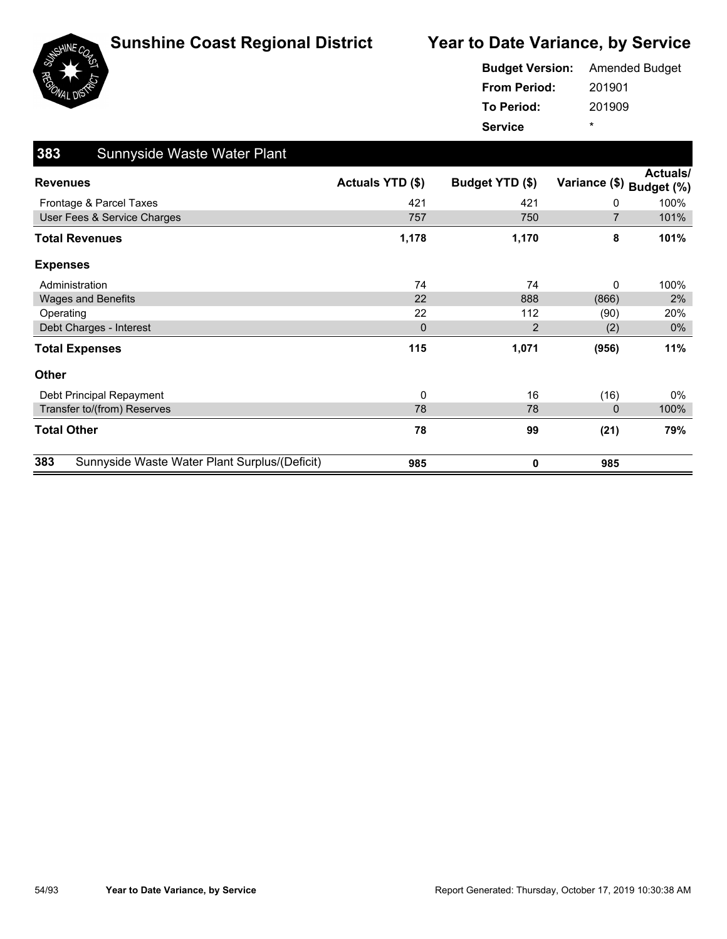



|                     | <b>Budget Version:</b> Amended Budget |
|---------------------|---------------------------------------|
| <b>From Period:</b> | 201901                                |
| To Period:          | 201909                                |
| <b>Service</b>      | ÷                                     |

| 383<br>Sunnyside Waste Water Plant                   |                         |                 |                |                               |
|------------------------------------------------------|-------------------------|-----------------|----------------|-------------------------------|
| <b>Revenues</b>                                      | <b>Actuals YTD (\$)</b> | Budget YTD (\$) | Variance (\$)  | <b>Actuals/</b><br>Budget (%) |
| Frontage & Parcel Taxes                              | 421                     | 421             | 0              | 100%                          |
| User Fees & Service Charges                          | 757                     | 750             | $\overline{7}$ | 101%                          |
| <b>Total Revenues</b>                                | 1,178                   | 1,170           | 8              | 101%                          |
| <b>Expenses</b>                                      |                         |                 |                |                               |
| Administration                                       | 74                      | 74              | 0              | 100%                          |
| <b>Wages and Benefits</b>                            | 22                      | 888             | (866)          | 2%                            |
| Operating                                            | 22                      | 112             | (90)           | 20%                           |
| Debt Charges - Interest                              | $\mathbf 0$             | $\overline{2}$  | (2)            | $0\%$                         |
| <b>Total Expenses</b>                                | 115                     | 1,071           | (956)          | 11%                           |
| <b>Other</b>                                         |                         |                 |                |                               |
| Debt Principal Repayment                             | 0                       | 16              | (16)           | 0%                            |
| Transfer to/(from) Reserves                          | 78                      | 78              | $\mathbf 0$    | 100%                          |
| <b>Total Other</b>                                   | 78                      | 99              | (21)           | 79%                           |
| 383<br>Sunnyside Waste Water Plant Surplus/(Deficit) | 985                     | 0               | 985            |                               |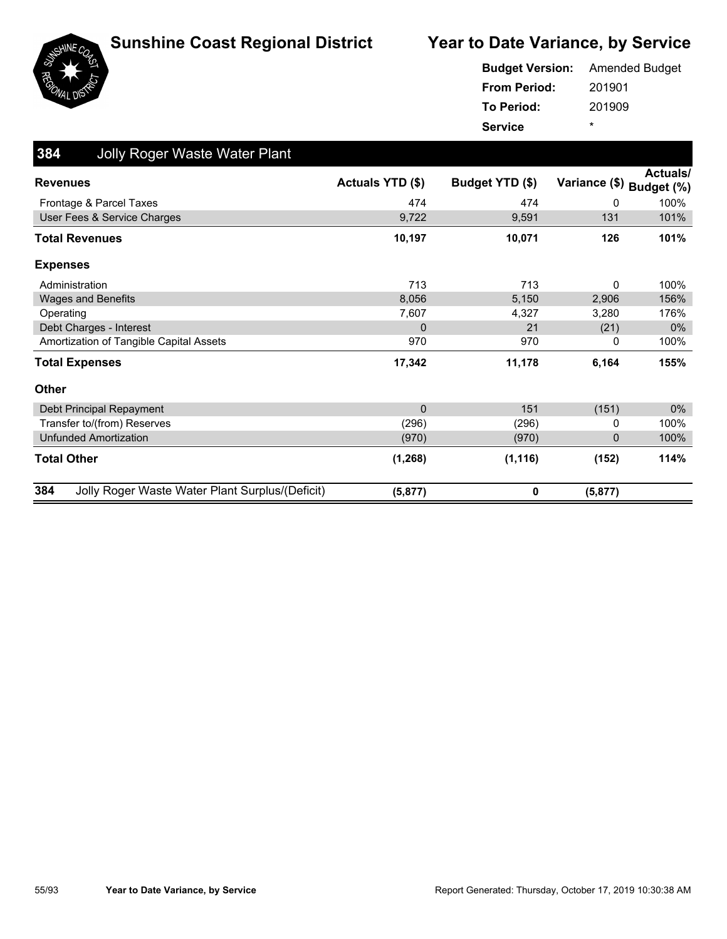



|                     | <b>Budget Version:</b> Amended Budget |
|---------------------|---------------------------------------|
| <b>From Period:</b> | 201901                                |
| To Period:          | 201909                                |
| <b>Service</b>      | ÷                                     |

| 384<br><b>Jolly Roger Waste Water Plant</b>            |                         |                 |                          |                 |
|--------------------------------------------------------|-------------------------|-----------------|--------------------------|-----------------|
| <b>Revenues</b>                                        | <b>Actuals YTD (\$)</b> | Budget YTD (\$) | Variance (\$) Budget (%) | <b>Actuals/</b> |
| Frontage & Parcel Taxes                                | 474                     | 474             | 0                        | 100%            |
| User Fees & Service Charges                            | 9,722                   | 9,591           | 131                      | 101%            |
| <b>Total Revenues</b>                                  | 10,197                  | 10,071          | 126                      | 101%            |
| <b>Expenses</b>                                        |                         |                 |                          |                 |
| Administration                                         | 713                     | 713             | 0                        | 100%            |
| <b>Wages and Benefits</b>                              | 8,056                   | 5,150           | 2,906                    | 156%            |
| Operating                                              | 7,607                   | 4,327           | 3,280                    | 176%            |
| Debt Charges - Interest                                | $\mathbf{0}$            | 21              | (21)                     | $0\%$           |
| Amortization of Tangible Capital Assets                | 970                     | 970             | 0                        | 100%            |
| <b>Total Expenses</b>                                  | 17,342                  | 11,178          | 6,164                    | 155%            |
| Other                                                  |                         |                 |                          |                 |
| Debt Principal Repayment                               | $\mathbf{0}$            | 151             | (151)                    | 0%              |
| Transfer to/(from) Reserves                            | (296)                   | (296)           | 0                        | 100%            |
| <b>Unfunded Amortization</b>                           | (970)                   | (970)           | 0                        | 100%            |
| <b>Total Other</b>                                     | (1, 268)                | (1, 116)        | (152)                    | 114%            |
| Jolly Roger Waste Water Plant Surplus/(Deficit)<br>384 | (5, 877)                | 0               | (5, 877)                 |                 |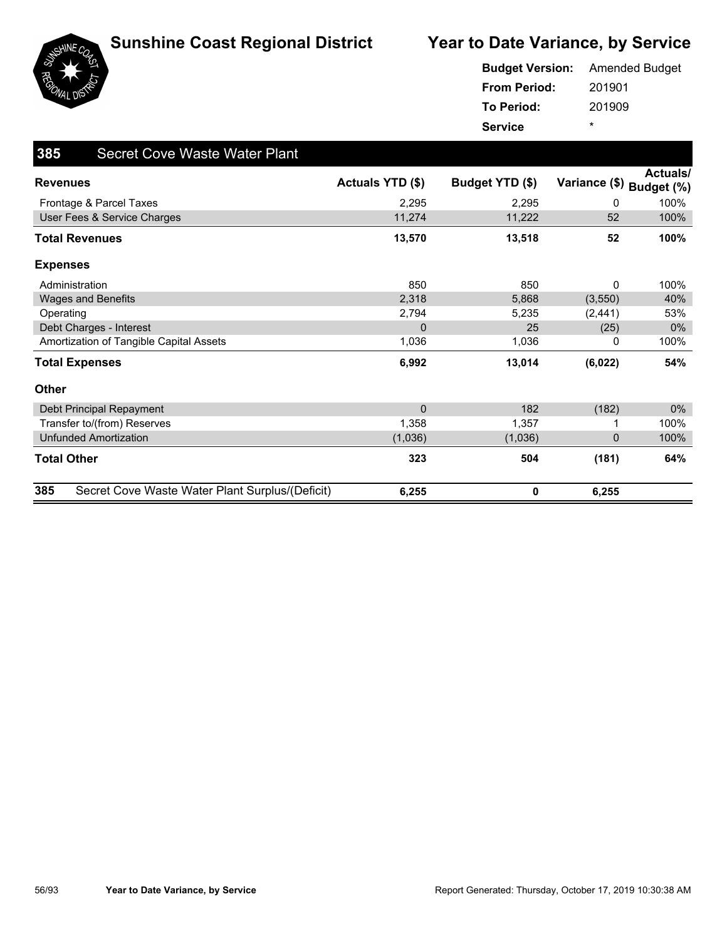





#### 201901 201909 **From Period: To Period: Service** \* **Budget Version:** Amended Budget

| 385<br><b>Secret Cove Waste Water Plant</b>            |                  |                 |                          |          |
|--------------------------------------------------------|------------------|-----------------|--------------------------|----------|
| <b>Revenues</b>                                        | Actuals YTD (\$) | Budget YTD (\$) | Variance (\$) Budget (%) | Actuals/ |
| Frontage & Parcel Taxes                                | 2,295            | 2,295           | 0                        | 100%     |
| User Fees & Service Charges                            | 11,274           | 11,222          | 52                       | 100%     |
| <b>Total Revenues</b>                                  | 13,570           | 13,518          | 52                       | 100%     |
| <b>Expenses</b>                                        |                  |                 |                          |          |
| Administration                                         | 850              | 850             | 0                        | 100%     |
| <b>Wages and Benefits</b>                              | 2,318            | 5,868           | (3,550)                  | 40%      |
| Operating                                              | 2,794            | 5,235           | (2, 441)                 | 53%      |
| Debt Charges - Interest                                | 0                | 25              | (25)                     | 0%       |
| Amortization of Tangible Capital Assets                | 1,036            | 1,036           | 0                        | 100%     |
| <b>Total Expenses</b>                                  | 6,992            | 13,014          | (6,022)                  | 54%      |
| Other                                                  |                  |                 |                          |          |
| Debt Principal Repayment                               | $\mathbf 0$      | 182             | (182)                    | $0\%$    |
| Transfer to/(from) Reserves                            | 1,358            | 1,357           |                          | 100%     |
| <b>Unfunded Amortization</b>                           | (1,036)          | (1,036)         | 0                        | 100%     |
| <b>Total Other</b>                                     | 323              | 504             | (181)                    | 64%      |
| 385<br>Secret Cove Waste Water Plant Surplus/(Deficit) | 6,255            | 0               | 6,255                    |          |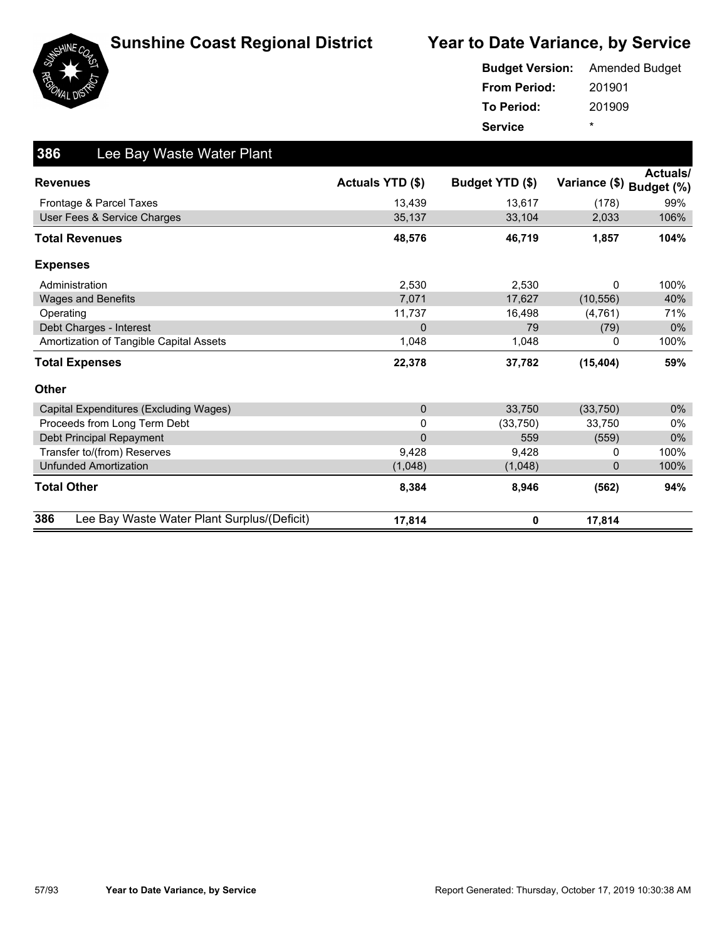



|                     | <b>Budget Version:</b> Amended Budget |
|---------------------|---------------------------------------|
| <b>From Period:</b> | 201901                                |
| To Period:          | 201909                                |
| <b>Service</b>      | *                                     |

| 386<br>Lee Bay Waste Water Plant                   |                         |                 |               |                               |
|----------------------------------------------------|-------------------------|-----------------|---------------|-------------------------------|
| <b>Revenues</b>                                    | <b>Actuals YTD (\$)</b> | Budget YTD (\$) | Variance (\$) | <b>Actuals/</b><br>Budget (%) |
| Frontage & Parcel Taxes                            | 13,439                  | 13,617          | (178)         | 99%                           |
| User Fees & Service Charges                        | 35,137                  | 33,104          | 2,033         | 106%                          |
| <b>Total Revenues</b>                              | 48,576                  | 46,719          | 1,857         | 104%                          |
| <b>Expenses</b>                                    |                         |                 |               |                               |
| Administration                                     | 2,530                   | 2,530           | 0             | 100%                          |
| <b>Wages and Benefits</b>                          | 7,071                   | 17,627          | (10, 556)     | 40%                           |
| Operating                                          | 11,737                  | 16,498          | (4, 761)      | 71%                           |
| Debt Charges - Interest                            | $\mathbf 0$             | 79              | (79)          | $0\%$                         |
| Amortization of Tangible Capital Assets            | 1,048                   | 1,048           | 0             | 100%                          |
| <b>Total Expenses</b>                              | 22,378                  | 37,782          | (15, 404)     | 59%                           |
| <b>Other</b>                                       |                         |                 |               |                               |
| Capital Expenditures (Excluding Wages)             | $\mathbf{0}$            | 33,750          | (33, 750)     | $0\%$                         |
| Proceeds from Long Term Debt                       | 0                       | (33,750)        | 33,750        | $0\%$                         |
| Debt Principal Repayment                           | $\mathbf{0}$            | 559             | (559)         | $0\%$                         |
| Transfer to/(from) Reserves                        | 9,428                   | 9,428           | 0             | 100%                          |
| <b>Unfunded Amortization</b>                       | (1,048)                 | (1,048)         | $\mathbf{0}$  | 100%                          |
| <b>Total Other</b>                                 | 8,384                   | 8,946           | (562)         | 94%                           |
| 386<br>Lee Bay Waste Water Plant Surplus/(Deficit) | 17,814                  | 0               | 17,814        |                               |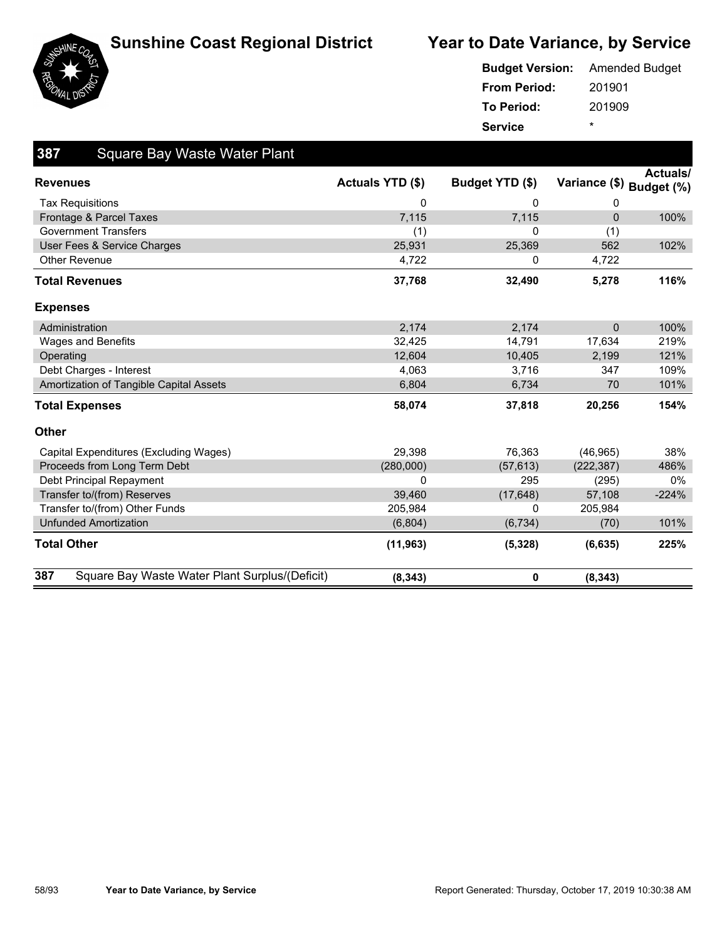

#### **Sunshine Coast Regional District State Year to Date Variance, by Service**



| <b>Budget Version:</b> Amended Budget |        |
|---------------------------------------|--------|
| <b>From Period:</b>                   | 201901 |
| To Period:                            | 201909 |
| <b>Service</b>                        | ÷      |

| 387<br><b>Square Bay Waste Water Plant</b>            |                  |                 |              |                                             |
|-------------------------------------------------------|------------------|-----------------|--------------|---------------------------------------------|
| <b>Revenues</b>                                       | Actuals YTD (\$) | Budget YTD (\$) |              | <b>Actuals/</b><br>Variance (\$) Budget (%) |
| <b>Tax Requisitions</b>                               | 0                | 0               | 0            |                                             |
| Frontage & Parcel Taxes                               | 7,115            | 7,115           | $\Omega$     | 100%                                        |
| <b>Government Transfers</b>                           | (1)              | 0               | (1)          |                                             |
| User Fees & Service Charges                           | 25,931           | 25,369          | 562          | 102%                                        |
| <b>Other Revenue</b>                                  | 4,722            | 0               | 4,722        |                                             |
| <b>Total Revenues</b>                                 | 37,768           | 32,490          | 5,278        | 116%                                        |
| <b>Expenses</b>                                       |                  |                 |              |                                             |
| Administration                                        | 2,174            | 2,174           | $\mathbf{0}$ | 100%                                        |
| <b>Wages and Benefits</b>                             | 32,425           | 14,791          | 17,634       | 219%                                        |
| Operating                                             | 12,604           | 10,405          | 2,199        | 121%                                        |
| Debt Charges - Interest                               | 4,063            | 3,716           | 347          | 109%                                        |
| Amortization of Tangible Capital Assets               | 6,804            | 6,734           | 70           | 101%                                        |
| <b>Total Expenses</b>                                 | 58,074           | 37,818          | 20,256       | 154%                                        |
| <b>Other</b>                                          |                  |                 |              |                                             |
| Capital Expenditures (Excluding Wages)                | 29.398           | 76,363          | (46, 965)    | 38%                                         |
| Proceeds from Long Term Debt                          | (280,000)        | (57, 613)       | (222, 387)   | 486%                                        |
| Debt Principal Repayment                              | 0                | 295             | (295)        | 0%                                          |
| Transfer to/(from) Reserves                           | 39,460           | (17, 648)       | 57,108       | $-224%$                                     |
| Transfer to/(from) Other Funds                        | 205,984          | 0               | 205,984      |                                             |
| <b>Unfunded Amortization</b>                          | (6,804)          | (6, 734)        | (70)         | 101%                                        |
| <b>Total Other</b>                                    | (11, 963)        | (5,328)         | (6, 635)     | 225%                                        |
| 387<br>Square Bay Waste Water Plant Surplus/(Deficit) | (8, 343)         | 0               | (8, 343)     |                                             |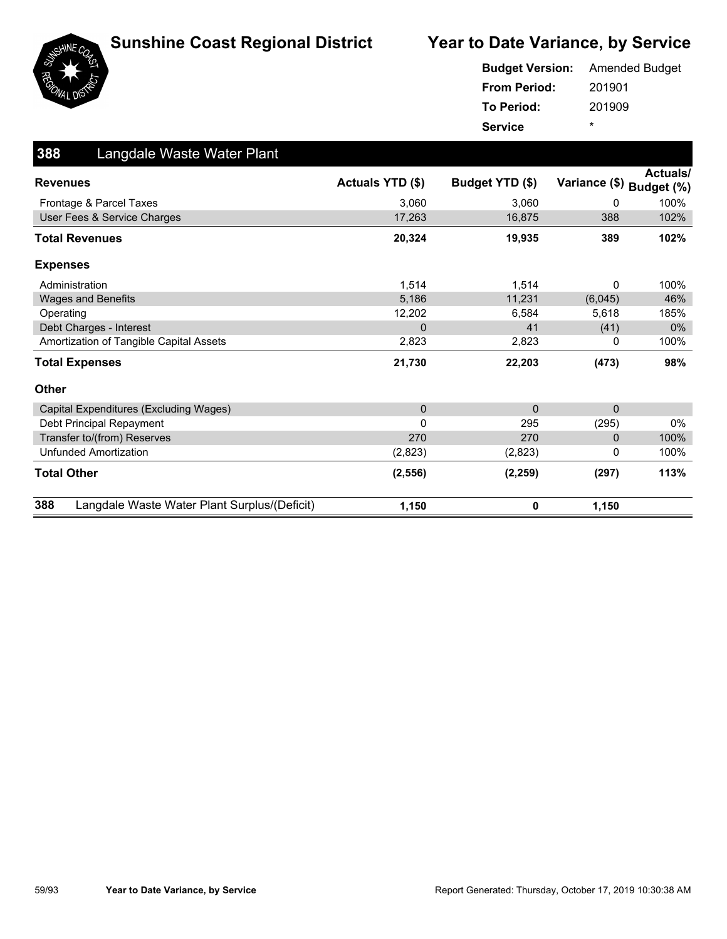



|                     | <b>Budget Version:</b> Amended Budget |
|---------------------|---------------------------------------|
| <b>From Period:</b> | 201901                                |
| To Period:          | 201909                                |
| <b>Service</b>      | ÷                                     |

| 388<br>Langdale Waste Water Plant                   |                         |                 |               |                               |
|-----------------------------------------------------|-------------------------|-----------------|---------------|-------------------------------|
| <b>Revenues</b>                                     | <b>Actuals YTD (\$)</b> | Budget YTD (\$) | Variance (\$) | <b>Actuals/</b><br>Budget (%) |
| Frontage & Parcel Taxes                             | 3,060                   | 3,060           | 0             | 100%                          |
| User Fees & Service Charges                         | 17,263                  | 16,875          | 388           | 102%                          |
| <b>Total Revenues</b>                               | 20,324                  | 19,935          | 389           | 102%                          |
| <b>Expenses</b>                                     |                         |                 |               |                               |
| Administration                                      | 1,514                   | 1,514           | 0             | 100%                          |
| <b>Wages and Benefits</b>                           | 5,186                   | 11,231          | (6,045)       | 46%                           |
| Operating                                           | 12,202                  | 6,584           | 5,618         | 185%                          |
| Debt Charges - Interest                             | $\Omega$                | 41              | (41)          | $0\%$                         |
| Amortization of Tangible Capital Assets             | 2,823                   | 2,823           | 0             | 100%                          |
| <b>Total Expenses</b>                               | 21,730                  | 22,203          | (473)         | 98%                           |
| <b>Other</b>                                        |                         |                 |               |                               |
| Capital Expenditures (Excluding Wages)              | $\mathbf{0}$            | $\Omega$        | $\mathbf{0}$  |                               |
| Debt Principal Repayment                            | $\Omega$                | 295             | (295)         | $0\%$                         |
| Transfer to/(from) Reserves                         | 270                     | 270             | $\mathbf 0$   | 100%                          |
| <b>Unfunded Amortization</b>                        | (2,823)                 | (2,823)         | 0             | 100%                          |
| <b>Total Other</b>                                  | (2, 556)                | (2, 259)        | (297)         | 113%                          |
| 388<br>Langdale Waste Water Plant Surplus/(Deficit) | 1,150                   | 0               | 1,150         |                               |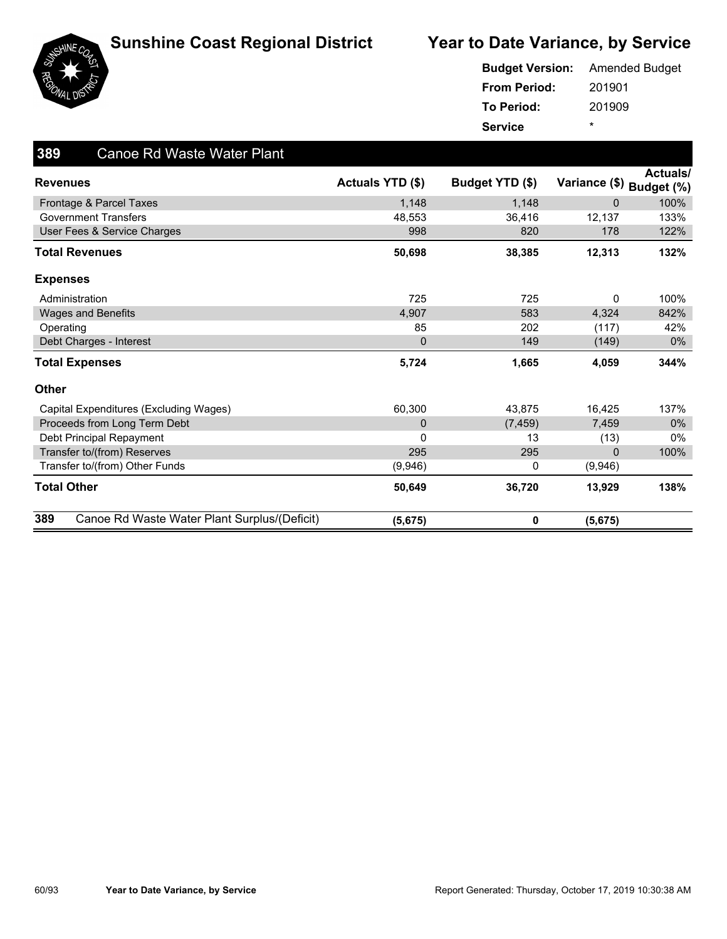





#### 201901 201909 **From Period: To Period: Service** \* **Budget Version:** Amended Budget

| 389<br><b>Canoe Rd Waste Water Plant</b>            |                  |                 |               |                               |
|-----------------------------------------------------|------------------|-----------------|---------------|-------------------------------|
| <b>Revenues</b>                                     | Actuals YTD (\$) | Budget YTD (\$) | Variance (\$) | <b>Actuals/</b><br>Budget (%) |
| Frontage & Parcel Taxes                             | 1,148            | 1,148           | $\Omega$      | 100%                          |
| <b>Government Transfers</b>                         | 48,553           | 36,416          | 12,137        | 133%                          |
| User Fees & Service Charges                         | 998              | 820             | 178           | 122%                          |
| <b>Total Revenues</b>                               | 50,698           | 38,385          | 12,313        | 132%                          |
| <b>Expenses</b>                                     |                  |                 |               |                               |
| Administration                                      | 725              | 725             | 0             | 100%                          |
| <b>Wages and Benefits</b>                           | 4,907            | 583             | 4,324         | 842%                          |
| Operating                                           | 85               | 202             | (117)         | 42%                           |
| Debt Charges - Interest                             | $\mathbf 0$      | 149             | (149)         | $0\%$                         |
| <b>Total Expenses</b>                               | 5,724            | 1,665           | 4,059         | 344%                          |
| <b>Other</b>                                        |                  |                 |               |                               |
| Capital Expenditures (Excluding Wages)              | 60,300           | 43,875          | 16,425        | 137%                          |
| Proceeds from Long Term Debt                        | 0                | (7, 459)        | 7,459         | $0\%$                         |
| Debt Principal Repayment                            | 0                | 13              | (13)          | $0\%$                         |
| Transfer to/(from) Reserves                         | 295              | 295             | $\mathbf{0}$  | 100%                          |
| Transfer to/(from) Other Funds                      | (9,946)          | 0               | (9,946)       |                               |
| <b>Total Other</b>                                  | 50,649           | 36,720          | 13,929        | 138%                          |
| 389<br>Canoe Rd Waste Water Plant Surplus/(Deficit) | (5,675)          | 0               | (5,675)       |                               |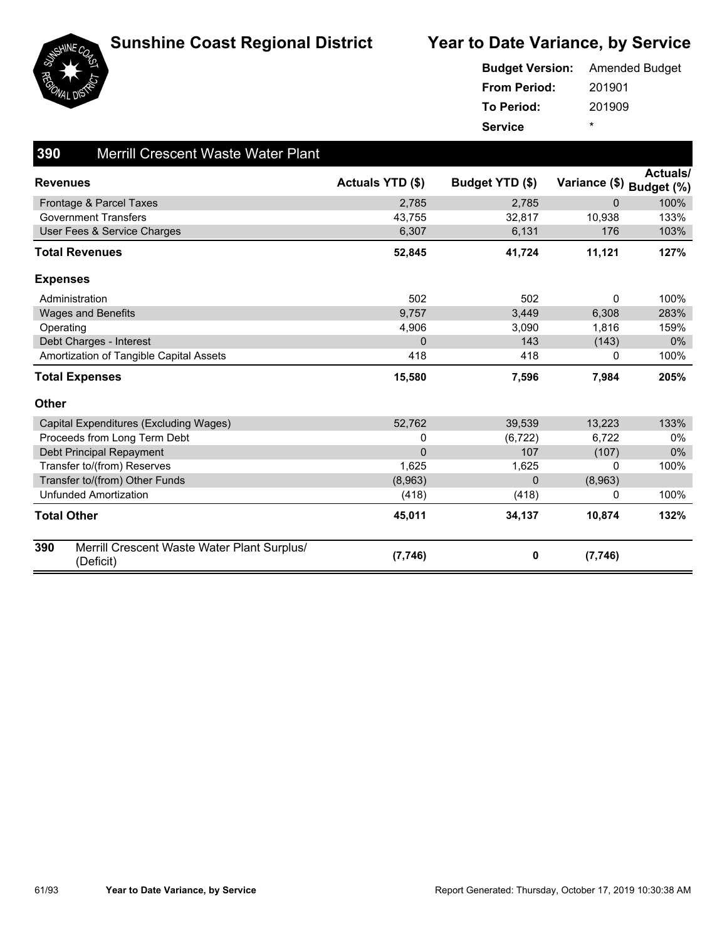





|                     | <b>Budget Version:</b> Amended Budget |
|---------------------|---------------------------------------|
| <b>From Period:</b> | 201901                                |
| To Period:          | 201909                                |
| <b>Service</b>      | ÷                                     |

| 390<br><b>Merrill Crescent Waste Water Plant</b>                |                  |                 |                          |          |
|-----------------------------------------------------------------|------------------|-----------------|--------------------------|----------|
| <b>Revenues</b>                                                 | Actuals YTD (\$) | Budget YTD (\$) | Variance (\$) Budget (%) | Actuals/ |
| Frontage & Parcel Taxes                                         | 2,785            | 2,785           | $\mathbf{0}$             | 100%     |
| <b>Government Transfers</b>                                     | 43,755           | 32,817          | 10,938                   | 133%     |
| User Fees & Service Charges                                     | 6,307            | 6,131           | 176                      | 103%     |
| <b>Total Revenues</b>                                           | 52,845           | 41,724          | 11,121                   | 127%     |
| <b>Expenses</b>                                                 |                  |                 |                          |          |
| Administration                                                  | 502              | 502             | $\mathbf{0}$             | 100%     |
| <b>Wages and Benefits</b>                                       | 9,757            | 3,449           | 6,308                    | 283%     |
| Operating                                                       | 4,906            | 3,090           | 1,816                    | 159%     |
| Debt Charges - Interest                                         | 0                | 143             | (143)                    | $0\%$    |
| Amortization of Tangible Capital Assets                         | 418              | 418             | 0                        | 100%     |
| <b>Total Expenses</b>                                           | 15,580           | 7,596           | 7,984                    | 205%     |
| <b>Other</b>                                                    |                  |                 |                          |          |
| Capital Expenditures (Excluding Wages)                          | 52,762           | 39,539          | 13,223                   | 133%     |
| Proceeds from Long Term Debt                                    | 0                | (6, 722)        | 6,722                    | 0%       |
| Debt Principal Repayment                                        | $\mathbf{0}$     | 107             | (107)                    | $0\%$    |
| Transfer to/(from) Reserves                                     | 1,625            | 1,625           | 0                        | 100%     |
| Transfer to/(from) Other Funds                                  | (8,963)          | 0               | (8,963)                  |          |
| <b>Unfunded Amortization</b>                                    | (418)            | (418)           | 0                        | 100%     |
| <b>Total Other</b>                                              | 45,011           | 34,137          | 10,874                   | 132%     |
| 390<br>Merrill Crescent Waste Water Plant Surplus/<br>(Deficit) | (7, 746)         | 0               | (7,746)                  |          |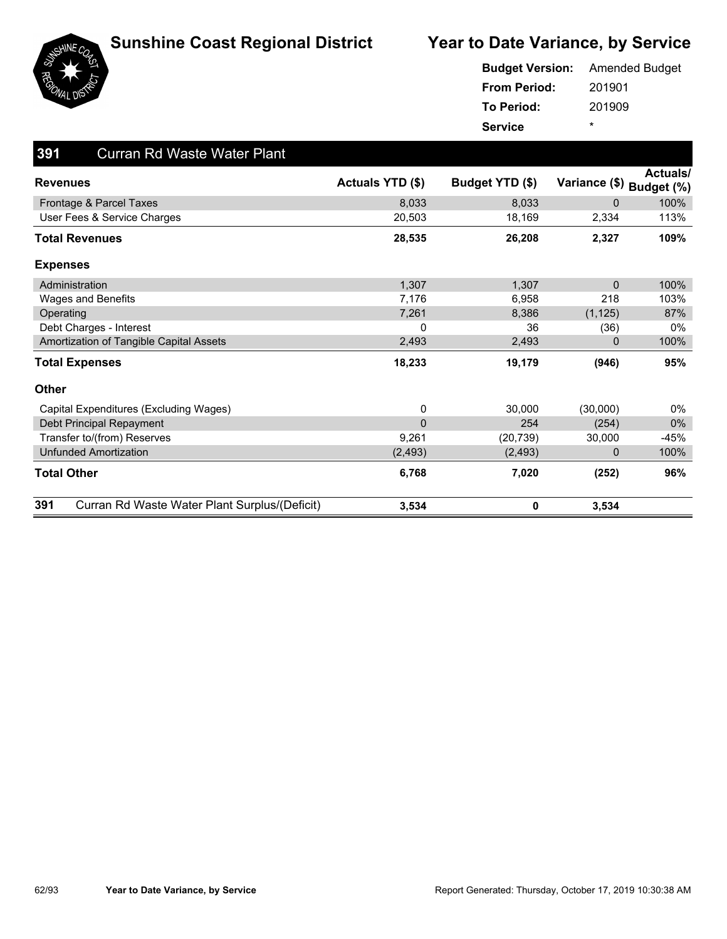





#### 201901 201909 **From Period: To Period: Service** \* **Budget Version:** Amended Budget

| 391<br><b>Curran Rd Waste Water Plant</b>            |                  |                 |                          |          |
|------------------------------------------------------|------------------|-----------------|--------------------------|----------|
| <b>Revenues</b>                                      | Actuals YTD (\$) | Budget YTD (\$) | Variance (\$) Budget (%) | Actuals/ |
| Frontage & Parcel Taxes                              | 8,033            | 8,033           | 0                        | 100%     |
| User Fees & Service Charges                          | 20,503           | 18,169          | 2,334                    | 113%     |
| <b>Total Revenues</b>                                | 28,535           | 26,208          | 2,327                    | 109%     |
| <b>Expenses</b>                                      |                  |                 |                          |          |
| Administration                                       | 1,307            | 1,307           | $\Omega$                 | 100%     |
| Wages and Benefits                                   | 7,176            | 6,958           | 218                      | 103%     |
| Operating                                            | 7,261            | 8,386           | (1, 125)                 | 87%      |
| Debt Charges - Interest                              | 0                | 36              | (36)                     | $0\%$    |
| Amortization of Tangible Capital Assets              | 2,493            | 2,493           | 0                        | 100%     |
| <b>Total Expenses</b>                                | 18,233           | 19,179          | (946)                    | 95%      |
| <b>Other</b>                                         |                  |                 |                          |          |
| Capital Expenditures (Excluding Wages)               | 0                | 30,000          | (30,000)                 | $0\%$    |
| Debt Principal Repayment                             | 0                | 254             | (254)                    | $0\%$    |
| Transfer to/(from) Reserves                          | 9,261            | (20, 739)       | 30,000                   | $-45%$   |
| <b>Unfunded Amortization</b>                         | (2, 493)         | (2, 493)        | 0                        | 100%     |
| <b>Total Other</b>                                   | 6,768            | 7,020           | (252)                    | 96%      |
| 391<br>Curran Rd Waste Water Plant Surplus/(Deficit) | 3,534            | 0               | 3,534                    |          |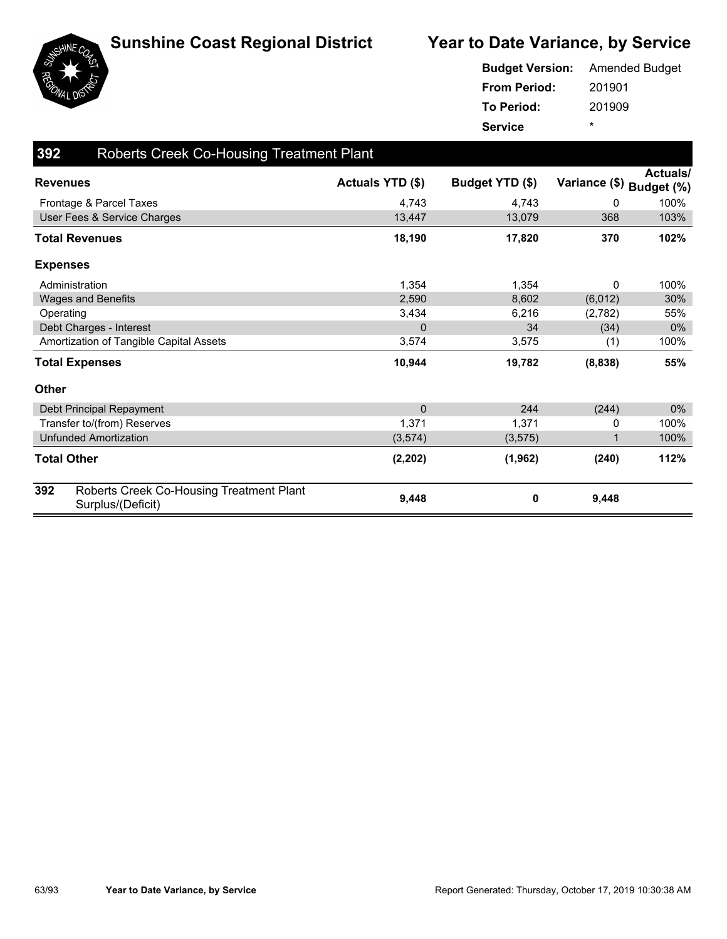



|                     | <b>Budget Version:</b> Amended Budget |
|---------------------|---------------------------------------|
| <b>From Period:</b> | 201901                                |
| <b>To Period:</b>   | 201909                                |
| <b>Service</b>      | ÷                                     |

| 392                   | <b>Roberts Creek Co-Housing Treatment Plant</b>               |                  |                 |                          |                 |
|-----------------------|---------------------------------------------------------------|------------------|-----------------|--------------------------|-----------------|
| <b>Revenues</b>       |                                                               | Actuals YTD (\$) | Budget YTD (\$) | Variance (\$) Budget (%) | <b>Actuals/</b> |
|                       | Frontage & Parcel Taxes                                       | 4,743            | 4,743           | 0                        | 100%            |
|                       | User Fees & Service Charges                                   | 13,447           | 13,079          | 368                      | 103%            |
| <b>Total Revenues</b> |                                                               | 18,190           | 17,820          | 370                      | 102%            |
| <b>Expenses</b>       |                                                               |                  |                 |                          |                 |
| Administration        |                                                               | 1,354            | 1,354           | 0                        | 100%            |
|                       | Wages and Benefits                                            | 2,590            | 8,602           | (6,012)                  | 30%             |
| Operating             |                                                               | 3,434            | 6,216           | (2,782)                  | 55%             |
|                       | Debt Charges - Interest                                       | 0                | 34              | (34)                     | $0\%$           |
|                       | Amortization of Tangible Capital Assets                       | 3,574            | 3,575           | (1)                      | 100%            |
| <b>Total Expenses</b> |                                                               | 10,944           | 19,782          | (8,838)                  | 55%             |
| <b>Other</b>          |                                                               |                  |                 |                          |                 |
|                       | Debt Principal Repayment                                      | $\mathbf 0$      | 244             | (244)                    | $0\%$           |
|                       | Transfer to/(from) Reserves                                   | 1,371            | 1.371           | 0                        | 100%            |
|                       | <b>Unfunded Amortization</b>                                  | (3, 574)         | (3, 575)        | 1                        | 100%            |
| <b>Total Other</b>    |                                                               | (2, 202)         | (1, 962)        | (240)                    | 112%            |
| 392                   | Roberts Creek Co-Housing Treatment Plant<br>Surplus/(Deficit) | 9,448            | 0               | 9,448                    |                 |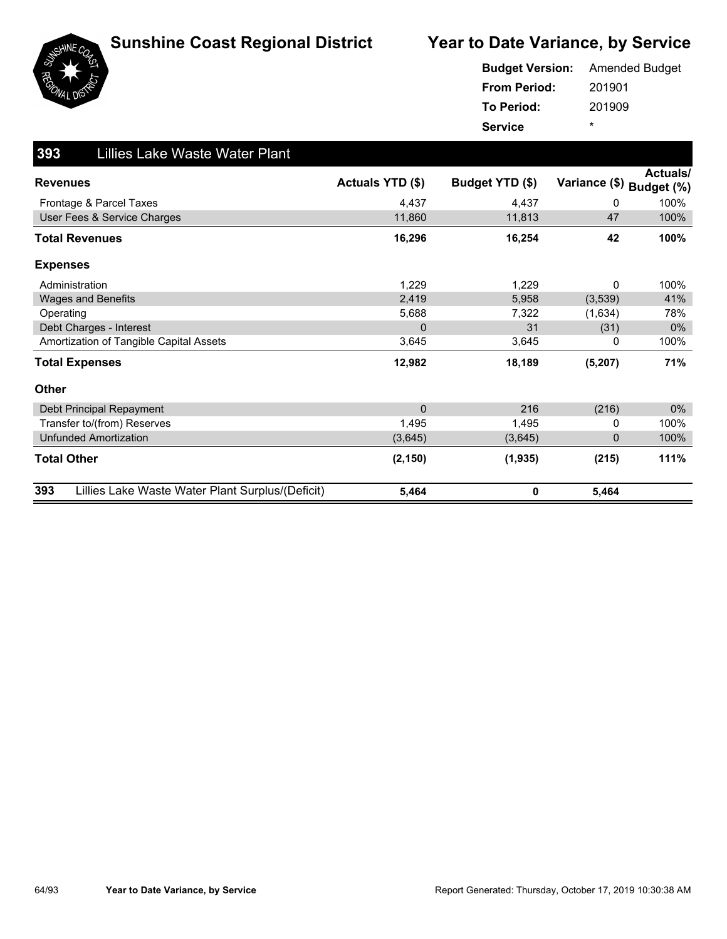





#### 201901 201909 **From Period: To Period: Service** \* **Budget Version:** Amended Budget

| 393<br><b>Lillies Lake Waste Water Plant</b>            |                  |                 |                          |          |
|---------------------------------------------------------|------------------|-----------------|--------------------------|----------|
| <b>Revenues</b>                                         | Actuals YTD (\$) | Budget YTD (\$) | Variance (\$) Budget (%) | Actuals/ |
| Frontage & Parcel Taxes                                 | 4.437            | 4.437           | $\Omega$                 | 100%     |
| User Fees & Service Charges                             | 11,860           | 11,813          | 47                       | 100%     |
| <b>Total Revenues</b>                                   | 16,296           | 16,254          | 42                       | 100%     |
| <b>Expenses</b>                                         |                  |                 |                          |          |
| Administration                                          | 1,229            | 1,229           | 0                        | 100%     |
| <b>Wages and Benefits</b>                               | 2,419            | 5,958           | (3,539)                  | 41%      |
| Operating                                               | 5,688            | 7,322           | (1,634)                  | 78%      |
| Debt Charges - Interest                                 | $\Omega$         | 31              | (31)                     | 0%       |
| Amortization of Tangible Capital Assets                 | 3,645            | 3,645           | 0                        | 100%     |
| <b>Total Expenses</b>                                   | 12,982           | 18,189          | (5, 207)                 | 71%      |
| Other                                                   |                  |                 |                          |          |
| Debt Principal Repayment                                | $\mathbf{0}$     | 216             | (216)                    | $0\%$    |
| Transfer to/(from) Reserves                             | 1,495            | 1,495           | 0                        | 100%     |
| <b>Unfunded Amortization</b>                            | (3,645)          | (3,645)         | $\mathbf 0$              | 100%     |
| <b>Total Other</b>                                      | (2, 150)         | (1,935)         | (215)                    | 111%     |
| 393<br>Lillies Lake Waste Water Plant Surplus/(Deficit) | 5,464            | 0               | 5,464                    |          |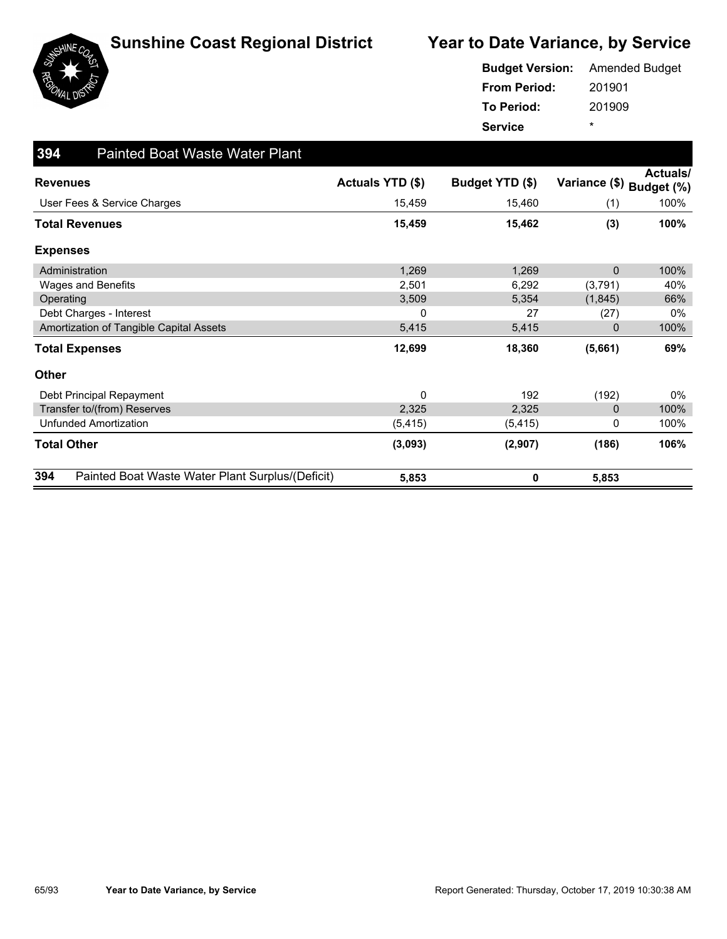

|                     | <b>Budget Version:</b> Amended Budget |
|---------------------|---------------------------------------|
| <b>From Period:</b> | 201901                                |
| To Period:          | 201909                                |
| <b>Service</b>      | *                                     |

| 394<br><b>Painted Boat Waste Water Plant</b>            |                  |                 |                          |          |
|---------------------------------------------------------|------------------|-----------------|--------------------------|----------|
| <b>Revenues</b>                                         | Actuals YTD (\$) | Budget YTD (\$) | Variance (\$) Budget (%) | Actuals/ |
| User Fees & Service Charges                             | 15,459           | 15,460          | (1)                      | 100%     |
| <b>Total Revenues</b>                                   | 15,459           | 15,462          | (3)                      | 100%     |
| <b>Expenses</b>                                         |                  |                 |                          |          |
| Administration                                          | 1,269            | 1,269           | 0                        | 100%     |
| <b>Wages and Benefits</b>                               | 2,501            | 6,292           | (3,791)                  | 40%      |
| Operating                                               | 3,509            | 5,354           | (1,845)                  | 66%      |
| Debt Charges - Interest                                 | 0                | 27              | (27)                     | $0\%$    |
| Amortization of Tangible Capital Assets                 | 5,415            | 5,415           | 0                        | 100%     |
| <b>Total Expenses</b>                                   | 12,699           | 18,360          | (5,661)                  | 69%      |
| <b>Other</b>                                            |                  |                 |                          |          |
| Debt Principal Repayment                                | 0                | 192             | (192)                    | $0\%$    |
| Transfer to/(from) Reserves                             | 2,325            | 2,325           | 0                        | 100%     |
| <b>Unfunded Amortization</b>                            | (5, 415)         | (5, 415)        | 0                        | 100%     |
| <b>Total Other</b>                                      | (3,093)          | (2,907)         | (186)                    | 106%     |
| 394<br>Painted Boat Waste Water Plant Surplus/(Deficit) | 5,853            | 0               | 5,853                    |          |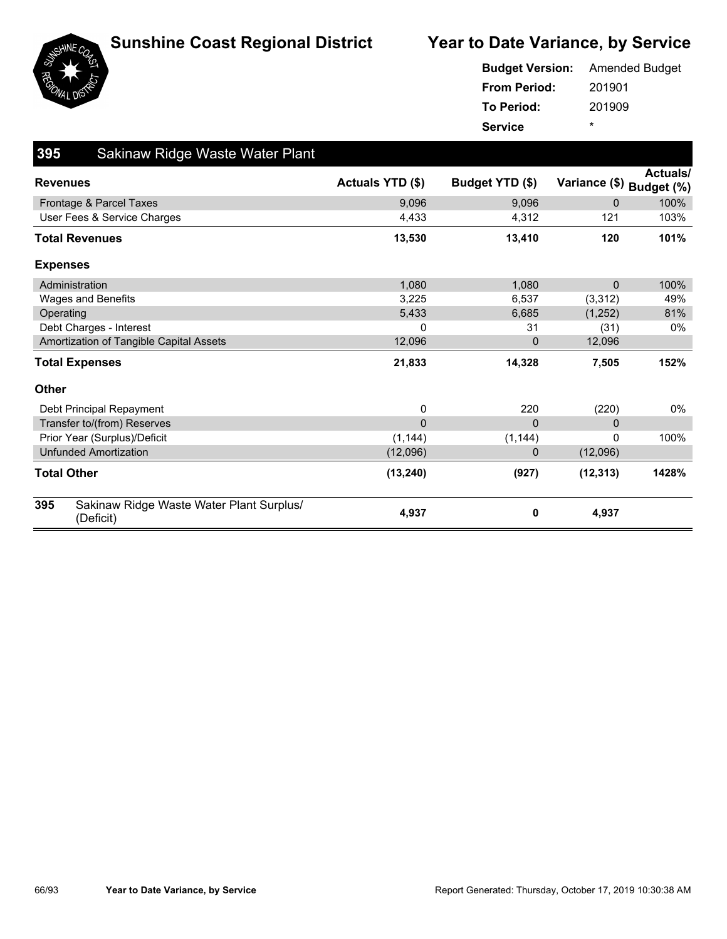





201901 201909 **From Period: To Period: Service** \* **Budget Version:** Amended Budget

| 395<br>Sakinaw Ridge Waste Water Plant                       |                  |                 |               |                               |
|--------------------------------------------------------------|------------------|-----------------|---------------|-------------------------------|
| <b>Revenues</b>                                              | Actuals YTD (\$) | Budget YTD (\$) | Variance (\$) | <b>Actuals/</b><br>Budget (%) |
| Frontage & Parcel Taxes                                      | 9,096            | 9,096           | $\mathbf 0$   | 100%                          |
| User Fees & Service Charges                                  | 4,433            | 4,312           | 121           | 103%                          |
| <b>Total Revenues</b>                                        | 13,530           | 13,410          | 120           | 101%                          |
| <b>Expenses</b>                                              |                  |                 |               |                               |
| Administration                                               | 1,080            | 1,080           | $\Omega$      | 100%                          |
| Wages and Benefits                                           | 3,225            | 6,537           | (3,312)       | 49%                           |
| Operating                                                    | 5,433            | 6,685           | (1,252)       | 81%                           |
| Debt Charges - Interest                                      | 0                | 31              | (31)          | $0\%$                         |
| Amortization of Tangible Capital Assets                      | 12,096           | 0               | 12,096        |                               |
| <b>Total Expenses</b>                                        | 21,833           | 14,328          | 7,505         | 152%                          |
| <b>Other</b>                                                 |                  |                 |               |                               |
| Debt Principal Repayment                                     | 0                | 220             | (220)         | $0\%$                         |
| Transfer to/(from) Reserves                                  | $\Omega$         | $\Omega$        | $\mathbf 0$   |                               |
| Prior Year (Surplus)/Deficit                                 | (1, 144)         | (1, 144)        | $\Omega$      | 100%                          |
| <b>Unfunded Amortization</b>                                 | (12,096)         | 0               | (12,096)      |                               |
| <b>Total Other</b>                                           | (13, 240)        | (927)           | (12, 313)     | 1428%                         |
| 395<br>Sakinaw Ridge Waste Water Plant Surplus/<br>(Deficit) | 4,937            | 0               | 4,937         |                               |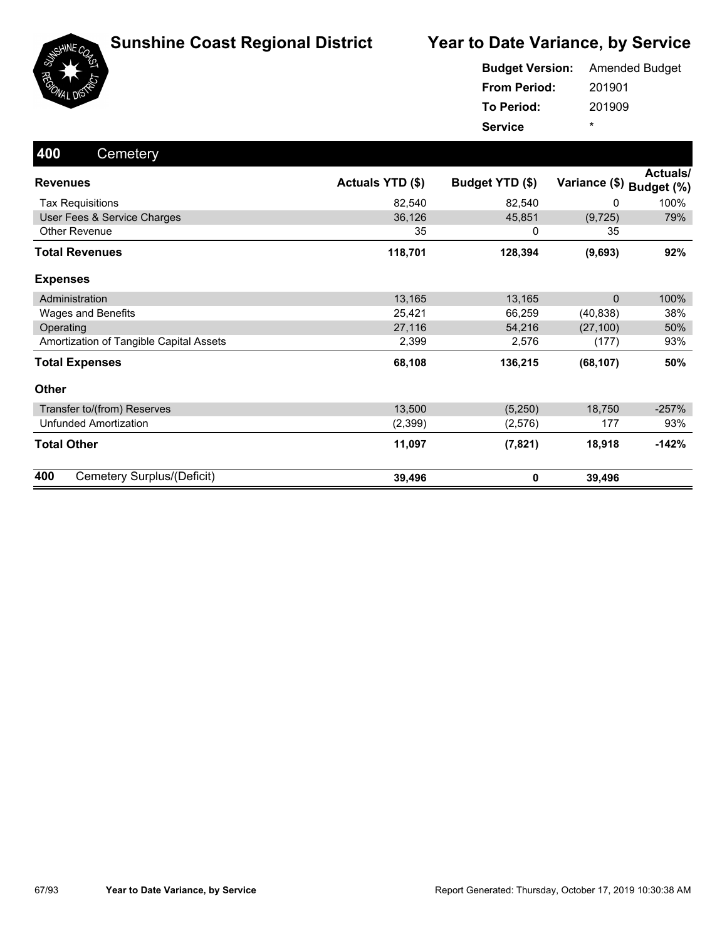



| <b>Budget Version:</b> Amended Budget |        |
|---------------------------------------|--------|
| <b>From Period:</b>                   | 201901 |
| To Period:                            | 201909 |
| <b>Service</b>                        | ÷      |

| 400<br>Cemetery                         |                  |                 |                          |          |
|-----------------------------------------|------------------|-----------------|--------------------------|----------|
| <b>Revenues</b>                         | Actuals YTD (\$) | Budget YTD (\$) | Variance (\$) Budget (%) | Actuals/ |
| <b>Tax Requisitions</b>                 | 82,540           | 82,540          | 0                        | 100%     |
| User Fees & Service Charges             | 36,126           | 45,851          | (9, 725)                 | 79%      |
| <b>Other Revenue</b>                    | 35               | 0               | 35                       |          |
| <b>Total Revenues</b>                   | 118,701          | 128,394         | (9,693)                  | 92%      |
| <b>Expenses</b>                         |                  |                 |                          |          |
| Administration                          | 13,165           | 13,165          | $\Omega$                 | 100%     |
| Wages and Benefits                      | 25,421           | 66,259          | (40, 838)                | 38%      |
| Operating                               | 27,116           | 54,216          | (27, 100)                | 50%      |
| Amortization of Tangible Capital Assets | 2,399            | 2,576           | (177)                    | 93%      |
| <b>Total Expenses</b>                   | 68,108           | 136,215         | (68, 107)                | 50%      |
| <b>Other</b>                            |                  |                 |                          |          |
| Transfer to/(from) Reserves             | 13,500           | (5,250)         | 18,750                   | $-257%$  |
| <b>Unfunded Amortization</b>            | (2,399)          | (2,576)         | 177                      | 93%      |
| <b>Total Other</b>                      | 11,097           | (7, 821)        | 18,918                   | $-142%$  |
| 400<br>Cemetery Surplus/(Deficit)       | 39,496           | $\mathbf 0$     | 39,496                   |          |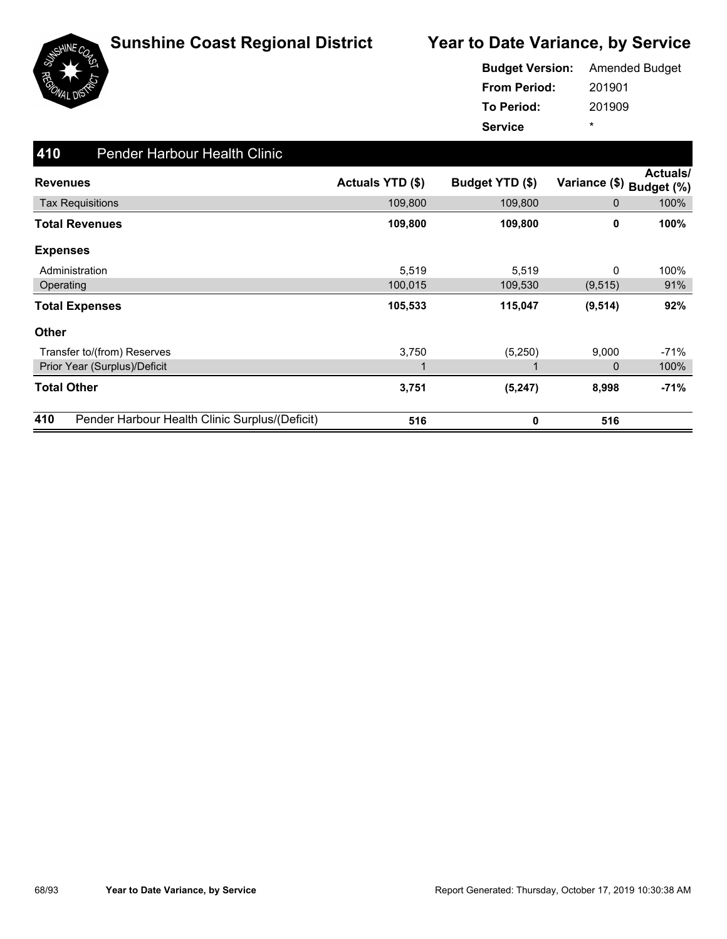

|                     | <b>Budget Version:</b> Amended Budget |
|---------------------|---------------------------------------|
| <b>From Period:</b> | 201901                                |
| To Period:          | 201909                                |
| <b>Service</b>      | $\star$                               |

| 410<br><b>Pender Harbour Health Clinic</b>            |                  |                 |               |                        |
|-------------------------------------------------------|------------------|-----------------|---------------|------------------------|
| <b>Revenues</b>                                       | Actuals YTD (\$) | Budget YTD (\$) | Variance (\$) | Actuals/<br>Budget (%) |
| <b>Tax Requisitions</b>                               | 109,800          | 109,800         | 0             | 100%                   |
| <b>Total Revenues</b>                                 | 109,800          | 109,800         | 0             | 100%                   |
| <b>Expenses</b>                                       |                  |                 |               |                        |
| Administration                                        | 5,519            | 5,519           | 0             | 100%                   |
| Operating                                             | 100,015          | 109,530         | (9, 515)      | 91%                    |
| <b>Total Expenses</b>                                 | 105,533          | 115,047         | (9, 514)      | 92%                    |
| <b>Other</b>                                          |                  |                 |               |                        |
| Transfer to/(from) Reserves                           | 3,750            | (5,250)         | 9,000         | $-71%$                 |
| Prior Year (Surplus)/Deficit                          | 1                |                 | 0             | 100%                   |
| <b>Total Other</b>                                    | 3,751            | (5, 247)        | 8,998         | -71%                   |
| 410<br>Pender Harbour Health Clinic Surplus/(Deficit) | 516              | 0               | 516           |                        |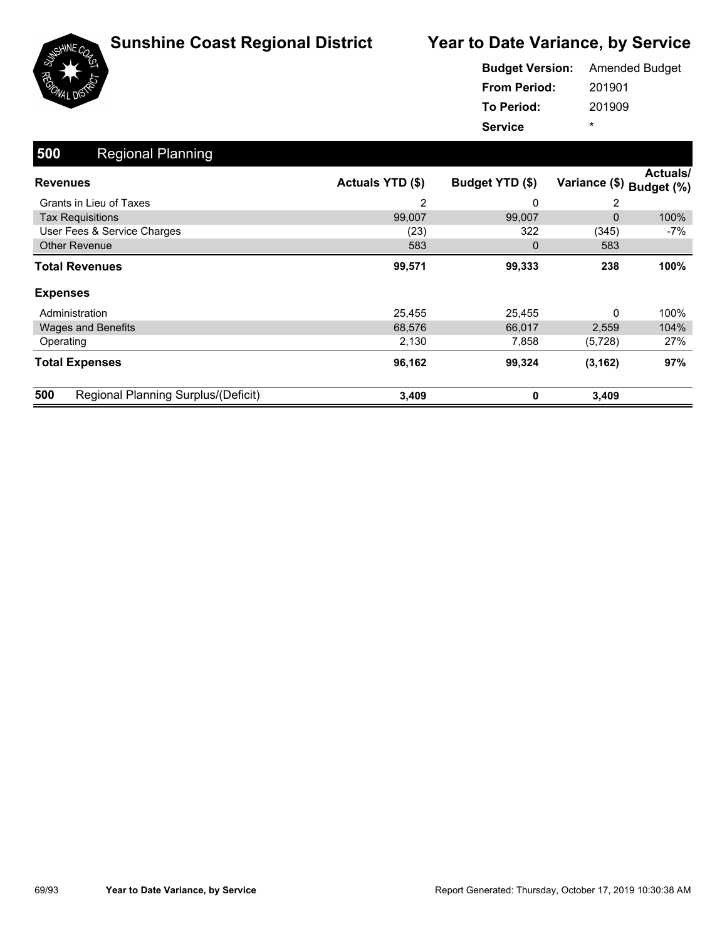



|                     | <b>Budget Version:</b> Amended Budget |
|---------------------|---------------------------------------|
| <b>From Period:</b> | 201901                                |
| To Period:          | 201909                                |
| <b>Service</b>      | ÷                                     |

| 500<br><b>Regional Planning</b>            |                  |                 |               |                        |
|--------------------------------------------|------------------|-----------------|---------------|------------------------|
| <b>Revenues</b>                            | Actuals YTD (\$) | Budget YTD (\$) | Variance (\$) | Actuals/<br>Budget (%) |
| Grants in Lieu of Taxes                    | 2                | 0               | 2             |                        |
| <b>Tax Requisitions</b>                    | 99,007           | 99,007          | 0             | 100%                   |
| User Fees & Service Charges                | (23)             | 322             | (345)         | -7%                    |
| <b>Other Revenue</b>                       | 583              | $\mathbf 0$     | 583           |                        |
| <b>Total Revenues</b>                      | 99,571           | 99,333          | 238           | 100%                   |
| <b>Expenses</b>                            |                  |                 |               |                        |
| Administration                             | 25,455           | 25,455          | 0             | 100%                   |
| <b>Wages and Benefits</b>                  | 68,576           | 66,017          | 2,559         | 104%                   |
| Operating                                  | 2,130            | 7,858           | (5, 728)      | 27%                    |
| <b>Total Expenses</b>                      | 96,162           | 99,324          | (3, 162)      | 97%                    |
| 500<br>Regional Planning Surplus/(Deficit) | 3,409            | 0               | 3,409         |                        |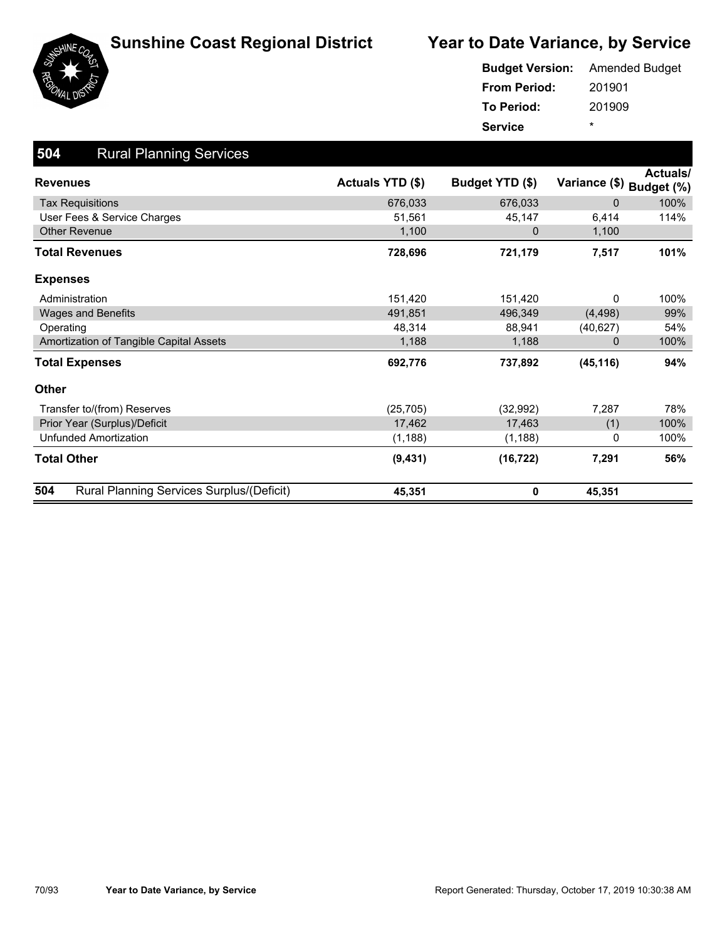



| <b>Budget Version:</b> Amended Budget |        |
|---------------------------------------|--------|
| <b>From Period:</b>                   | 201901 |
| To Period:                            | 201909 |
| <b>Service</b>                        | *      |

| 504<br><b>Rural Planning Services</b>            |                  |                 |               |                        |
|--------------------------------------------------|------------------|-----------------|---------------|------------------------|
| <b>Revenues</b>                                  | Actuals YTD (\$) | Budget YTD (\$) | Variance (\$) | Actuals/<br>Budget (%) |
| <b>Tax Requisitions</b>                          | 676,033          | 676,033         | $\Omega$      | 100%                   |
| User Fees & Service Charges                      | 51.561           | 45,147          | 6,414         | 114%                   |
| Other Revenue                                    | 1,100            | 0               | 1,100         |                        |
| <b>Total Revenues</b>                            | 728,696          | 721,179         | 7,517         | 101%                   |
| <b>Expenses</b>                                  |                  |                 |               |                        |
| Administration                                   | 151,420          | 151,420         | $\mathbf{0}$  | 100%                   |
| <b>Wages and Benefits</b>                        | 491,851          | 496,349         | (4, 498)      | 99%                    |
| Operating                                        | 48,314           | 88,941          | (40, 627)     | 54%                    |
| Amortization of Tangible Capital Assets          | 1,188            | 1,188           | $\Omega$      | 100%                   |
| <b>Total Expenses</b>                            | 692,776          | 737,892         | (45, 116)     | 94%                    |
| <b>Other</b>                                     |                  |                 |               |                        |
| Transfer to/(from) Reserves                      | (25, 705)        | (32, 992)       | 7,287         | 78%                    |
| Prior Year (Surplus)/Deficit                     | 17,462           | 17,463          | (1)           | 100%                   |
| <b>Unfunded Amortization</b>                     | (1, 188)         | (1, 188)        | 0             | 100%                   |
| <b>Total Other</b>                               | (9, 431)         | (16, 722)       | 7,291         | 56%                    |
| 504<br>Rural Planning Services Surplus/(Deficit) | 45,351           | 0               | 45,351        |                        |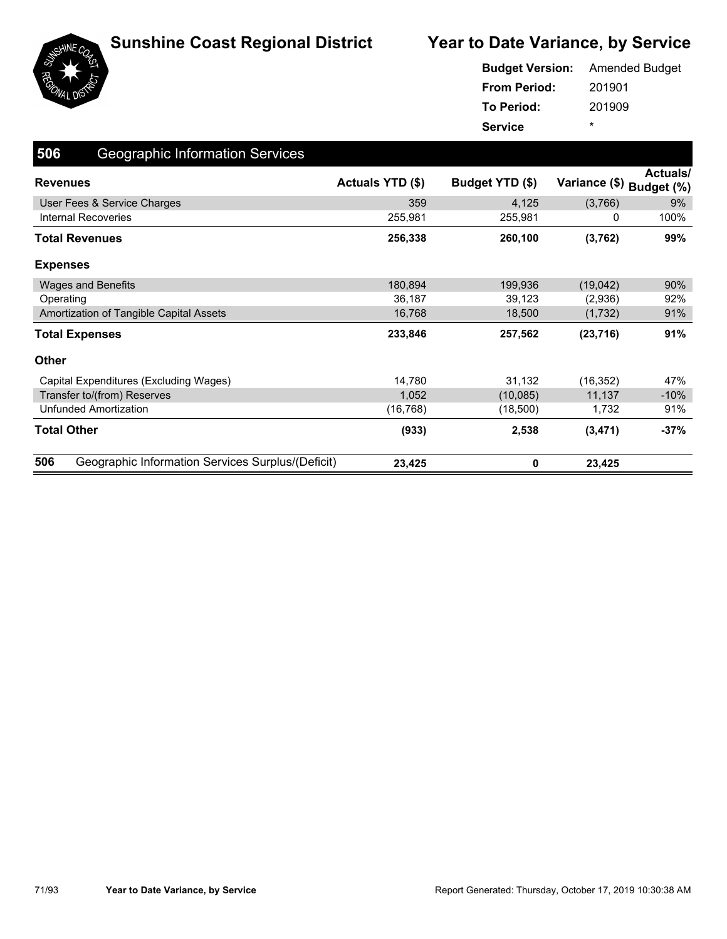

|                     | <b>Budget Version:</b> Amended Budget |
|---------------------|---------------------------------------|
| <b>From Period:</b> | 201901                                |
| To Period:          | 201909                                |
| <b>Service</b>      | ÷                                     |

| 506<br><b>Geographic Information Services</b>            |                  |                 |               |                              |
|----------------------------------------------------------|------------------|-----------------|---------------|------------------------------|
| <b>Revenues</b>                                          | Actuals YTD (\$) | Budget YTD (\$) | Variance (\$) | <b>Actuals</b><br>Budget (%) |
| User Fees & Service Charges                              | 359              | 4,125           | (3,766)       | 9%                           |
| Internal Recoveries                                      | 255,981          | 255,981         | 0             | 100%                         |
| Total Revenues                                           | 256,338          | 260,100         | (3,762)       | 99%                          |
| <b>Expenses</b>                                          |                  |                 |               |                              |
| <b>Wages and Benefits</b>                                | 180,894          | 199,936         | (19,042)      | 90%                          |
| Operating                                                | 36,187           | 39,123          | (2,936)       | 92%                          |
| Amortization of Tangible Capital Assets                  | 16,768           | 18,500          | (1,732)       | 91%                          |
| <b>Total Expenses</b>                                    | 233,846          | 257,562         | (23, 716)     | 91%                          |
| <b>Other</b>                                             |                  |                 |               |                              |
| Capital Expenditures (Excluding Wages)                   | 14,780           | 31,132          | (16, 352)     | 47%                          |
| Transfer to/(from) Reserves                              | 1,052            | (10,085)        | 11,137        | $-10%$                       |
| <b>Unfunded Amortization</b>                             | (16,768)         | (18,500)        | 1,732         | 91%                          |
| <b>Total Other</b>                                       | (933)            | 2,538           | (3, 471)      | $-37%$                       |
| 506<br>Geographic Information Services Surplus/(Deficit) | 23,425           | 0               | 23,425        |                              |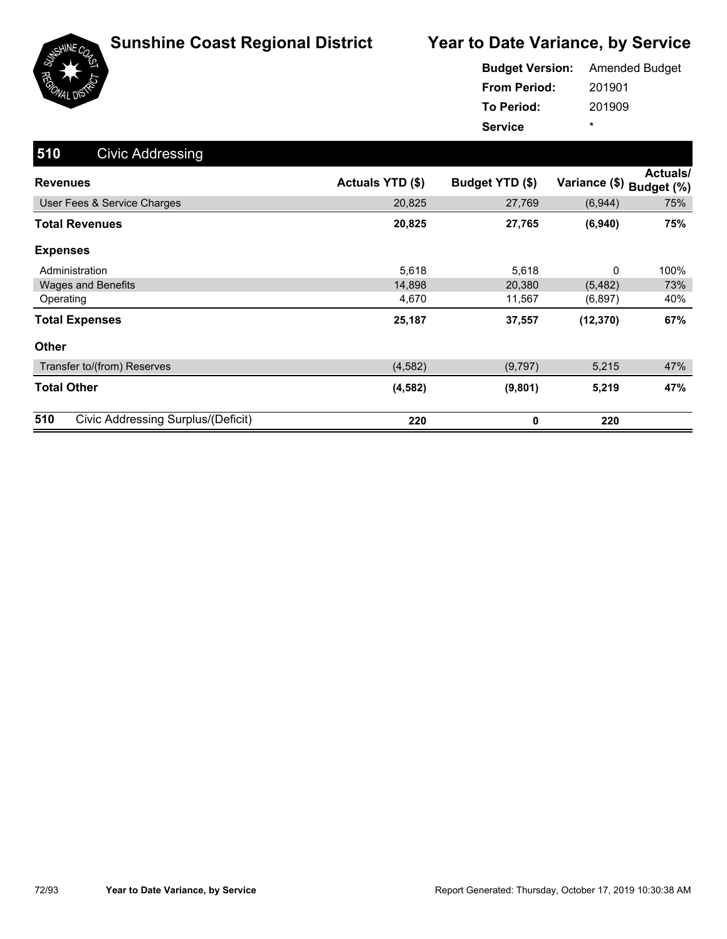

|                     | <b>Budget Version:</b> Amended Budget |
|---------------------|---------------------------------------|
| <b>From Period:</b> | 201901                                |
| <b>To Period:</b>   | 201909                                |
| <b>Service</b>      | ÷                                     |

| 510<br><b>Civic Addressing</b>            |                  |                 |               |                               |
|-------------------------------------------|------------------|-----------------|---------------|-------------------------------|
| <b>Revenues</b>                           | Actuals YTD (\$) | Budget YTD (\$) | Variance (\$) | <b>Actuals/</b><br>Budget (%) |
| User Fees & Service Charges               | 20,825           | 27,769          | (6,944)       | 75%                           |
| <b>Total Revenues</b>                     | 20,825           | 27,765          | (6,940)       | 75%                           |
| <b>Expenses</b>                           |                  |                 |               |                               |
| Administration                            | 5,618            | 5,618           | 0             | 100%                          |
| Wages and Benefits                        | 14,898           | 20,380          | (5, 482)      | 73%                           |
| Operating                                 | 4,670            | 11,567          | (6, 897)      | 40%                           |
| <b>Total Expenses</b>                     | 25,187           | 37,557          | (12, 370)     | 67%                           |
| <b>Other</b>                              |                  |                 |               |                               |
| Transfer to/(from) Reserves               | (4, 582)         | (9,797)         | 5,215         | 47%                           |
| <b>Total Other</b>                        | (4, 582)         | (9,801)         | 5,219         | 47%                           |
| 510<br>Civic Addressing Surplus/(Deficit) | 220              | 0               | 220           |                               |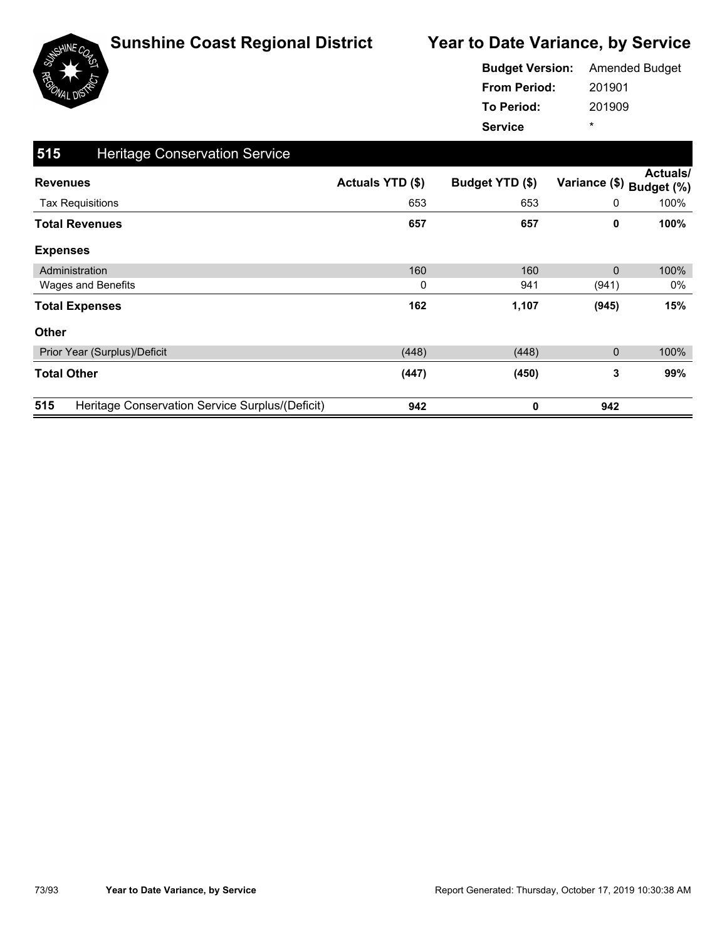

|                     | <b>Budget Version:</b> Amended Budget |
|---------------------|---------------------------------------|
| <b>From Period:</b> | 201901                                |
| To Period:          | 201909                                |
| <b>Service</b>      | ÷                                     |

| 515<br><b>Heritage Conservation Service</b>            |                  |                 |               |                               |
|--------------------------------------------------------|------------------|-----------------|---------------|-------------------------------|
| <b>Revenues</b>                                        | Actuals YTD (\$) | Budget YTD (\$) | Variance (\$) | <b>Actuals/</b><br>Budget (%) |
| <b>Tax Requisitions</b>                                | 653              | 653             | 0             | 100%                          |
| <b>Total Revenues</b>                                  | 657              | 657             | 0             | 100%                          |
| <b>Expenses</b>                                        |                  |                 |               |                               |
| Administration                                         | 160              | 160             | $\mathbf{0}$  | 100%                          |
| Wages and Benefits                                     | 0                | 941             | (941)         | 0%                            |
| <b>Total Expenses</b>                                  | 162              | 1,107           | (945)         | 15%                           |
| <b>Other</b>                                           |                  |                 |               |                               |
| Prior Year (Surplus)/Deficit                           | (448)            | (448)           | 0             | 100%                          |
| <b>Total Other</b>                                     | (447)            | (450)           | 3             | 99%                           |
| 515<br>Heritage Conservation Service Surplus/(Deficit) | 942              | 0               | 942           |                               |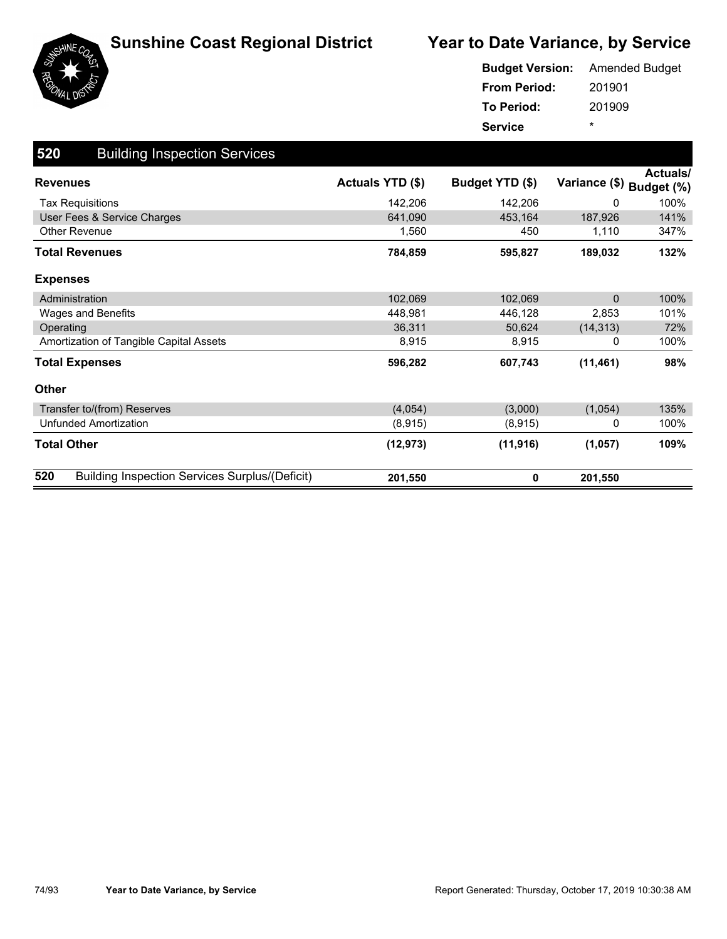



|                     | <b>Budget Version:</b> Amended Budget |
|---------------------|---------------------------------------|
| <b>From Period:</b> | 201901                                |
| To Period:          | 201909                                |
| <b>Service</b>      | ÷                                     |

| 520<br><b>Building Inspection Services</b>                   |                         |                 |                          |          |
|--------------------------------------------------------------|-------------------------|-----------------|--------------------------|----------|
| <b>Revenues</b>                                              | <b>Actuals YTD (\$)</b> | Budget YTD (\$) | Variance (\$) Budget (%) | Actuals/ |
| <b>Tax Requisitions</b>                                      | 142,206                 | 142,206         | $\Omega$                 | 100%     |
| User Fees & Service Charges                                  | 641.090                 | 453,164         | 187,926                  | 141%     |
| Other Revenue                                                | 1,560                   | 450             | 1,110                    | 347%     |
| <b>Total Revenues</b>                                        | 784,859                 | 595,827         | 189,032                  | 132%     |
| <b>Expenses</b>                                              |                         |                 |                          |          |
| Administration                                               | 102,069                 | 102,069         | $\mathbf{0}$             | 100%     |
| Wages and Benefits                                           | 448,981                 | 446,128         | 2,853                    | 101%     |
| Operating                                                    | 36,311                  | 50,624          | (14, 313)                | 72%      |
| Amortization of Tangible Capital Assets                      | 8,915                   | 8,915           | 0                        | 100%     |
| <b>Total Expenses</b>                                        | 596,282                 | 607,743         | (11, 461)                | 98%      |
| <b>Other</b>                                                 |                         |                 |                          |          |
| Transfer to/(from) Reserves                                  | (4,054)                 | (3,000)         | (1,054)                  | 135%     |
| <b>Unfunded Amortization</b>                                 | (8,915)                 | (8,915)         | 0                        | 100%     |
| <b>Total Other</b>                                           | (12, 973)               | (11, 916)       | (1,057)                  | 109%     |
| 520<br><b>Building Inspection Services Surplus/(Deficit)</b> | 201,550                 | 0               | 201,550                  |          |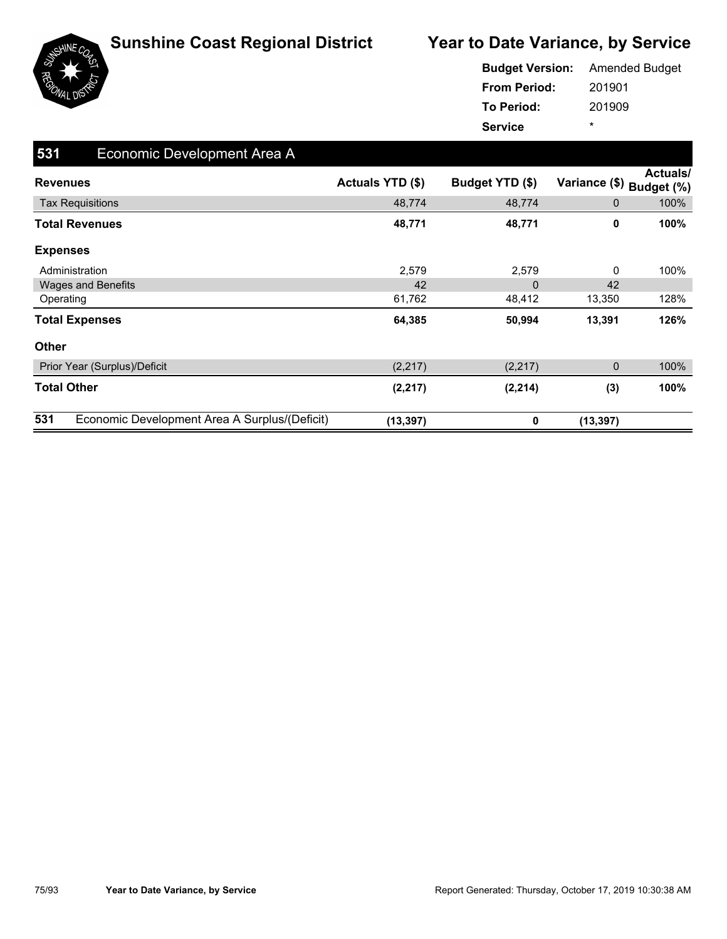

|                     | <b>Budget Version:</b> Amended Budget |
|---------------------|---------------------------------------|
| <b>From Period:</b> | 201901                                |
| To Period:          | 201909                                |
| <b>Service</b>      | ÷                                     |

| 531<br>Economic Development Area A                   |                  |                 |                          |          |
|------------------------------------------------------|------------------|-----------------|--------------------------|----------|
| <b>Revenues</b>                                      | Actuals YTD (\$) | Budget YTD (\$) | Variance (\$) Budget (%) | Actuals/ |
| <b>Tax Requisitions</b>                              | 48,774           | 48,774          | 0                        | 100%     |
| <b>Total Revenues</b>                                | 48,771           | 48,771          | 0                        | 100%     |
| <b>Expenses</b>                                      |                  |                 |                          |          |
| Administration                                       | 2,579            | 2,579           | 0                        | 100%     |
| <b>Wages and Benefits</b>                            | 42               | 0               | 42                       |          |
| Operating                                            | 61,762           | 48,412          | 13,350                   | 128%     |
| <b>Total Expenses</b>                                | 64,385           | 50,994          | 13,391                   | 126%     |
| <b>Other</b>                                         |                  |                 |                          |          |
| Prior Year (Surplus)/Deficit                         | (2,217)          | (2, 217)        | 0                        | 100%     |
| <b>Total Other</b>                                   | (2, 217)         | (2, 214)        | (3)                      | 100%     |
| 531<br>Economic Development Area A Surplus/(Deficit) | (13, 397)        | 0               | (13, 397)                |          |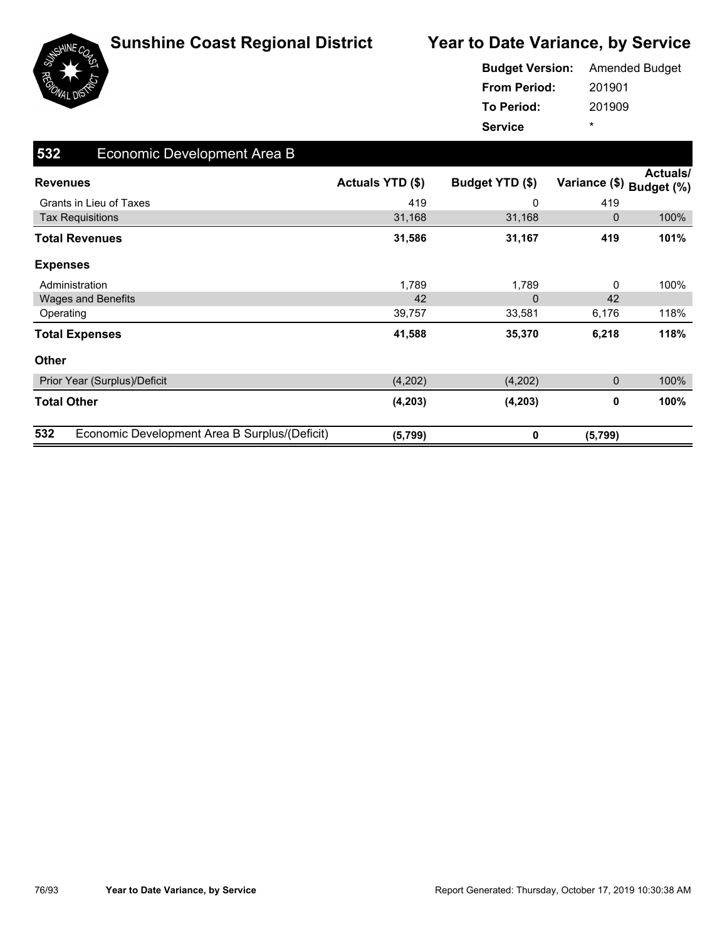



|                     | <b>Budget Version:</b> Amended Budget |
|---------------------|---------------------------------------|
| <b>From Period:</b> | 201901                                |
| To Period:          | 201909                                |
| <b>Service</b>      | $\star$                               |

| 532<br>Economic Development Area B                   |                         |                 |               |                               |
|------------------------------------------------------|-------------------------|-----------------|---------------|-------------------------------|
| <b>Revenues</b>                                      | <b>Actuals YTD (\$)</b> | Budget YTD (\$) | Variance (\$) | <b>Actuals/</b><br>Budget (%) |
| Grants in Lieu of Taxes                              | 419                     | 0               | 419           |                               |
| <b>Tax Requisitions</b>                              | 31,168                  | 31,168          | 0             | 100%                          |
| <b>Total Revenues</b>                                | 31,586                  | 31,167          | 419           | 101%                          |
| <b>Expenses</b>                                      |                         |                 |               |                               |
| Administration                                       | 1,789                   | 1,789           | 0             | 100%                          |
| <b>Wages and Benefits</b>                            | 42                      | $\mathbf{0}$    | 42            |                               |
| Operating                                            | 39,757                  | 33,581          | 6,176         | 118%                          |
| <b>Total Expenses</b>                                | 41,588                  | 35,370          | 6,218         | 118%                          |
| Other                                                |                         |                 |               |                               |
| Prior Year (Surplus)/Deficit                         | (4,202)                 | (4,202)         | 0             | 100%                          |
| <b>Total Other</b>                                   | (4, 203)                | (4, 203)        | 0             | 100%                          |
| 532<br>Economic Development Area B Surplus/(Deficit) | (5,799)                 | 0               | (5,799)       |                               |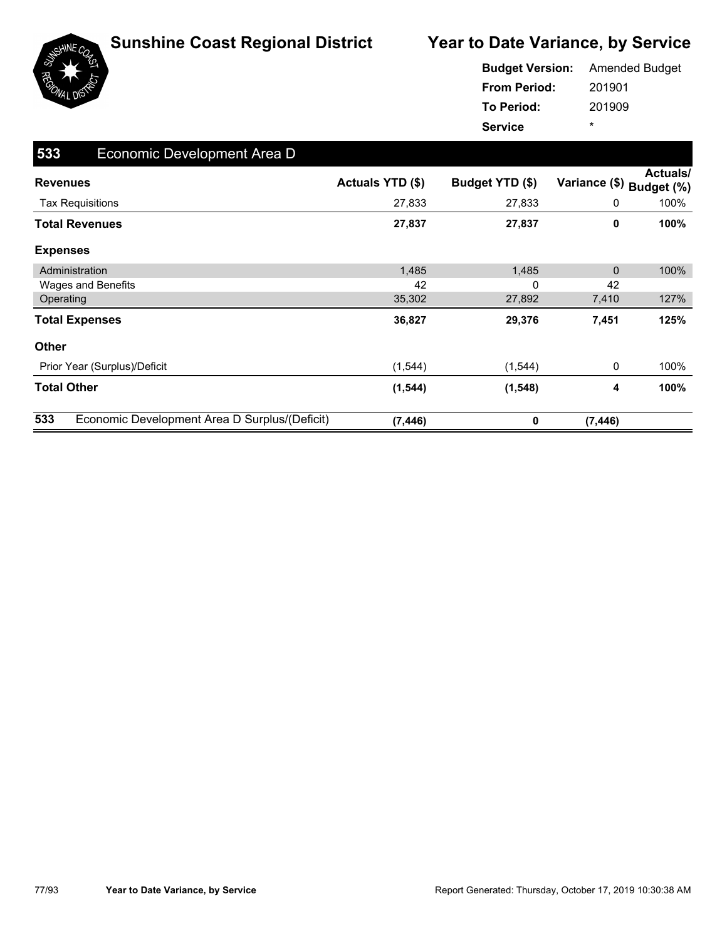

|                     | <b>Budget Version:</b> Amended Budget |
|---------------------|---------------------------------------|
| <b>From Period:</b> | 201901                                |
| <b>To Period:</b>   | 201909                                |
| <b>Service</b>      | ÷                                     |

| 533<br>Economic Development Area D                   |                         |                 |               |                        |
|------------------------------------------------------|-------------------------|-----------------|---------------|------------------------|
| <b>Revenues</b>                                      | <b>Actuals YTD (\$)</b> | Budget YTD (\$) | Variance (\$) | Actuals/<br>Budget (%) |
| <b>Tax Requisitions</b>                              | 27,833                  | 27,833          | 0             | 100%                   |
| <b>Total Revenues</b>                                | 27,837                  | 27,837          | 0             | 100%                   |
| <b>Expenses</b>                                      |                         |                 |               |                        |
| Administration                                       | 1,485                   | 1,485           | 0             | 100%                   |
| Wages and Benefits                                   | 42                      | 0               | 42            |                        |
| Operating                                            | 35,302                  | 27,892          | 7,410         | 127%                   |
| <b>Total Expenses</b>                                | 36,827                  | 29,376          | 7,451         | 125%                   |
| Other                                                |                         |                 |               |                        |
| Prior Year (Surplus)/Deficit                         | (1, 544)                | (1, 544)        | 0             | 100%                   |
| <b>Total Other</b>                                   | (1, 544)                | (1, 548)        | 4             | 100%                   |
| 533<br>Economic Development Area D Surplus/(Deficit) | (7, 446)                | 0               | (7, 446)      |                        |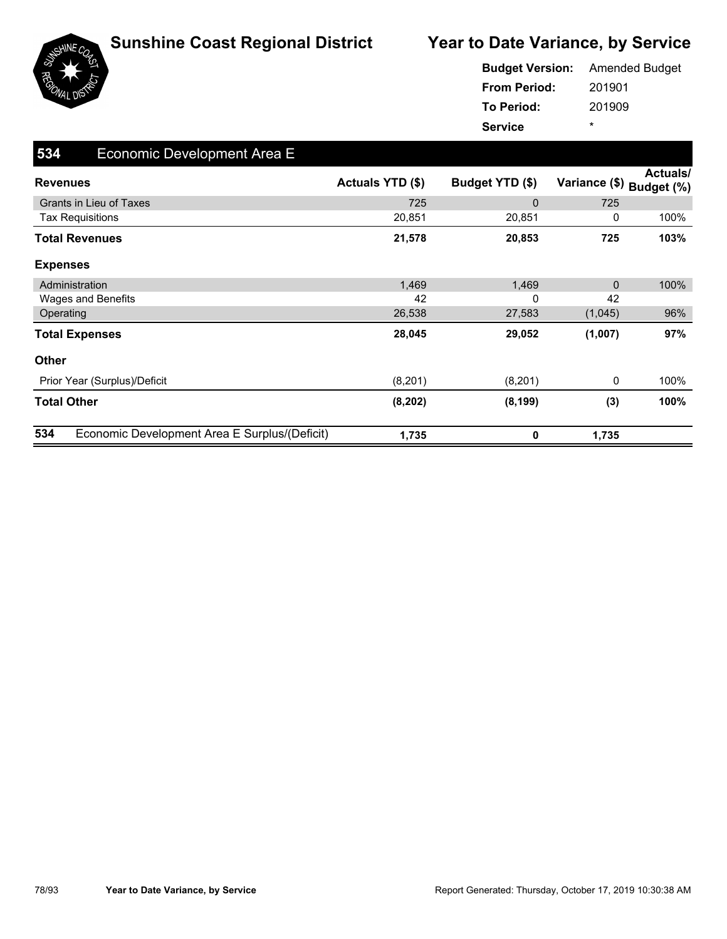

|                     | <b>Budget Version:</b> Amended Budget |
|---------------------|---------------------------------------|
| <b>From Period:</b> | 201901                                |
| <b>To Period:</b>   | 201909                                |
| <b>Service</b>      | ÷                                     |

| 534<br>Economic Development Area E                   |                  |                 |               |                               |
|------------------------------------------------------|------------------|-----------------|---------------|-------------------------------|
| <b>Revenues</b>                                      | Actuals YTD (\$) | Budget YTD (\$) | Variance (\$) | <b>Actuals/</b><br>Budget (%) |
| <b>Grants in Lieu of Taxes</b>                       | 725              | $\Omega$        | 725           |                               |
| <b>Tax Requisitions</b>                              | 20,851           | 20,851          | 0             | 100%                          |
| <b>Total Revenues</b>                                | 21,578           | 20,853          | 725           | 103%                          |
| <b>Expenses</b>                                      |                  |                 |               |                               |
| Administration                                       | 1,469            | 1,469           | $\mathbf{0}$  | 100%                          |
| Wages and Benefits                                   | 42               | $\Omega$        | 42            |                               |
| Operating                                            | 26,538           | 27,583          | (1,045)       | 96%                           |
| <b>Total Expenses</b>                                | 28,045           | 29,052          | (1,007)       | 97%                           |
| <b>Other</b>                                         |                  |                 |               |                               |
| Prior Year (Surplus)/Deficit                         | (8,201)          | (8,201)         | 0             | 100%                          |
| <b>Total Other</b>                                   | (8, 202)         | (8, 199)        | (3)           | 100%                          |
| 534<br>Economic Development Area E Surplus/(Deficit) | 1,735            | 0               | 1,735         |                               |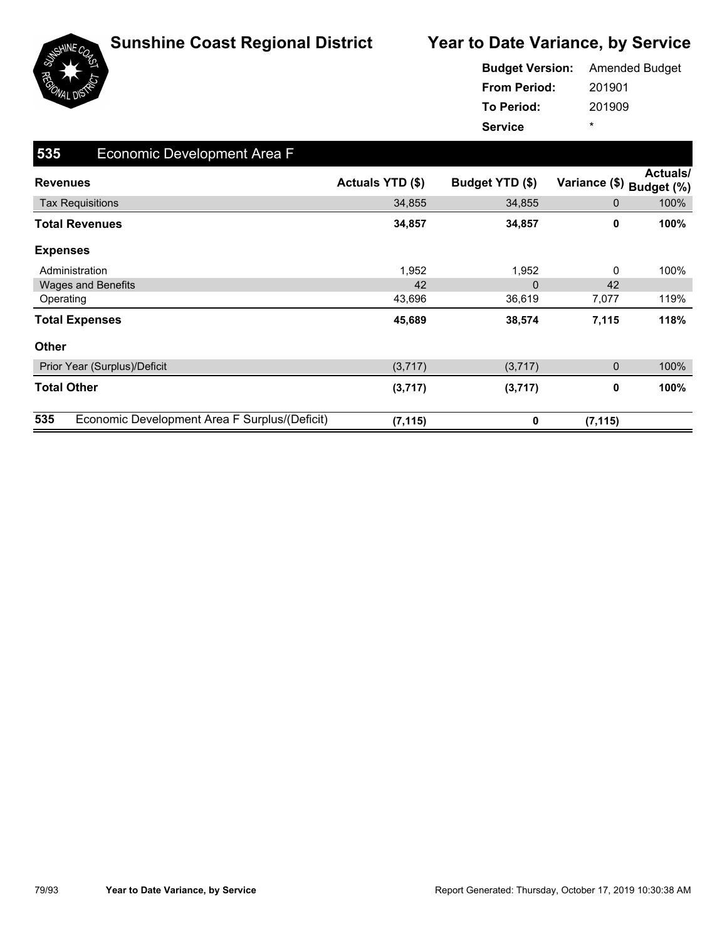

|                     | <b>Budget Version:</b> Amended Budget |
|---------------------|---------------------------------------|
| <b>From Period:</b> | 201901                                |
| To Period:          | 201909                                |
| <b>Service</b>      | ÷                                     |

| 535<br>Economic Development Area F                   |                  |                 |                          |          |
|------------------------------------------------------|------------------|-----------------|--------------------------|----------|
| <b>Revenues</b>                                      | Actuals YTD (\$) | Budget YTD (\$) | Variance (\$) Budget (%) | Actuals/ |
| <b>Tax Requisitions</b>                              | 34,855           | 34,855          | 0                        | 100%     |
| <b>Total Revenues</b>                                | 34,857           | 34,857          | 0                        | 100%     |
| <b>Expenses</b>                                      |                  |                 |                          |          |
| Administration                                       | 1,952            | 1,952           | 0                        | 100%     |
| <b>Wages and Benefits</b>                            | 42               | 0               | 42                       |          |
| Operating                                            | 43,696           | 36,619          | 7,077                    | 119%     |
| <b>Total Expenses</b>                                | 45,689           | 38,574          | 7,115                    | 118%     |
| <b>Other</b>                                         |                  |                 |                          |          |
| Prior Year (Surplus)/Deficit                         | (3,717)          | (3,717)         | $\mathbf 0$              | 100%     |
| <b>Total Other</b>                                   | (3,717)          | (3,717)         | 0                        | 100%     |
| 535<br>Economic Development Area F Surplus/(Deficit) | (7, 115)         | 0               | (7, 115)                 |          |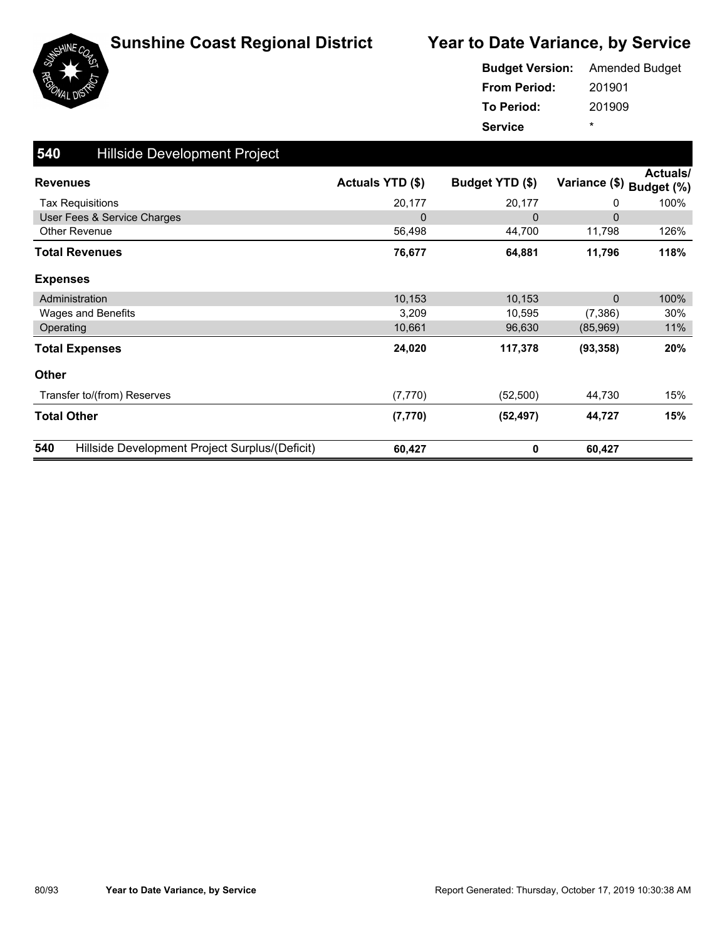



| <b>Budget Version:</b> | <b>Amended Budget</b> |
|------------------------|-----------------------|
| <b>From Period:</b>    | 201901                |
| <b>To Period:</b>      | 201909                |
| <b>Service</b>         | ÷                     |

| 540<br>Hillside Development Project                   |                  |                 |               |                               |
|-------------------------------------------------------|------------------|-----------------|---------------|-------------------------------|
| <b>Revenues</b>                                       | Actuals YTD (\$) | Budget YTD (\$) | Variance (\$) | <b>Actuals/</b><br>Budget (%) |
| <b>Tax Requisitions</b>                               | 20,177           | 20,177          | 0             | 100%                          |
| User Fees & Service Charges                           | $\mathbf 0$      | 0               | $\Omega$      |                               |
| Other Revenue                                         | 56,498           | 44,700          | 11,798        | 126%                          |
| <b>Total Revenues</b>                                 | 76,677           | 64,881          | 11,796        | 118%                          |
| <b>Expenses</b>                                       |                  |                 |               |                               |
| Administration                                        | 10,153           | 10,153          | $\Omega$      | 100%                          |
| Wages and Benefits                                    | 3,209            | 10,595          | (7, 386)      | 30%                           |
| Operating                                             | 10,661           | 96,630          | (85,969)      | 11%                           |
| <b>Total Expenses</b>                                 | 24,020           | 117,378         | (93, 358)     | 20%                           |
| <b>Other</b>                                          |                  |                 |               |                               |
| Transfer to/(from) Reserves                           | (7, 770)         | (52, 500)       | 44,730        | 15%                           |
| <b>Total Other</b>                                    | (7, 770)         | (52, 497)       | 44,727        | 15%                           |
| 540<br>Hillside Development Project Surplus/(Deficit) | 60,427           | 0               | 60,427        |                               |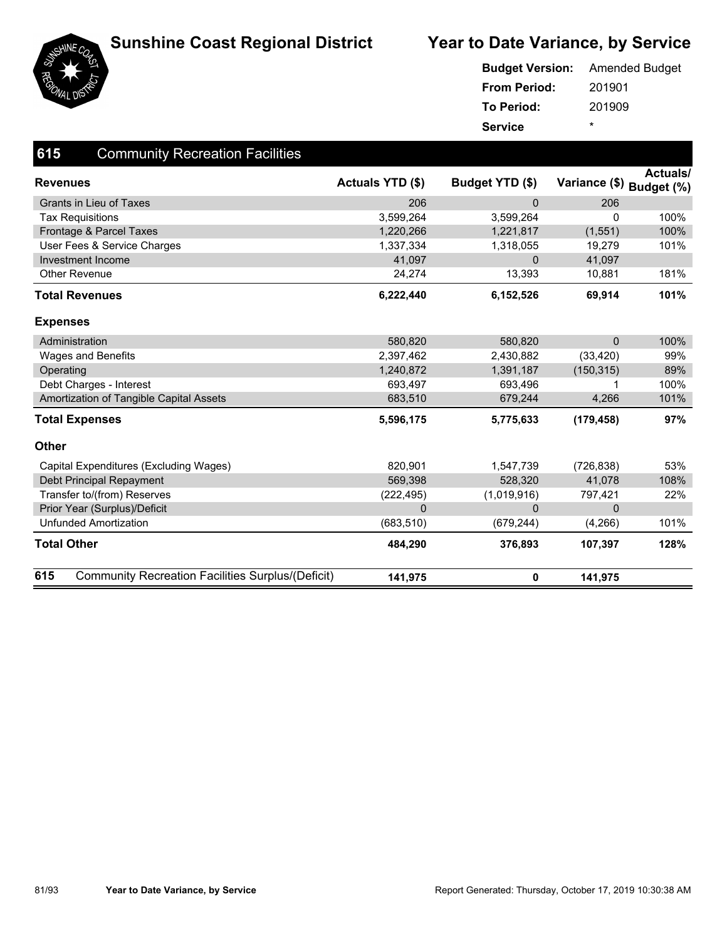



|                     | <b>Budget Version:</b> Amended Budget |
|---------------------|---------------------------------------|
| <b>From Period:</b> | 201901                                |
| To Period:          | 201909                                |
| <b>Service</b>      | ÷                                     |

| 615<br><b>Community Recreation Facilities</b>                   |                         |                 |                          |          |
|-----------------------------------------------------------------|-------------------------|-----------------|--------------------------|----------|
| <b>Revenues</b>                                                 | <b>Actuals YTD (\$)</b> | Budget YTD (\$) | Variance (\$) Budget (%) | Actuals/ |
| <b>Grants in Lieu of Taxes</b>                                  | 206                     | $\mathbf{0}$    | 206                      |          |
| <b>Tax Requisitions</b>                                         | 3,599,264               | 3,599,264       | 0                        | 100%     |
| Frontage & Parcel Taxes                                         | 1,220,266               | 1,221,817       | (1, 551)                 | 100%     |
| User Fees & Service Charges                                     | 1,337,334               | 1,318,055       | 19,279                   | 101%     |
| Investment Income                                               | 41,097                  | $\Omega$        | 41,097                   |          |
| <b>Other Revenue</b>                                            | 24,274                  | 13,393          | 10,881                   | 181%     |
| <b>Total Revenues</b>                                           | 6,222,440               | 6,152,526       | 69,914                   | 101%     |
| <b>Expenses</b>                                                 |                         |                 |                          |          |
| Administration                                                  | 580,820                 | 580,820         | $\mathbf{0}$             | 100%     |
| <b>Wages and Benefits</b>                                       | 2,397,462               | 2,430,882       | (33, 420)                | 99%      |
| Operating                                                       | 1,240,872               | 1,391,187       | (150, 315)               | 89%      |
| Debt Charges - Interest                                         | 693,497                 | 693,496         | 1                        | 100%     |
| Amortization of Tangible Capital Assets                         | 683,510                 | 679,244         | 4,266                    | 101%     |
| <b>Total Expenses</b>                                           | 5,596,175               | 5,775,633       | (179, 458)               | 97%      |
| <b>Other</b>                                                    |                         |                 |                          |          |
| Capital Expenditures (Excluding Wages)                          | 820,901                 | 1,547,739       | (726, 838)               | 53%      |
| Debt Principal Repayment                                        | 569,398                 | 528,320         | 41,078                   | 108%     |
| Transfer to/(from) Reserves                                     | (222, 495)              | (1,019,916)     | 797,421                  | 22%      |
| Prior Year (Surplus)/Deficit                                    | $\mathbf{0}$            | $\mathbf{0}$    | 0                        |          |
| <b>Unfunded Amortization</b>                                    | (683, 510)              | (679, 244)      | (4,266)                  | 101%     |
| <b>Total Other</b>                                              | 484,290                 | 376,893         | 107,397                  | 128%     |
| 615<br><b>Community Recreation Facilities Surplus/(Deficit)</b> | 141,975                 | 0               | 141,975                  |          |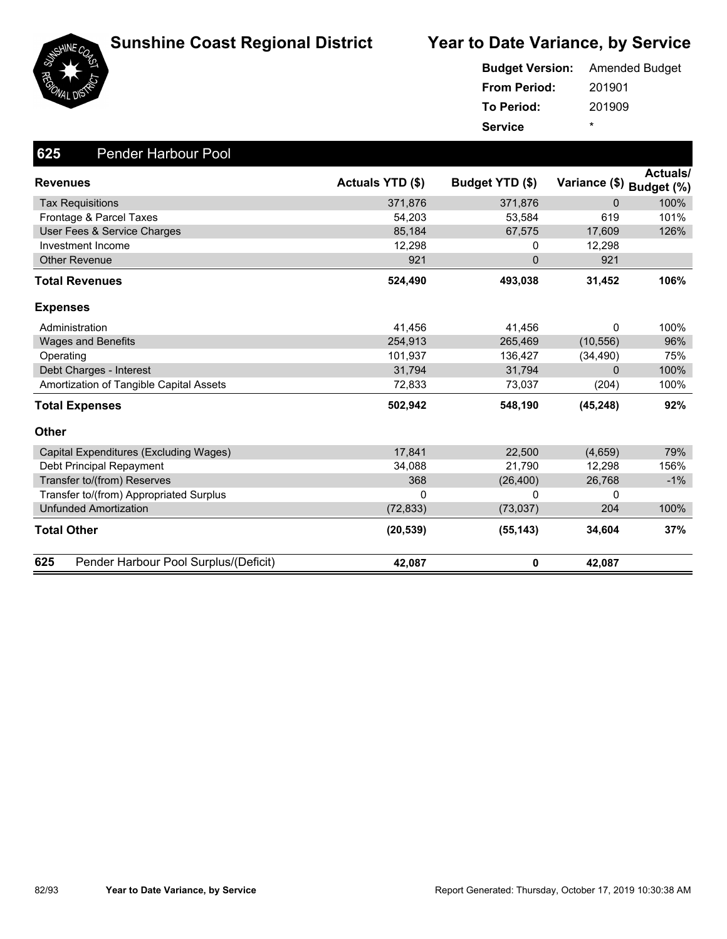





|                     | <b>Budget Version:</b> Amended Budget |
|---------------------|---------------------------------------|
| <b>From Period:</b> | 201901                                |
| To Period:          | 201909                                |
| <b>Service</b>      | ÷                                     |

| 625<br><b>Pender Harbour Pool</b>            |                  |                 |                          |                 |
|----------------------------------------------|------------------|-----------------|--------------------------|-----------------|
| <b>Revenues</b>                              | Actuals YTD (\$) | Budget YTD (\$) | Variance (\$) Budget (%) | <b>Actuals/</b> |
| <b>Tax Requisitions</b>                      | 371,876          | 371,876         | 0                        | 100%            |
| Frontage & Parcel Taxes                      | 54,203           | 53,584          | 619                      | 101%            |
| User Fees & Service Charges                  | 85,184           | 67,575          | 17,609                   | 126%            |
| Investment Income                            | 12,298           | 0               | 12,298                   |                 |
| <b>Other Revenue</b>                         | 921              | $\overline{0}$  | 921                      |                 |
| <b>Total Revenues</b>                        | 524,490          | 493,038         | 31,452                   | 106%            |
| <b>Expenses</b>                              |                  |                 |                          |                 |
| Administration                               | 41,456           | 41,456          | 0                        | 100%            |
| <b>Wages and Benefits</b>                    | 254.913          | 265,469         | (10, 556)                | 96%             |
| Operating                                    | 101,937          | 136,427         | (34, 490)                | 75%             |
| Debt Charges - Interest                      | 31,794           | 31,794          | 0                        | 100%            |
| Amortization of Tangible Capital Assets      | 72,833           | 73,037          | (204)                    | 100%            |
| <b>Total Expenses</b>                        | 502,942          | 548,190         | (45, 248)                | 92%             |
| <b>Other</b>                                 |                  |                 |                          |                 |
| Capital Expenditures (Excluding Wages)       | 17,841           | 22,500          | (4,659)                  | 79%             |
| Debt Principal Repayment                     | 34,088           | 21,790          | 12,298                   | 156%            |
| Transfer to/(from) Reserves                  | 368              | (26, 400)       | 26,768                   | $-1%$           |
| Transfer to/(from) Appropriated Surplus      | $\Omega$         | 0               | 0                        |                 |
| <b>Unfunded Amortization</b>                 | (72, 833)        | (73, 037)       | 204                      | 100%            |
| Total Other                                  | (20, 539)        | (55, 143)       | 34,604                   | 37%             |
| 625<br>Pender Harbour Pool Surplus/(Deficit) | 42,087           | $\mathbf 0$     | 42,087                   |                 |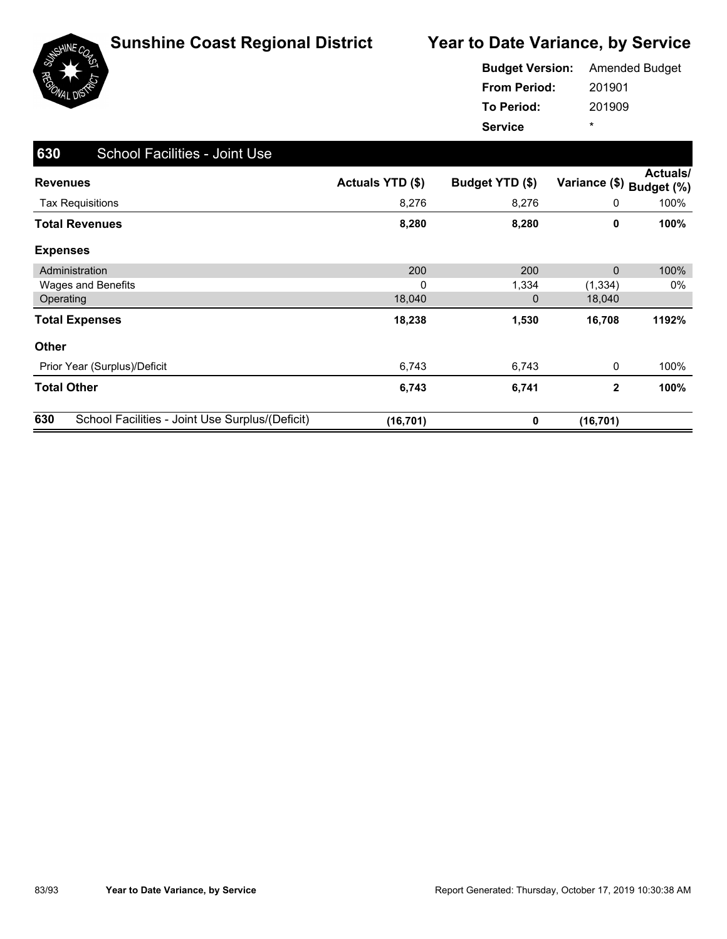

|                     | <b>Budget Version:</b> Amended Budget |
|---------------------|---------------------------------------|
| <b>From Period:</b> | 201901                                |
| To Period:          | 201909                                |
| <b>Service</b>      | ÷                                     |

| 630<br><b>School Facilities - Joint Use</b>            |                         |                 |               |                        |
|--------------------------------------------------------|-------------------------|-----------------|---------------|------------------------|
| <b>Revenues</b>                                        | <b>Actuals YTD (\$)</b> | Budget YTD (\$) | Variance (\$) | Actuals/<br>Budget (%) |
| <b>Tax Requisitions</b>                                | 8,276                   | 8,276           | 0             | 100%                   |
| <b>Total Revenues</b>                                  | 8,280                   | 8,280           | 0             | 100%                   |
| <b>Expenses</b>                                        |                         |                 |               |                        |
| Administration                                         | 200                     | 200             | 0             | 100%                   |
| <b>Wages and Benefits</b>                              | 0                       | 1,334           | (1, 334)      | 0%                     |
| Operating                                              | 18,040                  | 0               | 18,040        |                        |
| <b>Total Expenses</b>                                  | 18,238                  | 1,530           | 16,708        | 1192%                  |
| <b>Other</b>                                           |                         |                 |               |                        |
| Prior Year (Surplus)/Deficit                           | 6,743                   | 6,743           | 0             | 100%                   |
| <b>Total Other</b>                                     | 6,743                   | 6,741           | $\mathbf{2}$  | 100%                   |
| 630<br>School Facilities - Joint Use Surplus/(Deficit) | (16, 701)               | 0               | (16, 701)     |                        |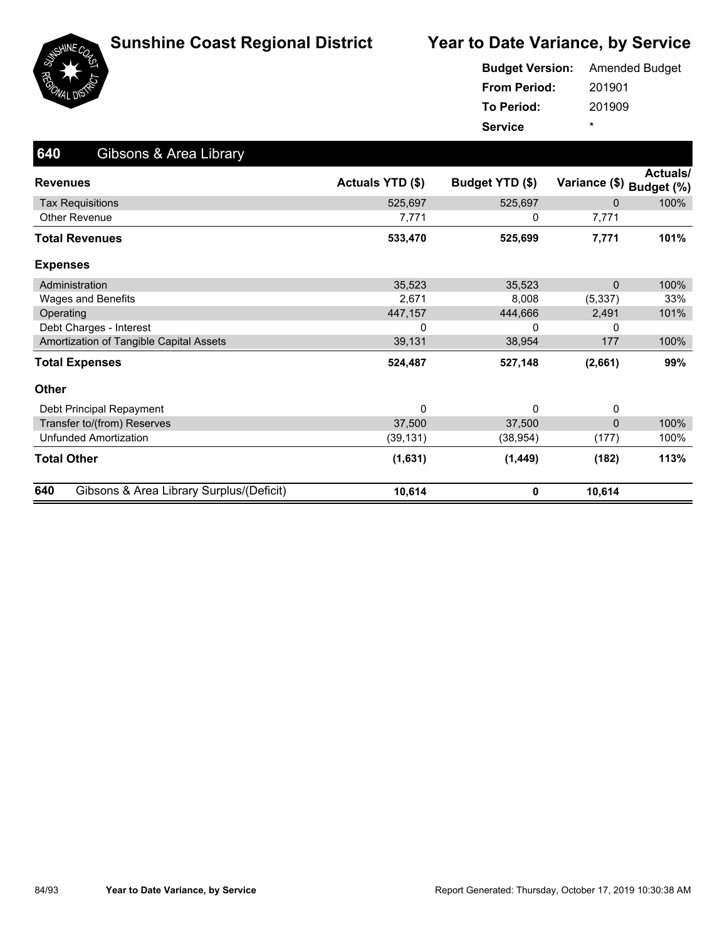

|                     | <b>Budget Version:</b> Amended Budget |
|---------------------|---------------------------------------|
| <b>From Period:</b> | 201901                                |
| To Period:          | 201909                                |
| <b>Service</b>      | *                                     |

| 640<br>Gibsons & Area Library                   |                  |                 |                          |          |
|-------------------------------------------------|------------------|-----------------|--------------------------|----------|
| <b>Revenues</b>                                 | Actuals YTD (\$) | Budget YTD (\$) | Variance (\$) Budget (%) | Actuals/ |
| <b>Tax Requisitions</b>                         | 525,697          | 525,697         | $\Omega$                 | 100%     |
| <b>Other Revenue</b>                            | 7,771            | 0               | 7,771                    |          |
| <b>Total Revenues</b>                           | 533,470          | 525,699         | 7,771                    | 101%     |
| <b>Expenses</b>                                 |                  |                 |                          |          |
| Administration                                  | 35,523           | 35,523          | $\Omega$                 | 100%     |
| Wages and Benefits                              | 2,671            | 8,008           | (5, 337)                 | 33%      |
| Operating                                       | 447,157          | 444,666         | 2,491                    | 101%     |
| Debt Charges - Interest                         | 0                | 0               | 0                        |          |
| Amortization of Tangible Capital Assets         | 39,131           | 38,954          | 177                      | 100%     |
| <b>Total Expenses</b>                           | 524,487          | 527,148         | (2,661)                  | 99%      |
| <b>Other</b>                                    |                  |                 |                          |          |
| Debt Principal Repayment                        | 0                | $\Omega$        | 0                        |          |
| Transfer to/(from) Reserves                     | 37,500           | 37,500          | $\Omega$                 | 100%     |
| <b>Unfunded Amortization</b>                    | (39, 131)        | (38, 954)       | (177)                    | 100%     |
| <b>Total Other</b>                              | (1,631)          | (1, 449)        | (182)                    | 113%     |
| 640<br>Gibsons & Area Library Surplus/(Deficit) | 10,614           | 0               | 10,614                   |          |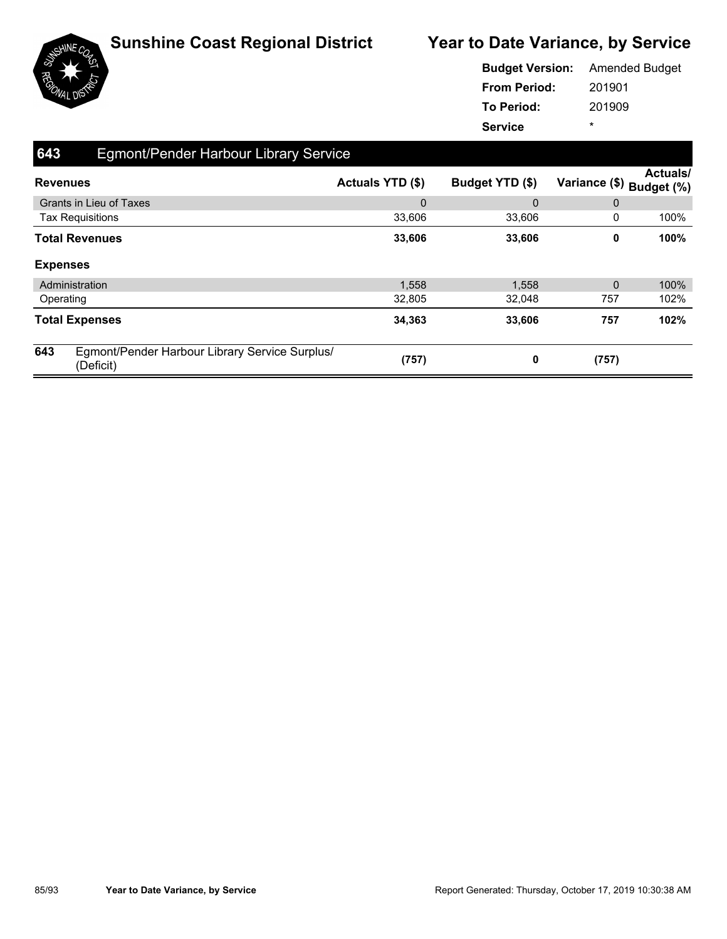

|                     | <b>Budget Version:</b> Amended Budget |
|---------------------|---------------------------------------|
| <b>From Period:</b> | 201901                                |
| To Period:          | 201909                                |
| <b>Service</b>      | ÷                                     |

| 643             | Egmont/Pender Harbour Library Service                       |                  |                 |                          |                 |
|-----------------|-------------------------------------------------------------|------------------|-----------------|--------------------------|-----------------|
| <b>Revenues</b> |                                                             | Actuals YTD (\$) | Budget YTD (\$) | Variance (\$) Budget (%) | <b>Actuals/</b> |
|                 | <b>Grants in Lieu of Taxes</b>                              | $\mathbf 0$      | 0               | 0                        |                 |
|                 | <b>Tax Requisitions</b>                                     | 33,606           | 33,606          | 0                        | 100%            |
|                 | <b>Total Revenues</b>                                       | 33,606           | 33,606          | 0                        | 100%            |
| <b>Expenses</b> |                                                             |                  |                 |                          |                 |
|                 | Administration                                              | 1,558            | 1,558           | $\mathbf 0$              | 100%            |
| Operating       |                                                             | 32,805           | 32,048          | 757                      | 102%            |
|                 | <b>Total Expenses</b>                                       | 34,363           | 33,606          | 757                      | 102%            |
| 643             | Egmont/Pender Harbour Library Service Surplus/<br>(Deficit) | (757)            | 0               | (757)                    |                 |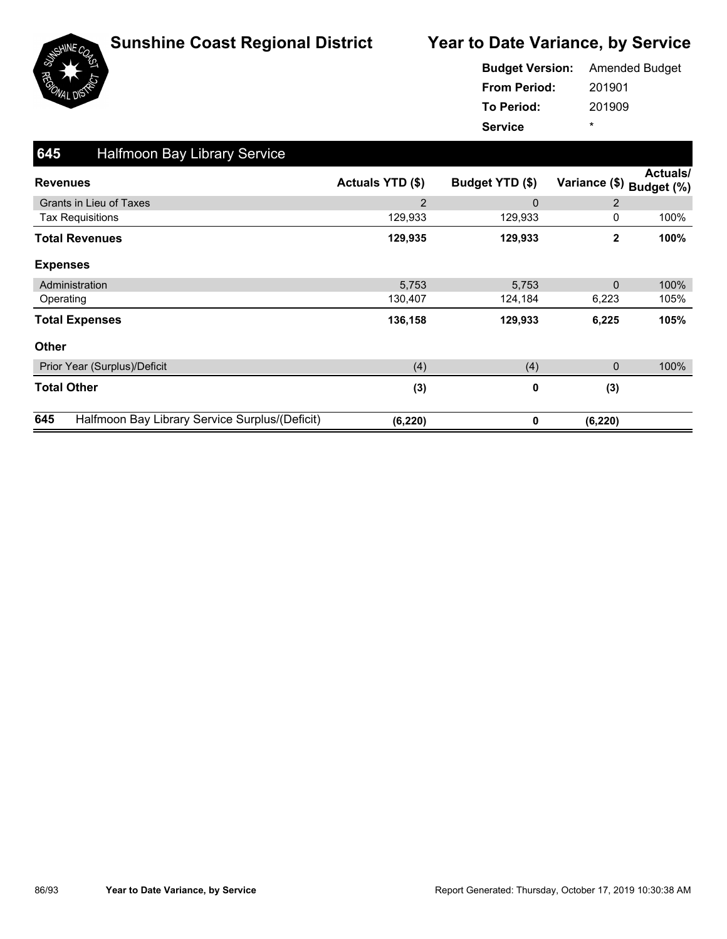

|                     | <b>Budget Version:</b> Amended Budget |
|---------------------|---------------------------------------|
| <b>From Period:</b> | 201901                                |
| <b>To Period:</b>   | 201909                                |
| <b>Service</b>      | ÷                                     |

| 645<br><b>Halfmoon Bay Library Service</b>            |                  |                 |               |                        |
|-------------------------------------------------------|------------------|-----------------|---------------|------------------------|
| <b>Revenues</b>                                       | Actuals YTD (\$) | Budget YTD (\$) | Variance (\$) | Actuals/<br>Budget (%) |
| <b>Grants in Lieu of Taxes</b>                        | 2                | $\Omega$        | 2             |                        |
| <b>Tax Requisitions</b>                               | 129,933          | 129,933         | 0             | 100%                   |
| <b>Total Revenues</b>                                 | 129,935          | 129,933         | $\mathbf{2}$  | 100%                   |
| <b>Expenses</b>                                       |                  |                 |               |                        |
| Administration                                        | 5,753            | 5,753           | $\mathbf 0$   | 100%                   |
| Operating                                             | 130,407          | 124,184         | 6,223         | 105%                   |
| <b>Total Expenses</b>                                 | 136,158          | 129,933         | 6,225         | 105%                   |
| <b>Other</b>                                          |                  |                 |               |                        |
| Prior Year (Surplus)/Deficit                          | (4)              | (4)             | 0             | 100%                   |
| <b>Total Other</b>                                    | (3)              | 0               | (3)           |                        |
| 645<br>Halfmoon Bay Library Service Surplus/(Deficit) | (6, 220)         | 0               | (6, 220)      |                        |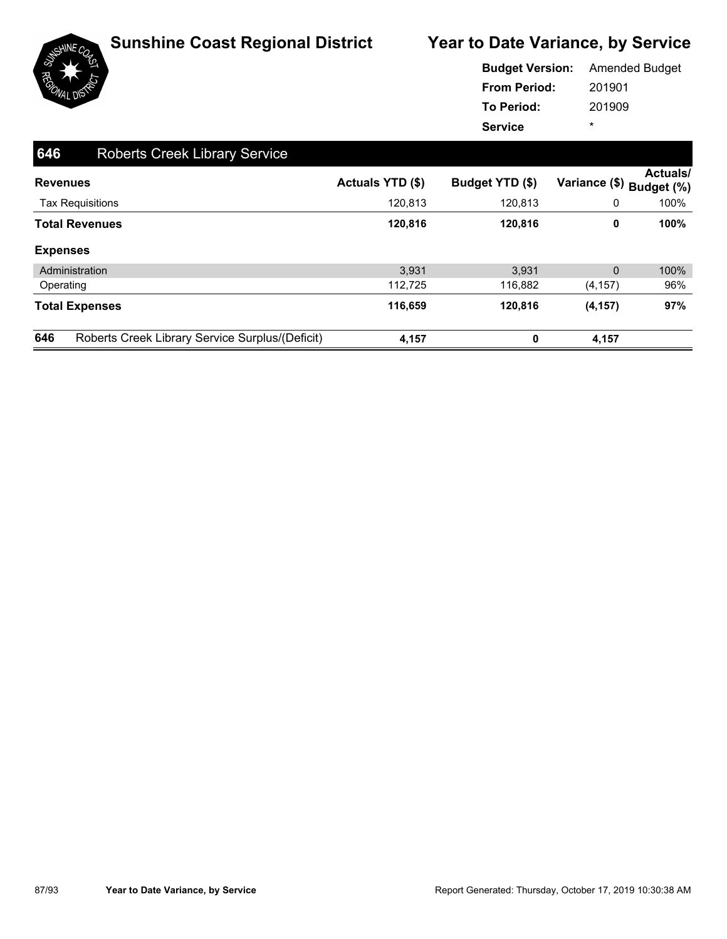

|                     | <b>Budget Version:</b> Amended Budget |
|---------------------|---------------------------------------|
| <b>From Period:</b> | 201901                                |
| <b>To Period:</b>   | 201909                                |
| <b>Service</b>      | ÷                                     |

| 646 | <b>Roberts Creek Library Service</b>            |                  |                 |                |                               |
|-----|-------------------------------------------------|------------------|-----------------|----------------|-------------------------------|
|     | <b>Revenues</b>                                 | Actuals YTD (\$) | Budget YTD (\$) | Variance (\$)  | <b>Actuals/</b><br>Budget (%) |
|     | <b>Tax Requisitions</b>                         | 120,813          | 120,813         | 0              | 100%                          |
|     | <b>Total Revenues</b>                           | 120,816          | 120,816         | 0              | 100%                          |
|     | <b>Expenses</b>                                 |                  |                 |                |                               |
|     | Administration                                  | 3.931            | 3.931           | $\overline{0}$ | 100%                          |
|     | Operating                                       | 112,725          | 116,882         | (4, 157)       | 96%                           |
|     | <b>Total Expenses</b>                           | 116,659          | 120,816         | (4, 157)       | 97%                           |
| 646 | Roberts Creek Library Service Surplus/(Deficit) | 4,157            | 0               | 4,157          |                               |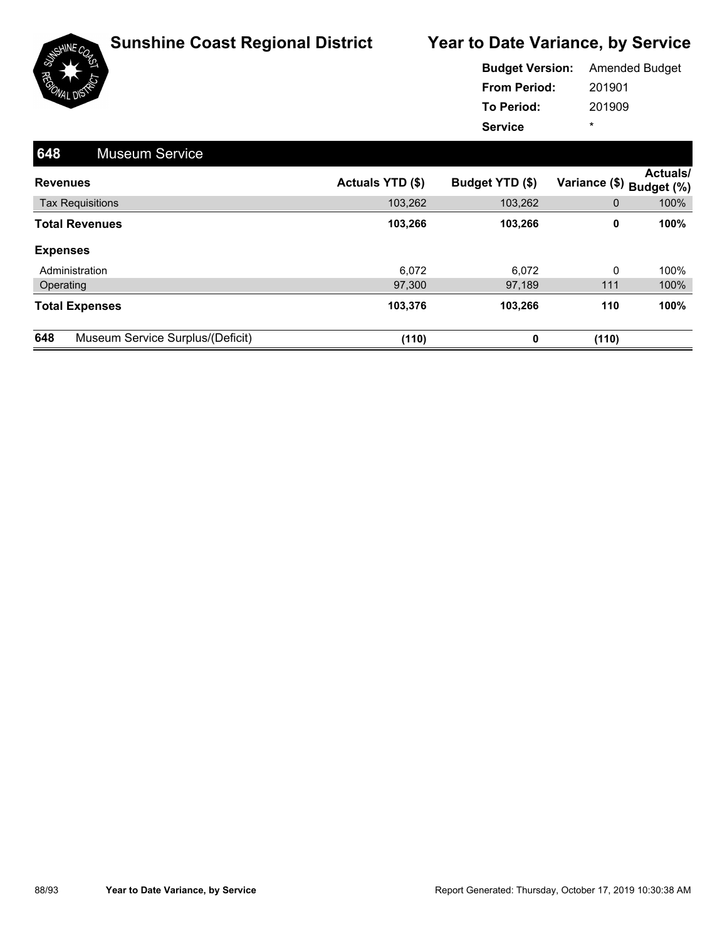

|                     | <b>Budget Version:</b> Amended Budget |
|---------------------|---------------------------------------|
| <b>From Period:</b> | 201901                                |
| <b>To Period:</b>   | 201909                                |
| <b>Service</b>      | ÷                                     |

| 648<br><b>Museum Service</b>            |                  |                 |                          |                 |
|-----------------------------------------|------------------|-----------------|--------------------------|-----------------|
| <b>Revenues</b>                         | Actuals YTD (\$) | Budget YTD (\$) | Variance (\$) Budget (%) | <b>Actuals/</b> |
| <b>Tax Requisitions</b>                 | 103,262          | 103,262         | 0                        | 100%            |
| <b>Total Revenues</b>                   | 103,266          | 103,266         | 0                        | 100%            |
| <b>Expenses</b>                         |                  |                 |                          |                 |
| Administration                          | 6,072            | 6,072           | 0                        | 100%            |
| Operating                               | 97,300           | 97,189          | 111                      | 100%            |
| <b>Total Expenses</b>                   | 103,376          | 103,266         | 110                      | 100%            |
| 648<br>Museum Service Surplus/(Deficit) | (110)            | 0               | (110)                    |                 |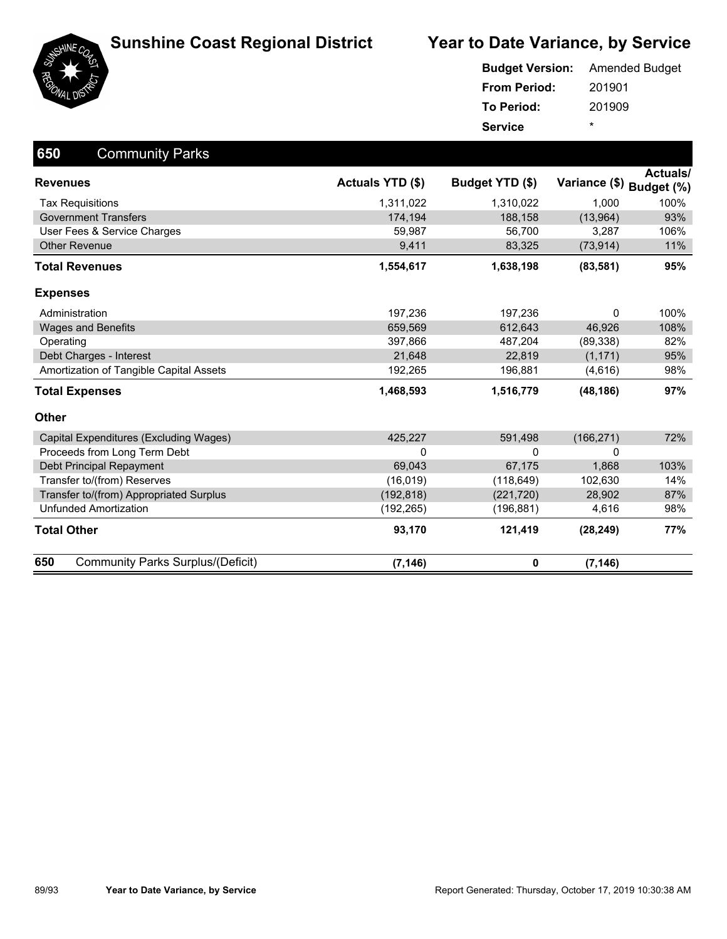





| <b>Budget Version:</b> | <b>Amended Budget</b> |
|------------------------|-----------------------|
| <b>From Period:</b>    | 201901                |
| To Period:             | 201909                |
| <b>Service</b>         | ÷                     |

| 650<br><b>Community Parks</b>                   |                         |                 |               |                               |
|-------------------------------------------------|-------------------------|-----------------|---------------|-------------------------------|
| <b>Revenues</b>                                 | <b>Actuals YTD (\$)</b> | Budget YTD (\$) | Variance (\$) | <b>Actuals/</b><br>Budget (%) |
| <b>Tax Requisitions</b>                         | 1,311,022               | 1,310,022       | 1.000         | 100%                          |
| <b>Government Transfers</b>                     | 174,194                 | 188,158         | (13,964)      | 93%                           |
| User Fees & Service Charges                     | 59,987                  | 56,700          | 3,287         | 106%                          |
| <b>Other Revenue</b>                            | 9,411                   | 83,325          | (73, 914)     | 11%                           |
| <b>Total Revenues</b>                           | 1,554,617               | 1,638,198       | (83, 581)     | 95%                           |
| <b>Expenses</b>                                 |                         |                 |               |                               |
| Administration                                  | 197,236                 | 197,236         | 0             | 100%                          |
| <b>Wages and Benefits</b>                       | 659,569                 | 612,643         | 46,926        | 108%                          |
| Operating                                       | 397,866                 | 487,204         | (89, 338)     | 82%                           |
| Debt Charges - Interest                         | 21,648                  | 22,819          | (1, 171)      | 95%                           |
| Amortization of Tangible Capital Assets         | 192,265                 | 196,881         | (4,616)       | 98%                           |
| <b>Total Expenses</b>                           | 1,468,593               | 1,516,779       | (48, 186)     | 97%                           |
| <b>Other</b>                                    |                         |                 |               |                               |
| Capital Expenditures (Excluding Wages)          | 425,227                 | 591,498         | (166, 271)    | 72%                           |
| Proceeds from Long Term Debt                    | 0                       | 0               | 0             |                               |
| Debt Principal Repayment                        | 69,043                  | 67,175          | 1,868         | 103%                          |
| Transfer to/(from) Reserves                     | (16, 019)               | (118, 649)      | 102,630       | 14%                           |
| Transfer to/(from) Appropriated Surplus         | (192, 818)              | (221, 720)      | 28,902        | 87%                           |
| <b>Unfunded Amortization</b>                    | (192, 265)              | (196, 881)      | 4,616         | 98%                           |
| <b>Total Other</b>                              | 93,170                  | 121,419         | (28, 249)     | 77%                           |
| 650<br><b>Community Parks Surplus/(Deficit)</b> | (7, 146)                | 0               | (7, 146)      |                               |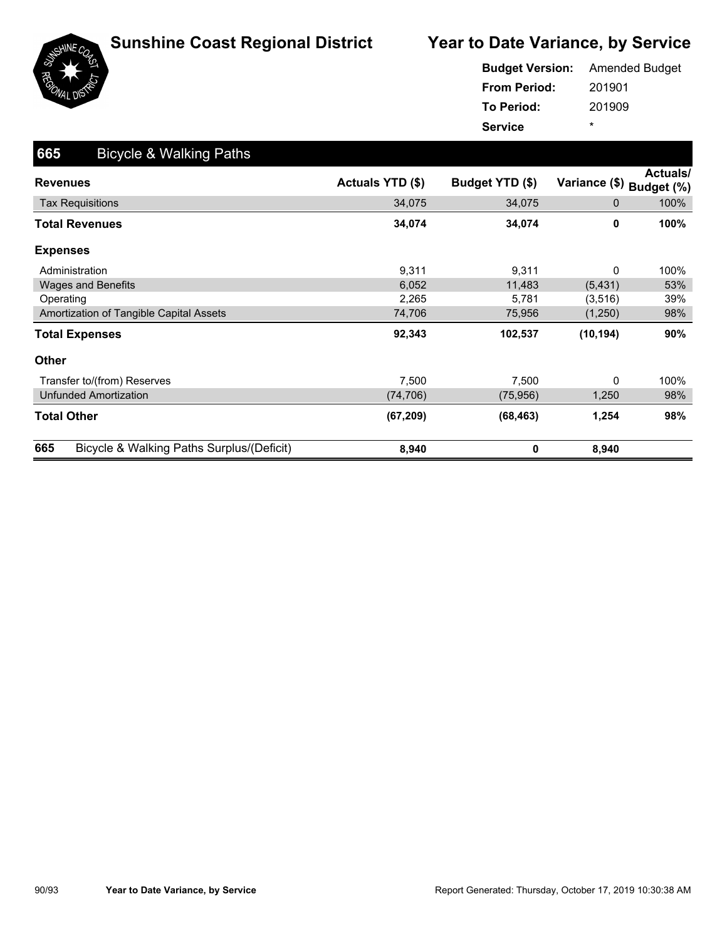

|                     | <b>Budget Version:</b> Amended Budget |
|---------------------|---------------------------------------|
| <b>From Period:</b> | 201901                                |
| To Period:          | 201909                                |
| <b>Service</b>      | ÷                                     |

| 665<br><b>Bicycle &amp; Walking Paths</b>        |                  |                 |               |                        |
|--------------------------------------------------|------------------|-----------------|---------------|------------------------|
| <b>Revenues</b>                                  | Actuals YTD (\$) | Budget YTD (\$) | Variance (\$) | Actuals/<br>Budget (%) |
| <b>Tax Requisitions</b>                          | 34,075           | 34,075          | 0             | 100%                   |
| Total Revenues                                   | 34,074           | 34,074          | 0             | 100%                   |
| <b>Expenses</b>                                  |                  |                 |               |                        |
| Administration                                   | 9,311            | 9,311           | 0             | 100%                   |
| <b>Wages and Benefits</b>                        | 6,052            | 11,483          | (5, 431)      | 53%                    |
| Operating                                        | 2,265            | 5,781           | (3,516)       | 39%                    |
| Amortization of Tangible Capital Assets          | 74,706           | 75,956          | (1,250)       | 98%                    |
| <b>Total Expenses</b>                            | 92,343           | 102,537         | (10, 194)     | 90%                    |
| <b>Other</b>                                     |                  |                 |               |                        |
| Transfer to/(from) Reserves                      | 7,500            | 7,500           | 0             | 100%                   |
| <b>Unfunded Amortization</b>                     | (74, 706)        | (75, 956)       | 1,250         | 98%                    |
| <b>Total Other</b>                               | (67, 209)        | (68, 463)       | 1,254         | 98%                    |
| 665<br>Bicycle & Walking Paths Surplus/(Deficit) | 8,940            | 0               | 8,940         |                        |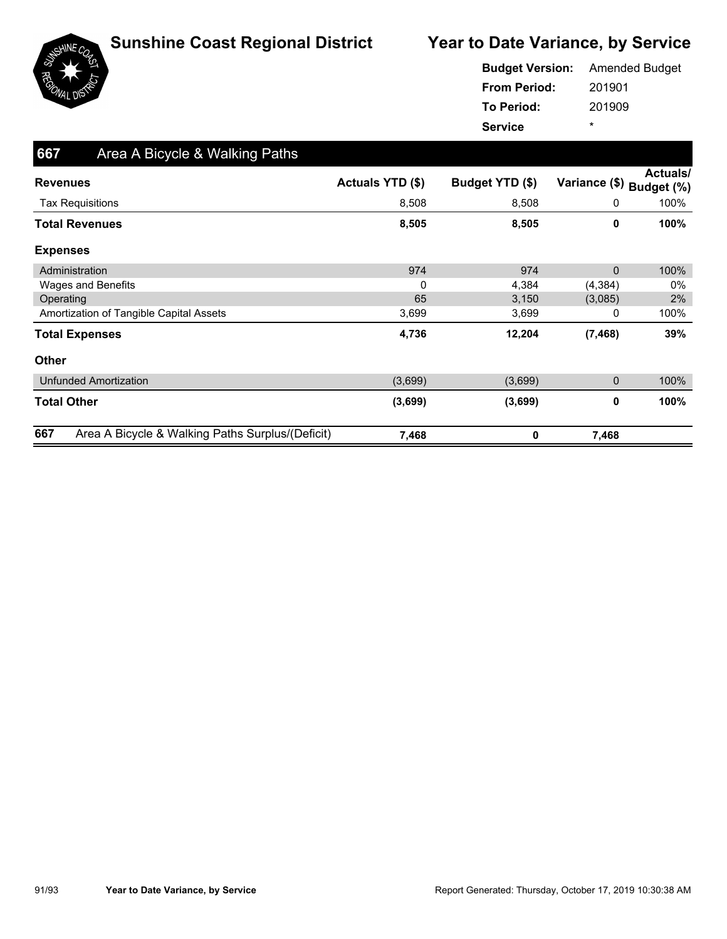

|                     | <b>Budget Version:</b> Amended Budget |  |  |
|---------------------|---------------------------------------|--|--|
| <b>From Period:</b> | 201901                                |  |  |
| To Period:          | 201909                                |  |  |
| <b>Service</b>      | ÷                                     |  |  |

| 667<br>Area A Bicycle & Walking Paths                   |                  |                 |               |                        |
|---------------------------------------------------------|------------------|-----------------|---------------|------------------------|
| <b>Revenues</b>                                         | Actuals YTD (\$) | Budget YTD (\$) | Variance (\$) | Actuals/<br>Budget (%) |
| <b>Tax Requisitions</b>                                 | 8,508            | 8,508           | 0             | 100%                   |
| <b>Total Revenues</b>                                   | 8,505            | 8,505           | 0             | 100%                   |
| <b>Expenses</b>                                         |                  |                 |               |                        |
| Administration                                          | 974              | 974             | $\mathbf{0}$  | 100%                   |
| Wages and Benefits                                      | 0                | 4,384           | (4, 384)      | 0%                     |
| Operating                                               | 65               | 3,150           | (3,085)       | 2%                     |
| Amortization of Tangible Capital Assets                 | 3,699            | 3,699           | 0             | 100%                   |
| <b>Total Expenses</b>                                   | 4,736            | 12,204          | (7, 468)      | 39%                    |
| <b>Other</b>                                            |                  |                 |               |                        |
| <b>Unfunded Amortization</b>                            | (3,699)          | (3,699)         | $\pmb{0}$     | 100%                   |
| <b>Total Other</b>                                      | (3,699)          | (3,699)         | 0             | 100%                   |
| 667<br>Area A Bicycle & Walking Paths Surplus/(Deficit) | 7,468            | 0               | 7,468         |                        |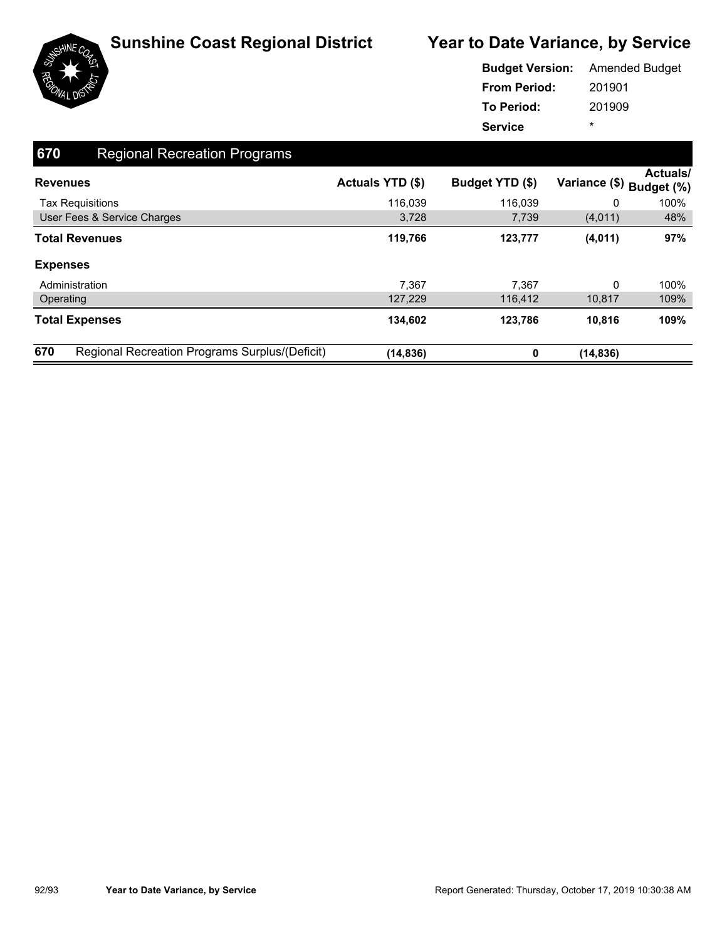

|                     | <b>Budget Version:</b> Amended Budget |  |  |
|---------------------|---------------------------------------|--|--|
| <b>From Period:</b> | 201901                                |  |  |
| <b>To Period:</b>   | 201909                                |  |  |
| <b>Service</b>      | ÷                                     |  |  |

| 670                     | <b>Regional Recreation Programs</b>            |                         |                 |                          |                 |
|-------------------------|------------------------------------------------|-------------------------|-----------------|--------------------------|-----------------|
| <b>Revenues</b>         |                                                | <b>Actuals YTD (\$)</b> | Budget YTD (\$) | Variance (\$) Budget (%) | <b>Actuals/</b> |
| <b>Tax Requisitions</b> |                                                | 116,039                 | 116,039         | 0                        | 100%            |
|                         | User Fees & Service Charges                    | 3,728                   | 7,739           | (4,011)                  | 48%             |
| <b>Total Revenues</b>   |                                                | 119,766                 | 123,777         | (4,011)                  | 97%             |
| <b>Expenses</b>         |                                                |                         |                 |                          |                 |
| Administration          |                                                | 7,367                   | 7,367           | 0                        | 100%            |
| Operating               |                                                | 127,229                 | 116,412         | 10,817                   | 109%            |
| <b>Total Expenses</b>   |                                                | 134,602                 | 123,786         | 10.816                   | 109%            |
| 670                     | Regional Recreation Programs Surplus/(Deficit) | (14, 836)               | 0               | (14, 836)                |                 |